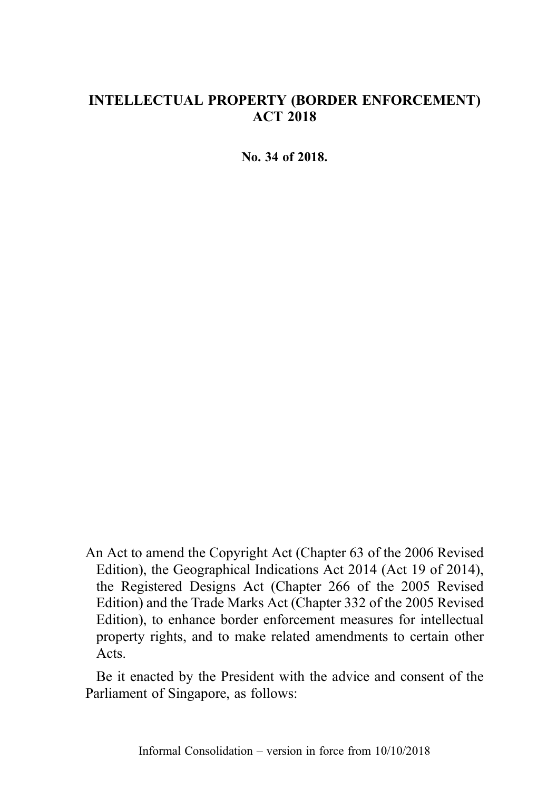# INTELLECTUAL PROPERTY (BORDER ENFORCEMENT) ACT 2018

No. 34 of 2018.

An Act to amend the Copyright Act (Chapter 63 of the 2006 Revised Edition), the Geographical Indications Act 2014 (Act 19 of 2014), the Registered Designs Act (Chapter 266 of the 2005 Revised Edition) and the Trade Marks Act (Chapter 332 of the 2005 Revised Edition), to enhance border enforcement measures for intellectual property rights, and to make related amendments to certain other Acts.

Be it enacted by the President with the advice and consent of the Parliament of Singapore, as follows: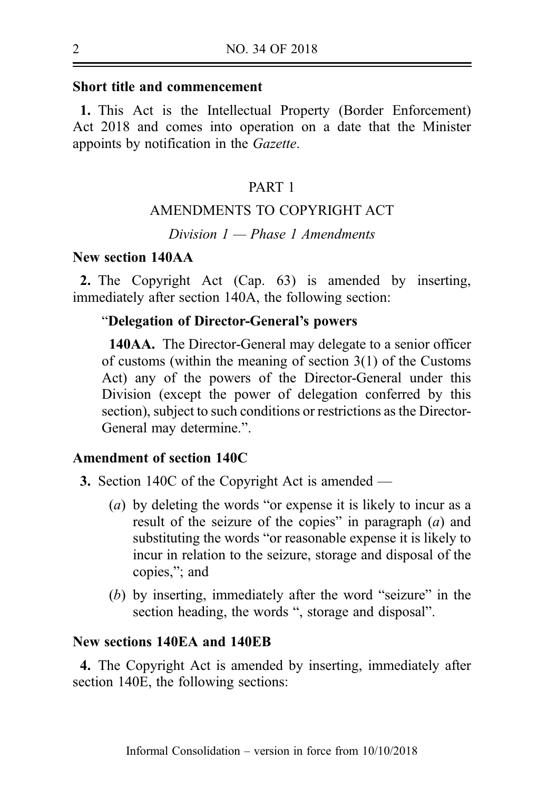### Short title and commencement

1. This Act is the Intellectual Property (Border Enforcement) Act 2018 and comes into operation on a date that the Minister appoints by notification in the Gazette.

# PART 1

# AMENDMENTS TO COPYRIGHT ACT

Division  $1$  – Phase 1 Amendments

# New section 140AA

2. The Copyright Act (Cap. 63) is amended by inserting, immediately after section 140A, the following section:

### "Delegation of Director-General's powers

140AA. The Director-General may delegate to a senior officer of customs (within the meaning of section 3(1) of the Customs Act) any of the powers of the Director-General under this Division (except the power of delegation conferred by this section), subject to such conditions or restrictions as the Director-General may determine.".

### Amendment of section 140C

- 3. Section 140C of the Copyright Act is amended
	- (a) by deleting the words "or expense it is likely to incur as a result of the seizure of the copies" in paragraph  $(a)$  and substituting the words "or reasonable expense it is likely to incur in relation to the seizure, storage and disposal of the copies,"; and
	- (b) by inserting, immediately after the word "seizure" in the section heading, the words ", storage and disposal".

## New sections 140EA and 140EB

4. The Copyright Act is amended by inserting, immediately after section 140E, the following sections: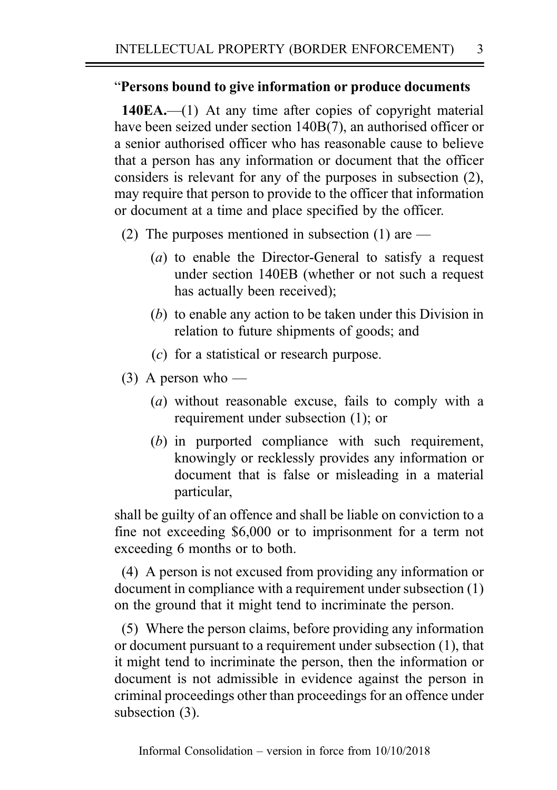# "Persons bound to give information or produce documents

140EA.—(1) At any time after copies of copyright material have been seized under section 140B(7), an authorised officer or a senior authorised officer who has reasonable cause to believe that a person has any information or document that the officer considers is relevant for any of the purposes in subsection (2), may require that person to provide to the officer that information or document at a time and place specified by the officer.

- (2) The purposes mentioned in subsection (1) are  $-$ 
	- (a) to enable the Director-General to satisfy a request under section 140EB (whether or not such a request has actually been received);
	- (b) to enable any action to be taken under this Division in relation to future shipments of goods; and
	- (c) for a statistical or research purpose.
- $(3)$  A person who
	- (a) without reasonable excuse, fails to comply with a requirement under subsection (1); or
	- (b) in purported compliance with such requirement, knowingly or recklessly provides any information or document that is false or misleading in a material particular,

shall be guilty of an offence and shall be liable on conviction to a fine not exceeding \$6,000 or to imprisonment for a term not exceeding 6 months or to both.

(4) A person is not excused from providing any information or document in compliance with a requirement under subsection (1) on the ground that it might tend to incriminate the person.

(5) Where the person claims, before providing any information or document pursuant to a requirement under subsection (1), that it might tend to incriminate the person, then the information or document is not admissible in evidence against the person in criminal proceedings other than proceedings for an offence under subsection (3).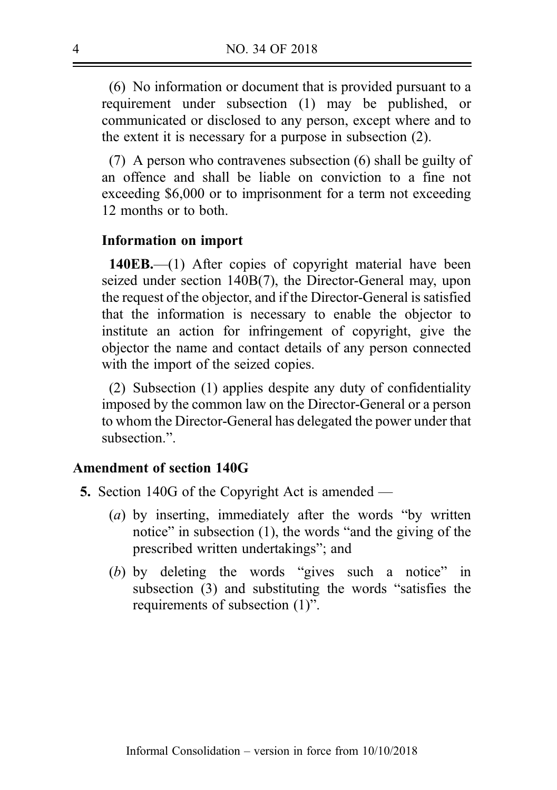(6) No information or document that is provided pursuant to a requirement under subsection (1) may be published, or communicated or disclosed to any person, except where and to the extent it is necessary for a purpose in subsection (2).

(7) A person who contravenes subsection (6) shall be guilty of an offence and shall be liable on conviction to a fine not exceeding \$6,000 or to imprisonment for a term not exceeding 12 months or to both.

### Information on import

140EB.—(1) After copies of copyright material have been seized under section 140B(7), the Director-General may, upon the request of the objector, and if the Director-General is satisfied that the information is necessary to enable the objector to institute an action for infringement of copyright, give the objector the name and contact details of any person connected with the import of the seized copies.

(2) Subsection (1) applies despite any duty of confidentiality imposed by the common law on the Director-General or a person to whom the Director-General has delegated the power under that subsection.".

## Amendment of section 140G

- 5. Section 140G of the Copyright Act is amended
	- (a) by inserting, immediately after the words "by written notice" in subsection (1), the words "and the giving of the prescribed written undertakings"; and
	- (b) by deleting the words "gives such a notice" in subsection (3) and substituting the words "satisfies the requirements of subsection (1)".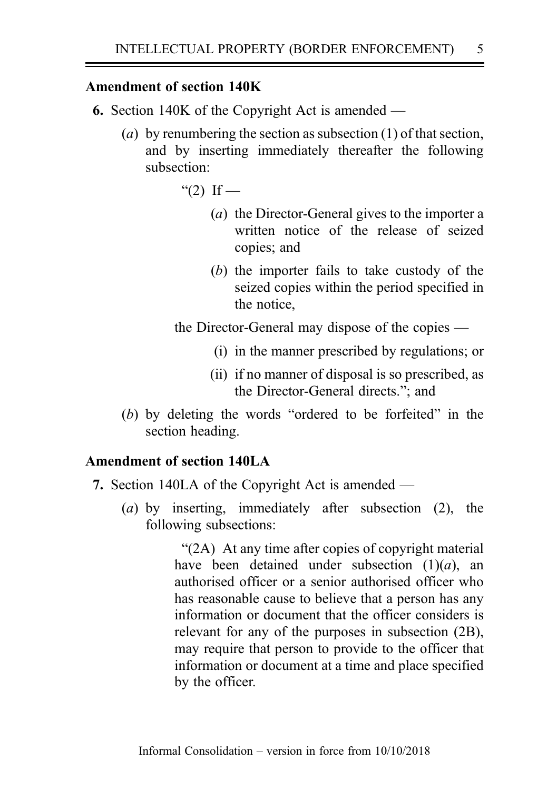# Amendment of section 140K

- 6. Section 140K of the Copyright Act is amended
	- (a) by renumbering the section as subsection  $(1)$  of that section, and by inserting immediately thereafter the following subsection:
		- " $(2)$  If
			- (a) the Director-General gives to the importer a written notice of the release of seized copies; and
			- (b) the importer fails to take custody of the seized copies within the period specified in the notice,

the Director-General may dispose of the copies —

- (i) in the manner prescribed by regulations; or
- (ii) if no manner of disposal is so prescribed, as the Director-General directs."; and
- (b) by deleting the words "ordered to be forfeited" in the section heading.

# Amendment of section 140LA

- 7. Section 140LA of the Copyright Act is amended
	- (a) by inserting, immediately after subsection (2), the following subsections:

"(2A) At any time after copies of copyright material have been detained under subsection  $(1)(a)$ , an authorised officer or a senior authorised officer who has reasonable cause to believe that a person has any information or document that the officer considers is relevant for any of the purposes in subsection (2B), may require that person to provide to the officer that information or document at a time and place specified by the officer.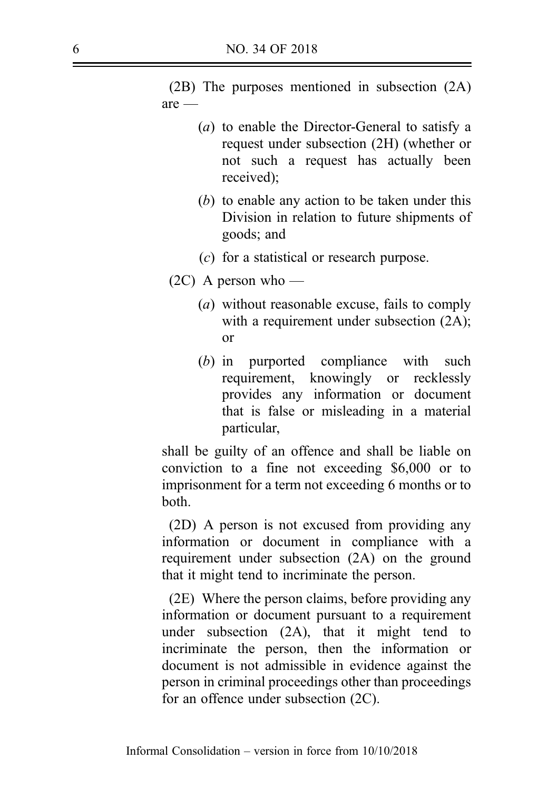(2B) The purposes mentioned in subsection (2A) are —

- (a) to enable the Director-General to satisfy a request under subsection (2H) (whether or not such a request has actually been received);
- (b) to enable any action to be taken under this Division in relation to future shipments of goods; and
- (c) for a statistical or research purpose.
- $(2C)$  A person who
	- (a) without reasonable excuse, fails to comply with a requirement under subsection  $(2A)$ ; or
	- (b) in purported compliance with such requirement, knowingly or recklessly provides any information or document that is false or misleading in a material particular,

shall be guilty of an offence and shall be liable on conviction to a fine not exceeding \$6,000 or to imprisonment for a term not exceeding 6 months or to both.

(2D) A person is not excused from providing any information or document in compliance with a requirement under subsection (2A) on the ground that it might tend to incriminate the person.

(2E) Where the person claims, before providing any information or document pursuant to a requirement under subsection (2A), that it might tend to incriminate the person, then the information or document is not admissible in evidence against the person in criminal proceedings other than proceedings for an offence under subsection (2C).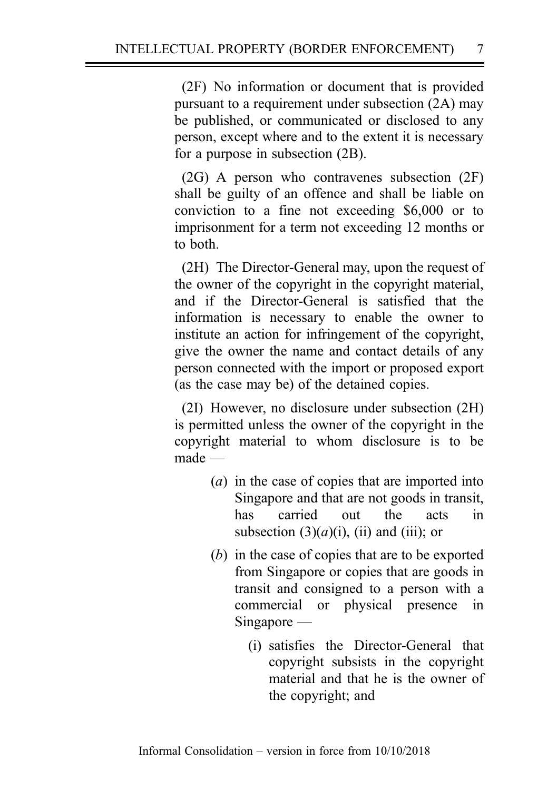(2F) No information or document that is provided pursuant to a requirement under subsection (2A) may be published, or communicated or disclosed to any person, except where and to the extent it is necessary for a purpose in subsection (2B).

(2G) A person who contravenes subsection (2F) shall be guilty of an offence and shall be liable on conviction to a fine not exceeding \$6,000 or to imprisonment for a term not exceeding 12 months or to both.

(2H) The Director-General may, upon the request of the owner of the copyright in the copyright material, and if the Director-General is satisfied that the information is necessary to enable the owner to institute an action for infringement of the copyright, give the owner the name and contact details of any person connected with the import or proposed export (as the case may be) of the detained copies.

(2I) However, no disclosure under subsection (2H) is permitted unless the owner of the copyright in the copyright material to whom disclosure is to be made —

- (a) in the case of copies that are imported into Singapore and that are not goods in transit, has carried out the acts in subsection  $(3)(a)(i)$ ,  $(ii)$  and  $(iii)$ ; or
- (b) in the case of copies that are to be exported from Singapore or copies that are goods in transit and consigned to a person with a commercial or physical presence in Singapore —
	- (i) satisfies the Director-General that copyright subsists in the copyright material and that he is the owner of the copyright; and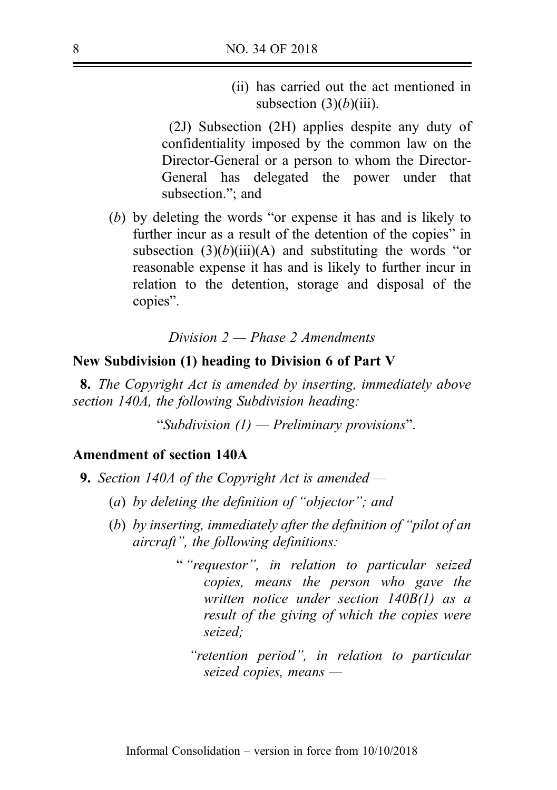(ii) has carried out the act mentioned in subsection  $(3)(b)(iii)$ .

(2J) Subsection (2H) applies despite any duty of confidentiality imposed by the common law on the Director-General or a person to whom the Director-General has delegated the power under that subsection."; and

(b) by deleting the words "or expense it has and is likely to further incur as a result of the detention of the copies" in subsection  $(3)(b)(iii)(A)$  and substituting the words "or reasonable expense it has and is likely to further incur in relation to the detention, storage and disposal of the copies".

Division  $2$  — Phase 2 Amendments

#### New Subdivision (1) heading to Division 6 of Part V

8. The Copyright Act is amended by inserting, immediately above section 140A, the following Subdivision heading:

"Subdivision  $(1)$  — Preliminary provisions".

### Amendment of section 140A

- **9.** Section 140A of the Copyright Act is amended  $-$ 
	- (a) by deleting the definition of "objector"; and
	- (b) by inserting, immediately after the definition of "pilot of an aircraft", the following definitions:
		- " "requestor", in relation to particular seized copies, means the person who gave the written notice under section 140B(1) as a result of the giving of which the copies were seized;
			- "retention period", in relation to particular seized copies, means —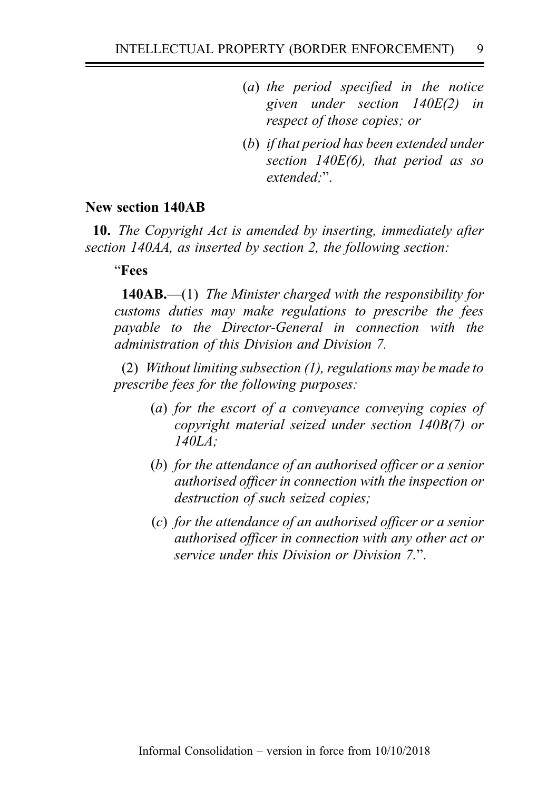- (a) the period specified in the notice given under section 140E(2) in respect of those copies; or
- (b) if that period has been extended under section  $140E(6)$ , that period as so extended:".

## New section 140AB

10. The Copyright Act is amended by inserting, immediately after section 140AA, as inserted by section 2, the following section:

"Fees

140AB.—(1) The Minister charged with the responsibility for customs duties may make regulations to prescribe the fees payable to the Director-General in connection with the administration of this Division and Division 7.

(2) Without limiting subsection (1), regulations may be made to prescribe fees for the following purposes:

- (a) for the escort of a conveyance conveying copies of copyright material seized under section 140B(7) or 140LA;
- (b) for the attendance of an authorised officer or a senior authorised officer in connection with the inspection or destruction of such seized copies;
- (c) for the attendance of an authorised officer or a senior authorised officer in connection with any other act or service under this Division or Division 7".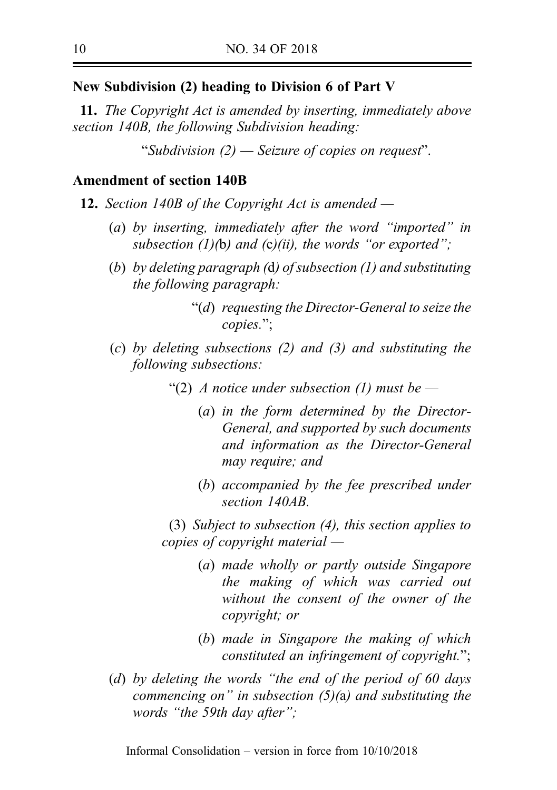### New Subdivision (2) heading to Division 6 of Part V

11. The Copyright Act is amended by inserting, immediately above section 140B, the following Subdivision heading:

"Subdivision (2) — Seizure of copies on request".

## Amendment of section 140B

- 12. Section 140B of the Copyright Act is amended  $-$ 
	- (a) by inserting, immediately after the word "imported" in subsection  $(1)(b)$  and  $(c)(ii)$ , the words "or exported";
	- (b) by deleting paragraph (d) of subsection (1) and substituting the following paragraph:

"(d) requesting the Director-General to seize the copies.";

- (c) by deleting subsections (2) and (3) and substituting the following subsections:
	- "(2) A notice under subsection (1) must be  $-$ 
		- (a) in the form determined by the Director-General, and supported by such documents and information as the Director-General may require; and
		- (b) accompanied by the fee prescribed under section 140AB

(3) Subject to subsection (4), this section applies to copies of copyright material —

- (a) made wholly or partly outside Singapore the making of which was carried out without the consent of the owner of the copyright; or
- (b) made in Singapore the making of which constituted an infringement of copyright.";
- (d) by deleting the words "the end of the period of 60 days commencing on" in subsection  $(5)(a)$  and substituting the words "the 59th day after";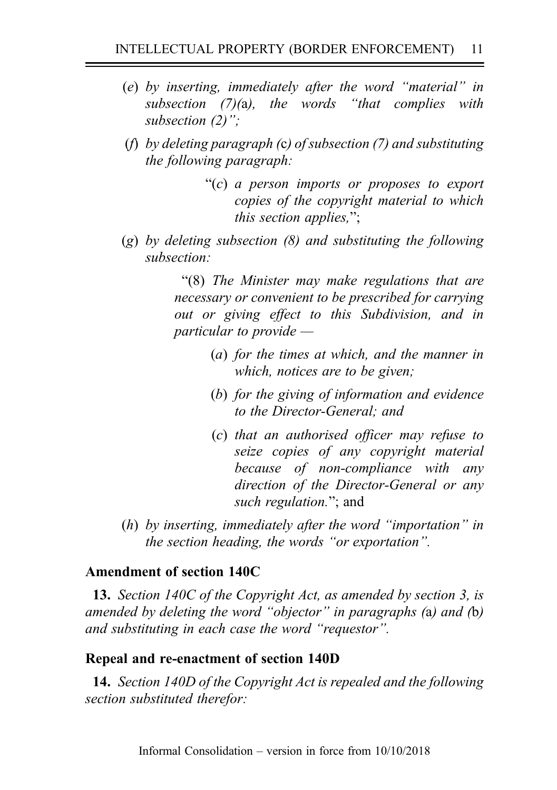- (e) by inserting, immediately after the word "material" in subsection (7)(a), the words "that complies with subsection (2)":
- (f) by deleting paragraph (c) of subsection  $(7)$  and substituting the following paragraph:

"(c) a person imports or proposes to export copies of the copyright material to which this section applies,";

 $(g)$  by deleting subsection  $(8)$  and substituting the following subsection:

> "(8) The Minister may make regulations that are necessary or convenient to be prescribed for carrying out or giving effect to this Subdivision, and in particular to provide —

- (a) for the times at which, and the manner in which, notices are to be given;
- (b) for the giving of information and evidence to the Director-General; and
- (c) that an authorised officer may refuse to seize copies of any copyright material because of non-compliance with any direction of the Director-General or any such regulation."; and
- (h) by inserting, immediately after the word "importation" in the section heading, the words "or exportation".

# Amendment of section 140C

13. Section 140C of the Copyright Act, as amended by section 3, is amended by deleting the word "objector" in paragraphs (a) and (b) and substituting in each case the word "requestor".

# Repeal and re-enactment of section 140D

14. Section 140D of the Copyright Act is repealed and the following section substituted therefor: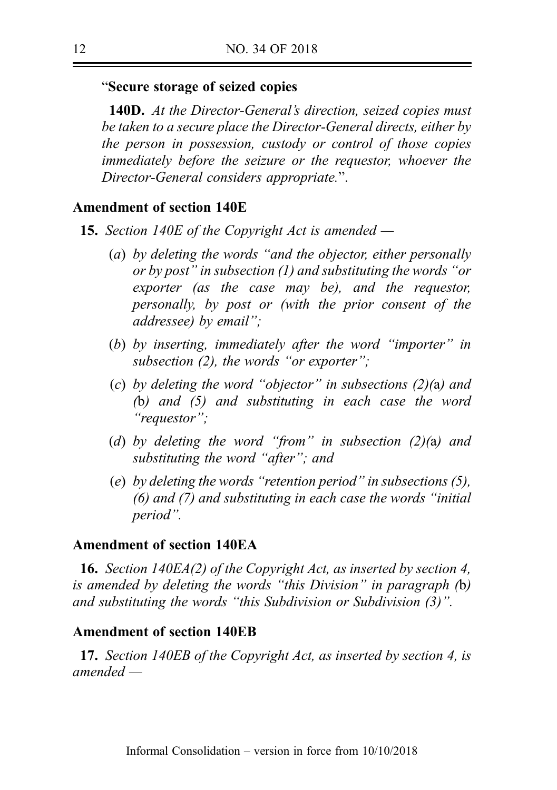### "Secure storage of seized copies

**140D.** At the Director-General's direction, seized copies must be taken to a secure place the Director-General directs, either by the person in possession, custody or control of those copies immediately before the seizure or the requestor, whoever the Director-General considers appropriate.".

### Amendment of section 140E

- **15.** Section 140E of the Copyright Act is amended  $-$ 
	- (a) by deleting the words "and the objector, either personally or by post" in subsection (1) and substituting the words "or exporter (as the case may be), and the requestor, personally, by post or (with the prior consent of the addressee) by email";
	- (b) by inserting, immediately after the word "importer" in subsection (2), the words "or exporter";
	- (c) by deleting the word "objector" in subsections (2)(a) and (b) and (5) and substituting in each case the word "requestor";
	- (d) by deleting the word "from" in subsection  $(2)(a)$  and substituting the word "after"; and
	- (e) by deleting the words "retention period" in subsections (5), (6) and (7) and substituting in each case the words "initial period".

### Amendment of section 140EA

16. Section 140EA(2) of the Copyright Act, as inserted by section 4, is amended by deleting the words "this Division" in paragraph (b) and substituting the words "this Subdivision or Subdivision (3)".

#### Amendment of section 140EB

17. Section 140EB of the Copyright Act, as inserted by section 4, is amended —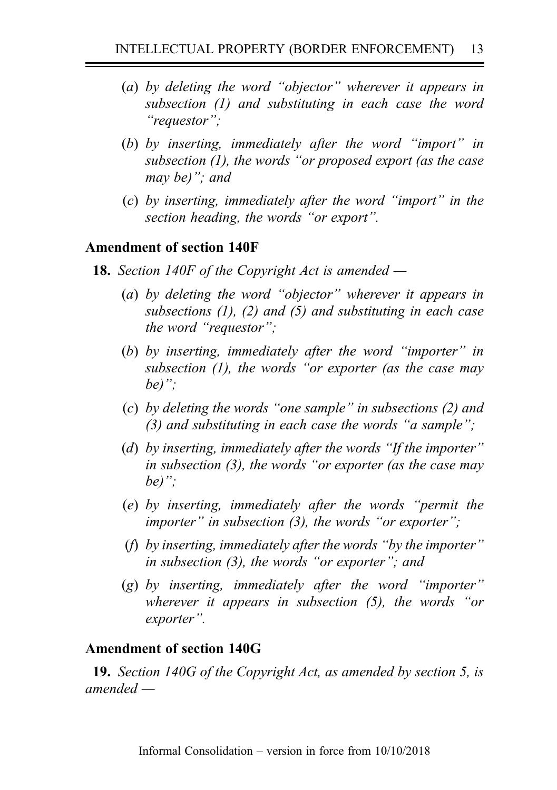- (a) by deleting the word "objector" wherever it appears in subsection (1) and substituting in each case the word "requestor";
- (b) by inserting, immediately after the word "import" in subsection (1), the words "or proposed export (as the case may be)"; and
- (c) by inserting, immediately after the word "import" in the section heading, the words "or export".

# Amendment of section 140F

- **18.** Section 140F of the Copyright Act is amended  $-$ 
	- (a) by deleting the word "objector" wherever it appears in subsections  $(1)$ ,  $(2)$  and  $(5)$  and substituting in each case the word "requestor";
	- (b) by inserting, immediately after the word "importer" in subsection (1), the words "or exporter (as the case may be)":
	- (c) by deleting the words "one sample" in subsections (2) and (3) and substituting in each case the words "a sample";
	- (d) by inserting, immediately after the words "If the importer" in subsection (3), the words "or exporter (as the case may be)";
	- (e) by inserting, immediately after the words "permit the importer" in subsection  $(3)$ , the words "or exporter";
	- (f) by inserting, immediately after the words "by the importer" in subsection (3), the words "or exporter"; and
	- $(g)$  by inserting, immediately after the word "importer" wherever it appears in subsection (5), the words "or exporter".

## Amendment of section 140G

19. Section 140G of the Copyright Act, as amended by section 5, is amended —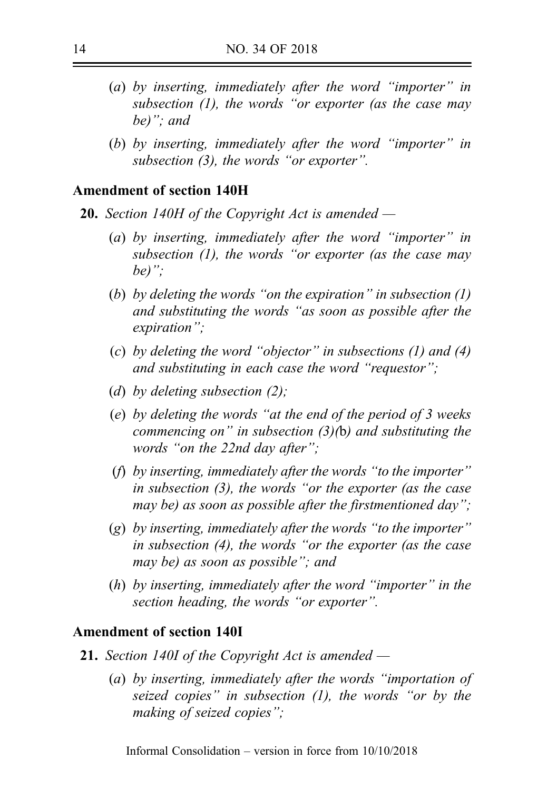- (a) by inserting, immediately after the word "importer" in subsection (1), the words "or exporter (as the case may be)"; and
- (b) by inserting, immediately after the word "importer" in subsection (3), the words "or exporter".

#### Amendment of section 140H

- **20.** Section 140H of the Copyright Act is amended  $-$ 
	- (a) by inserting, immediately after the word "importer" in subsection  $(1)$ , the words "or exporter (as the case may be)":
	- (b) by deleting the words "on the expiration" in subsection  $(1)$ and substituting the words "as soon as possible after the expiration";
	- (c) by deleting the word "objector" in subsections (1) and (4) and substituting in each case the word "requestor";
	- (d) by deleting subsection  $(2)$ :
	- (e) by deleting the words "at the end of the period of 3 weeks commencing on" in subsection  $(3)(b)$  and substituting the words "on the 22nd day after";
	- (f) by inserting, immediately after the words "to the importer" in subsection (3), the words "or the exporter (as the case may be) as soon as possible after the firstmentioned day";
	- $(g)$  by inserting, immediately after the words "to the importer" in subsection (4), the words "or the exporter (as the case may be) as soon as possible"; and
	- (h) by inserting, immediately after the word "importer" in the section heading, the words "or exporter".

#### Amendment of section 140I

- **21.** Section 140I of the Copyright Act is amended  $-$ 
	- (a) by inserting, immediately after the words "importation of seized copies" in subsection  $(1)$ , the words "or by the making of seized copies";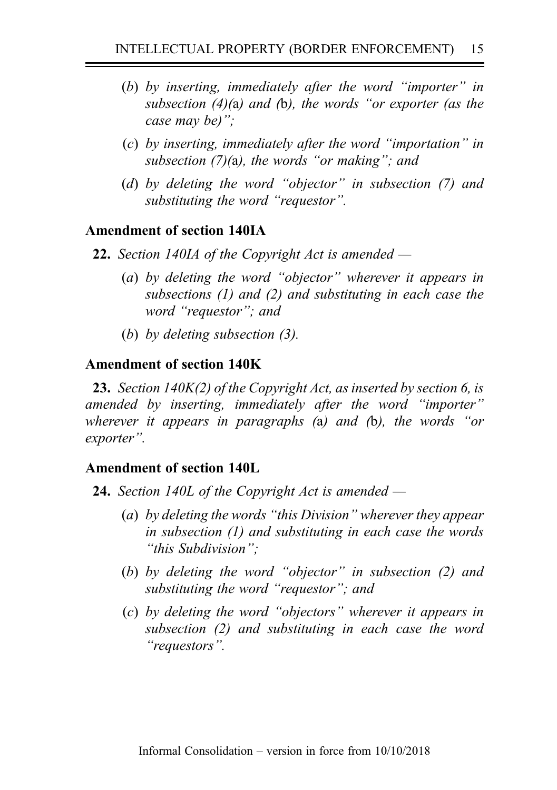- (b) by inserting, immediately after the word "importer" in subsection (4)(a) and (b), the words "or exporter (as the case may be)";
- (c) by inserting, immediately after the word "importation" in subsection  $(7)(a)$ , the words "or making"; and
- (d) by deleting the word "objector" in subsection (7) and substituting the word "requestor".

# Amendment of section 140IA

- **22.** Section 140IA of the Copyright Act is amended  $-$ 
	- (a) by deleting the word "objector" wherever it appears in subsections (1) and (2) and substituting in each case the word "requestor"; and
	- (b) by deleting subsection (3).

# Amendment of section 140K

23. Section 140K(2) of the Copyright Act, as inserted by section 6, is amended by inserting, immediately after the word "importer" wherever it appears in paragraphs (a) and (b), the words "or exporter".

## Amendment of section 140L

- **24.** Section 140L of the Copyright Act is amended  $-$ 
	- (a) by deleting the words "this Division" wherever they appear in subsection (1) and substituting in each case the words "this Subdivision";
	- (b) by deleting the word "objector" in subsection (2) and substituting the word "requestor"; and
	- (c) by deleting the word "objectors" wherever it appears in subsection (2) and substituting in each case the word "requestors".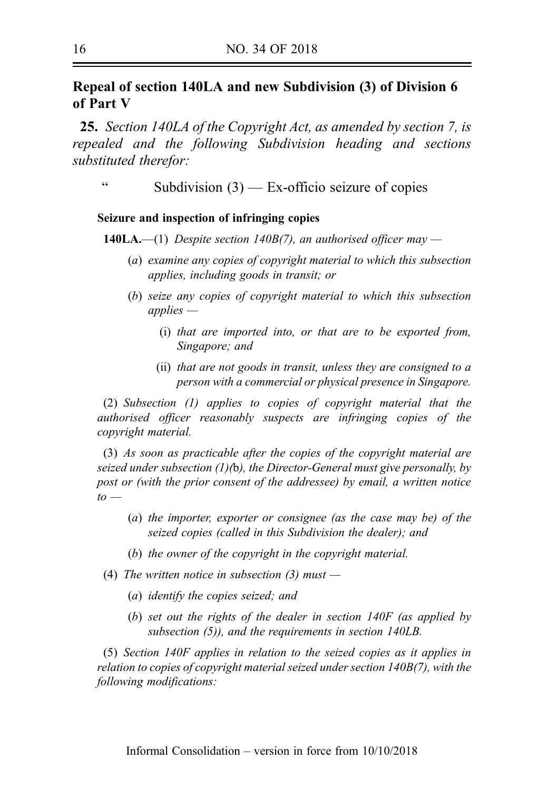# Repeal of section 140LA and new Subdivision (3) of Division 6 of Part V

25. Section 140LA of the Copyright Act, as amended by section 7, is repealed and the following Subdivision heading and sections substituted therefor:

" Subdivision (3) — Ex-officio seizure of copies

#### Seizure and inspection of infringing copies

**140LA.—(1)** Despite section 140B(7), an authorised officer may —

- (a) examine any copies of copyright material to which this subsection applies, including goods in transit; or
- (b) seize any copies of copyright material to which this subsection applies —
	- (i) that are imported into, or that are to be exported from, Singapore; and
	- (ii) that are not goods in transit, unless they are consigned to a person with a commercial or physical presence in Singapore.

(2) Subsection (1) applies to copies of copyright material that the authorised officer reasonably suspects are infringing copies of the copyright material.

(3) As soon as practicable after the copies of the copyright material are seized under subsection  $(1)(b)$ , the Director-General must give personally, by post or (with the prior consent of the addressee) by email, a written notice  $to -$ 

- (a) the importer, exporter or consignee (as the case may be) of the seized copies (called in this Subdivision the dealer); and
- (b) the owner of the copyright in the copyright material.
- (4) The written notice in subsection  $(3)$  must
	- (a) identify the copies seized; and
	- (b) set out the rights of the dealer in section 140F (as applied by subsection (5)), and the requirements in section 140LB.

(5) Section 140F applies in relation to the seized copies as it applies in relation to copies of copyright material seized under section 140B(7), with the following modifications: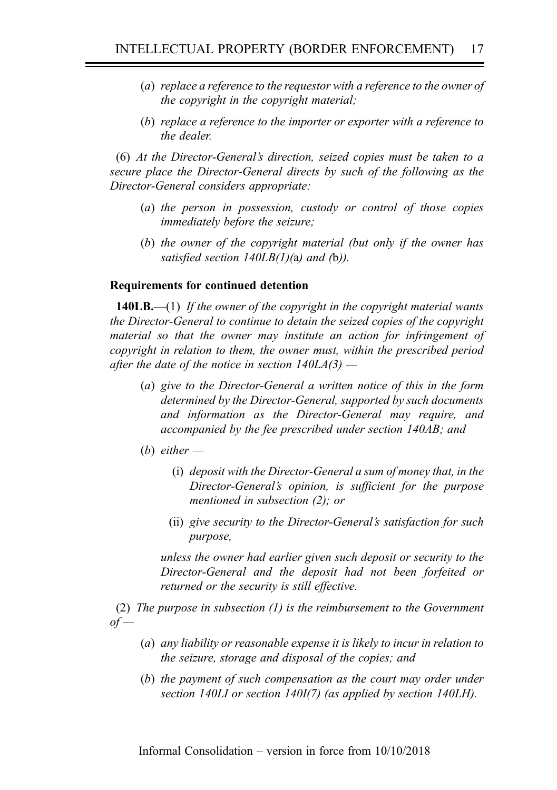- (a) replace a reference to the requestor with a reference to the owner of the copyright in the copyright material;
- (b) replace a reference to the importer or exporter with a reference to the dealer.

(6) At the Director-General's direction, seized copies must be taken to a secure place the Director-General directs by such of the following as the Director-General considers appropriate:

- (a) the person in possession, custody or control of those copies immediately before the seizure;
- (b) the owner of the copyright material (but only if the owner has satisfied section  $140LB(1)(a)$  and (b)).

#### Requirements for continued detention

**140LB.**—(1) If the owner of the copyright in the copyright material wants the Director-General to continue to detain the seized copies of the copyright material so that the owner may institute an action for infringement of copyright in relation to them, the owner must, within the prescribed period after the date of the notice in section  $140LA(3)$  —

- (a) give to the Director-General a written notice of this in the form determined by the Director-General, supported by such documents and information as the Director-General may require, and accompanied by the fee prescribed under section 140AB; and
- (b) either  $-$ 
	- (i) deposit with the Director-General a sum of money that, in the Director-General's opinion, is sufficient for the purpose mentioned in subsection (2); or
	- (ii) give security to the Director-General's satisfaction for such purpose,

unless the owner had earlier given such deposit or security to the Director-General and the deposit had not been forfeited or returned or the security is still effective.

(2) The purpose in subsection (1) is the reimbursement to the Government  $of$ 

- (a) any liability or reasonable expense it is likely to incur in relation to the seizure, storage and disposal of the copies; and
- (b) the payment of such compensation as the court may order under section 140LI or section 140I(7) (as applied by section 140LH).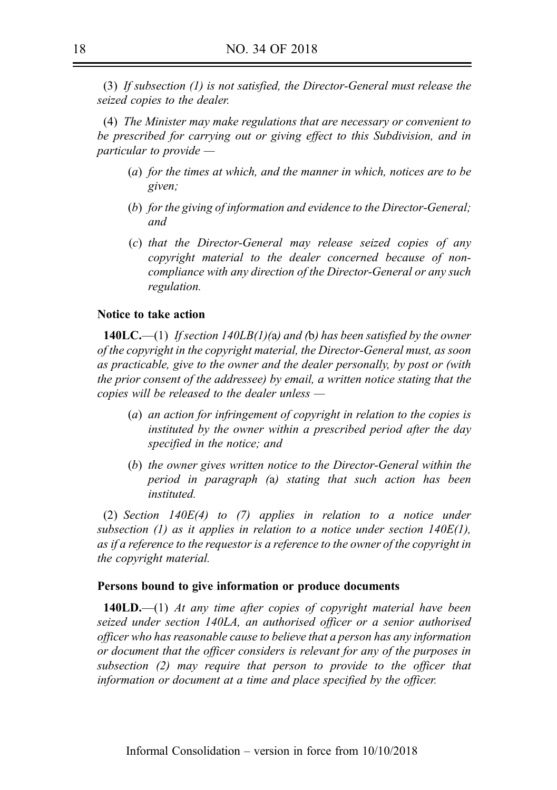(3) If subsection (1) is not satisfied, the Director-General must release the seized copies to the dealer.

(4) The Minister may make regulations that are necessary or convenient to be prescribed for carrying out or giving effect to this Subdivision, and in particular to provide —

- (a) for the times at which, and the manner in which, notices are to be given;
- (b) for the giving of information and evidence to the Director-General; and
- (c) that the Director-General may release seized copies of any copyright material to the dealer concerned because of noncompliance with any direction of the Director-General or any such regulation.

#### Notice to take action

**140LC.**—(1) If section 140LB(1)(a) and (b) has been satisfied by the owner of the copyright in the copyright material, the Director-General must, as soon as practicable, give to the owner and the dealer personally, by post or (with the prior consent of the addressee) by email, a written notice stating that the copies will be released to the dealer unless —

- (a) an action for infringement of copyright in relation to the copies is instituted by the owner within a prescribed period after the day specified in the notice; and
- (b) the owner gives written notice to the Director-General within the period in paragraph (a) stating that such action has been instituted.

(2) Section 140E(4) to (7) applies in relation to a notice under subsection  $(1)$  as it applies in relation to a notice under section  $140E(1)$ , as if a reference to the requestor is a reference to the owner of the copyright in the copyright material.

#### Persons bound to give information or produce documents

**140LD.**—(1) At any time after copies of copyright material have been seized under section 140LA, an authorised officer or a senior authorised officer who has reasonable cause to believe that a person has any information or document that the officer considers is relevant for any of the purposes in subsection (2) may require that person to provide to the officer that information or document at a time and place specified by the officer.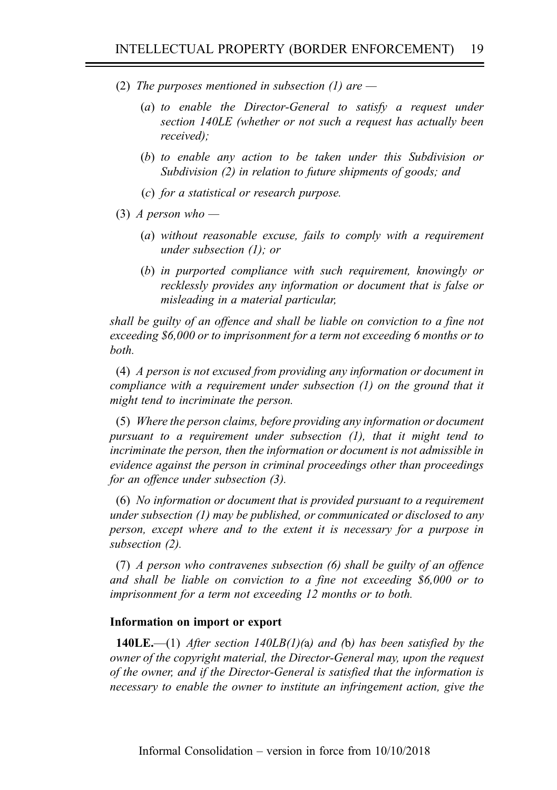- (2) The purposes mentioned in subsection (1) are  $-$ 
	- (a) to enable the Director-General to satisfy a request under section 140LE (whether or not such a request has actually been received);
	- (b) to enable any action to be taken under this Subdivision or Subdivision (2) in relation to future shipments of goods; and
	- (c) for a statistical or research purpose.
- (3) A person who  $-$ 
	- (a) without reasonable excuse, fails to comply with a requirement under subsection (1); or
	- (b) in purported compliance with such requirement, knowingly or recklessly provides any information or document that is false or misleading in a material particular,

shall be guilty of an offence and shall be liable on conviction to a fine not exceeding \$6,000 or to imprisonment for a term not exceeding 6 months or to both.

(4) A person is not excused from providing any information or document in compliance with a requirement under subsection (1) on the ground that it might tend to incriminate the person.

(5) Where the person claims, before providing any information or document pursuant to a requirement under subsection (1), that it might tend to incriminate the person, then the information or document is not admissible in evidence against the person in criminal proceedings other than proceedings for an offence under subsection (3).

(6) No information or document that is provided pursuant to a requirement under subsection (1) may be published, or communicated or disclosed to any person, except where and to the extent it is necessary for a purpose in subsection (2).

(7) A person who contravenes subsection (6) shall be guilty of an offence and shall be liable on conviction to a fine not exceeding \$6,000 or to imprisonment for a term not exceeding 12 months or to both.

#### Information on import or export

**140LE.**—(1) After section 140LB(1)(a) and (b) has been satisfied by the owner of the copyright material, the Director-General may, upon the request of the owner, and if the Director-General is satisfied that the information is necessary to enable the owner to institute an infringement action, give the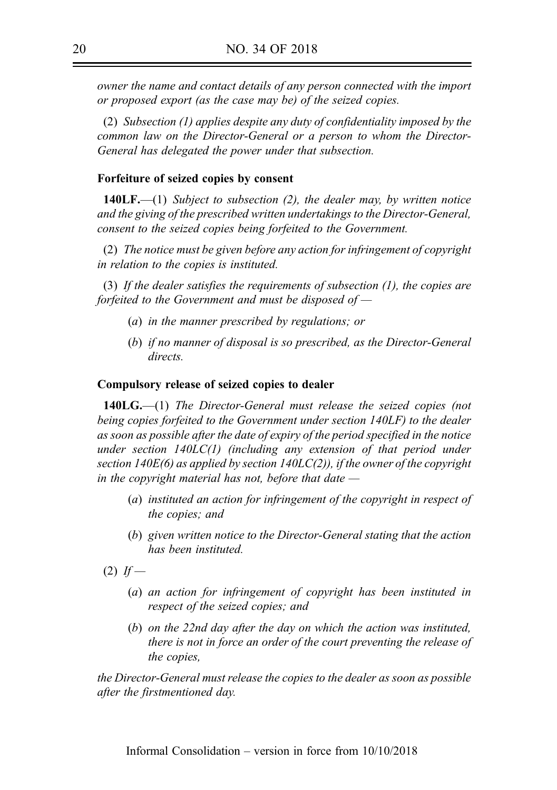owner the name and contact details of any person connected with the import or proposed export (as the case may be) of the seized copies.

(2) Subsection (1) applies despite any duty of confidentiality imposed by the common law on the Director-General or a person to whom the Director-General has delegated the power under that subsection.

#### Forfeiture of seized copies by consent

**140LF.**—(1) Subject to subsection (2), the dealer may, by written notice and the giving of the prescribed written undertakings to the Director-General, consent to the seized copies being forfeited to the Government.

(2) The notice must be given before any action for infringement of copyright in relation to the copies is instituted.

(3) If the dealer satisfies the requirements of subsection (1), the copies are forfeited to the Government and must be disposed of  $-$ 

- (a) in the manner prescribed by regulations; or
- (b) if no manner of disposal is so prescribed, as the Director-General directs.

#### Compulsory release of seized copies to dealer

140LG.—(1) The Director-General must release the seized copies (not being copies forfeited to the Government under section 140LF) to the dealer as soon as possible after the date of expiry of the period specified in the notice under section 140LC(1) (including any extension of that period under section  $140E(6)$  as applied by section  $140LC(2)$ ), if the owner of the copyright in the copyright material has not, before that date  $-$ 

- (a) instituted an action for infringement of the copyright in respect of the copies; and
- (b) given written notice to the Director-General stating that the action has been instituted.

 $(2)$  If —

- (a) an action for infringement of copyright has been instituted in respect of the seized copies; and
- (b) on the 22nd day after the day on which the action was instituted, there is not in force an order of the court preventing the release of the copies,

the Director-General must release the copies to the dealer as soon as possible after the firstmentioned day.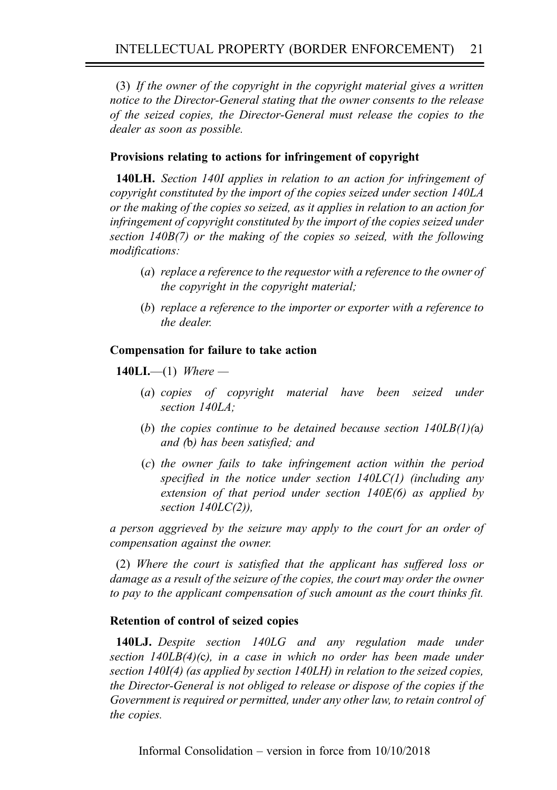(3) If the owner of the copyright in the copyright material gives a written notice to the Director-General stating that the owner consents to the release of the seized copies, the Director-General must release the copies to the dealer as soon as possible.

#### Provisions relating to actions for infringement of copyright

140LH. Section 140I applies in relation to an action for infringement of copyright constituted by the import of the copies seized under section 140LA or the making of the copies so seized, as it applies in relation to an action for infringement of copyright constituted by the import of the copies seized under section 140B(7) or the making of the copies so seized, with the following modifications:

- (a) replace a reference to the requestor with a reference to the owner of the copyright in the copyright material;
- (b) replace a reference to the importer or exporter with a reference to the dealer.

#### Compensation for failure to take action

140LI.—(1) Where —

- (a) copies of copyright material have been seized under section 140LA;
- (b) the copies continue to be detained because section  $140LB(1)(a)$ and (b) has been satisfied; and
- (c) the owner fails to take infringement action within the period specified in the notice under section  $140LC(1)$  (including any extension of that period under section  $140E(6)$  as applied by section  $140LC(2)$ ),

a person aggrieved by the seizure may apply to the court for an order of compensation against the owner.

(2) Where the court is satisfied that the applicant has suffered loss or damage as a result of the seizure of the copies, the court may order the owner to pay to the applicant compensation of such amount as the court thinks fit.

#### Retention of control of seized copies

140LJ. Despite section 140LG and any regulation made under section  $140LB(4)(c)$ , in a case in which no order has been made under section 140I(4) (as applied by section 140LH) in relation to the seized copies, the Director-General is not obliged to release or dispose of the copies if the Government is required or permitted, under any other law, to retain control of the copies.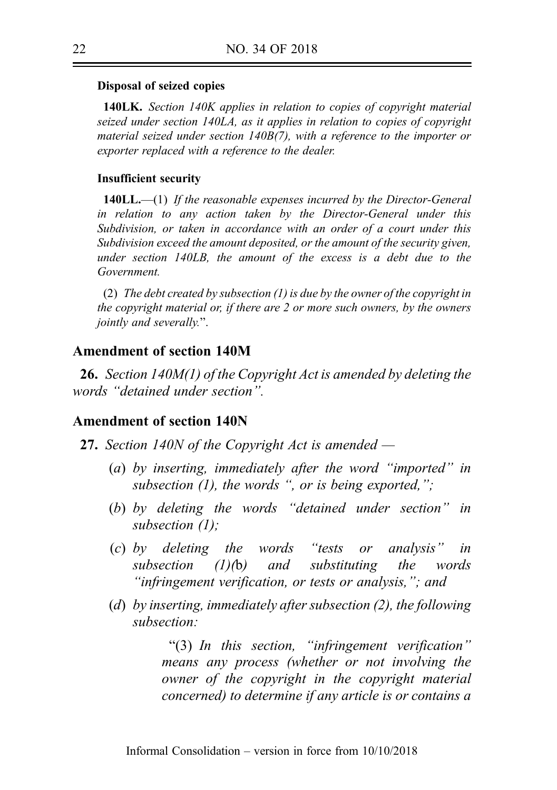#### Disposal of seized copies

140LK. Section 140K applies in relation to copies of copyright material seized under section 140LA, as it applies in relation to copies of copyright material seized under section 140B(7), with a reference to the importer or exporter replaced with a reference to the dealer.

#### Insufficient security

**140LL.**—(1) If the reasonable expenses incurred by the Director-General in relation to any action taken by the Director-General under this Subdivision, or taken in accordance with an order of a court under this Subdivision exceed the amount deposited, or the amount of the security given, under section 140LB, the amount of the excess is a debt due to the Government.

(2) The debt created by subsection (1) is due by the owner of the copyright in the copyright material or, if there are 2 or more such owners, by the owners jointly and severally.".

#### Amendment of section 140M

26. Section 140M(1) of the Copyright Act is amended by deleting the words "detained under section".

### Amendment of section 140N

- 27. Section 140N of the Copyright Act is amended
	- (a) by inserting, immediately after the word "imported" in subsection  $(1)$ , the words ", or is being exported,";
	- (b) by deleting the words "detained under section" in subsection (1);
	- (c) by deleting the words "tests or analysis" in subsection (1)(b) and substituting the words "infringement verification, or tests or analysis,"; and
	- (d) by inserting, immediately after subsection (2), the following subsection:

"(3) In this section, "infringement verification" means any process (whether or not involving the owner of the copyright in the copyright material concerned) to determine if any article is or contains a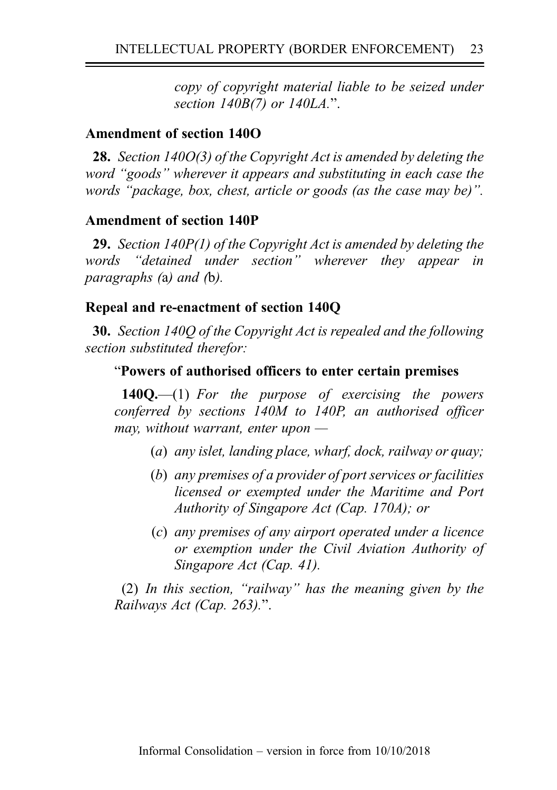copy of copyright material liable to be seized under section 140B(7) or 140LA.".

# Amendment of section 140O

28. Section 140O(3) of the Copyright Act is amended by deleting the word "goods" wherever it appears and substituting in each case the words "package, box, chest, article or goods (as the case may be)".

## Amendment of section 140P

29. Section 140P(1) of the Copyright Act is amended by deleting the words "detained under section" wherever they appear in paragraphs (a) and (b).

### Repeal and re-enactment of section 140Q

30. Section 140Q of the Copyright Act is repealed and the following section substituted therefor:

# "Powers of authorised officers to enter certain premises

 $140Q$ ,  $-$ (1) For the purpose of exercising the powers conferred by sections 140M to 140P, an authorised officer may, without warrant, enter upon  $-$ 

- (a) any islet, landing place, wharf, dock, railway or quay;
- (b) any premises of a provider of port services or facilities licensed or exempted under the Maritime and Port Authority of Singapore Act (Cap. 170A); or
- (c) any premises of any airport operated under a licence or exemption under the Civil Aviation Authority of Singapore Act (Cap. 41).

(2) In this section, "railway" has the meaning given by the Railways Act (Cap. 263).".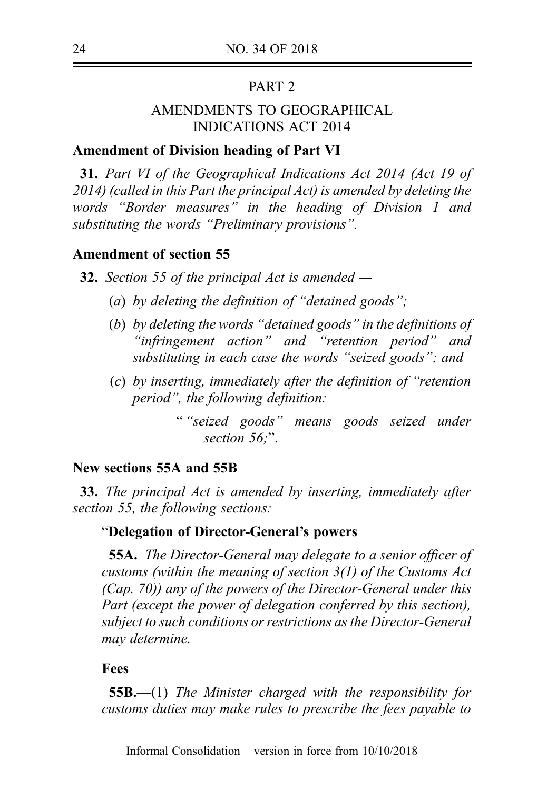# PART<sub>2</sub>

# AMENDMENTS TO GEOGRAPHICAL INDICATIONS ACT 2014

# Amendment of Division heading of Part VI

31. Part VI of the Geographical Indications Act 2014 (Act 19 of 2014) (called in this Part the principal Act) is amended by deleting the words "Border measures" in the heading of Division 1 and substituting the words "Preliminary provisions".

### Amendment of section 55

**32.** Section 55 of the principal Act is amended  $-$ 

- (a) by deleting the definition of "detained goods";
- (b) by deleting the words "detained goods" in the definitions of "infringement action" and "retention period" and substituting in each case the words "seized goods"; and
- (c) by inserting, immediately after the definition of "retention period", the following definition:
	- " "seized goods" means goods seized under section 56:".

# New sections 55A and 55B

33. The principal Act is amended by inserting, immediately after section 55, the following sections:

# "Delegation of Director-General's powers

55A. The Director-General may delegate to a senior officer of customs (within the meaning of section 3(1) of the Customs Act (Cap. 70)) any of the powers of the Director-General under this Part (except the power of delegation conferred by this section), subject to such conditions or restrictions as the Director-General may determine.

#### Fees

**55B.**—(1) The Minister charged with the responsibility for customs duties may make rules to prescribe the fees payable to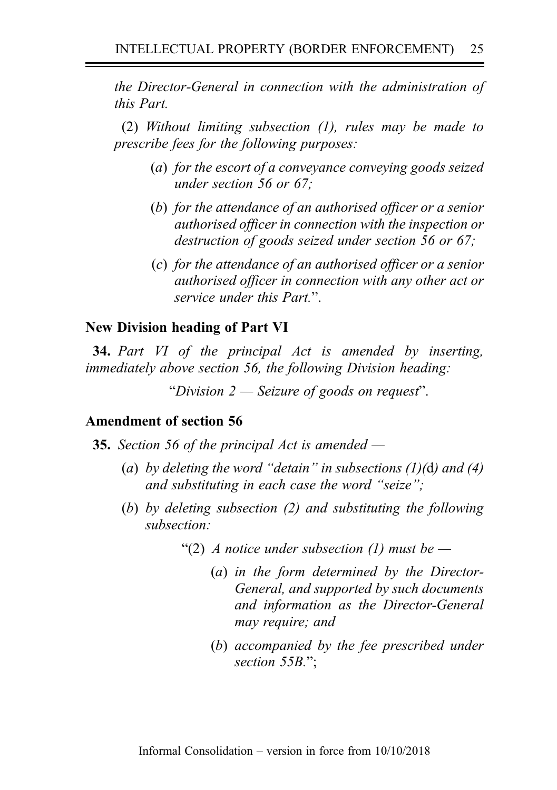the Director-General in connection with the administration of this Part.

(2) Without limiting subsection (1), rules may be made to prescribe fees for the following purposes:

- (a) for the escort of a conveyance conveying goods seized under section 56 or 67;
- (b) for the attendance of an authorised officer or a senior authorised officer in connection with the inspection or destruction of goods seized under section 56 or 67;
- (c) for the attendance of an authorised officer or a senior authorised officer in connection with any other act or service under this Part".

### New Division heading of Part VI

**34.** Part VI of the principal Act is amended by inserting, immediately above section 56, the following Division heading:

"Division 2 — Seizure of goods on request".

## Amendment of section 56

- **35.** Section 56 of the principal Act is amended  $-$ 
	- (a) by deleting the word "detain" in subsections  $(1)(d)$  and  $(4)$ and substituting in each case the word "seize";
	- (b) by deleting subsection (2) and substituting the following subsection:
		- "(2) A notice under subsection (1) must be  $-$ 
			- (a) in the form determined by the Director-General, and supported by such documents and information as the Director-General may require; and
			- (b) accompanied by the fee prescribed under section 55B.":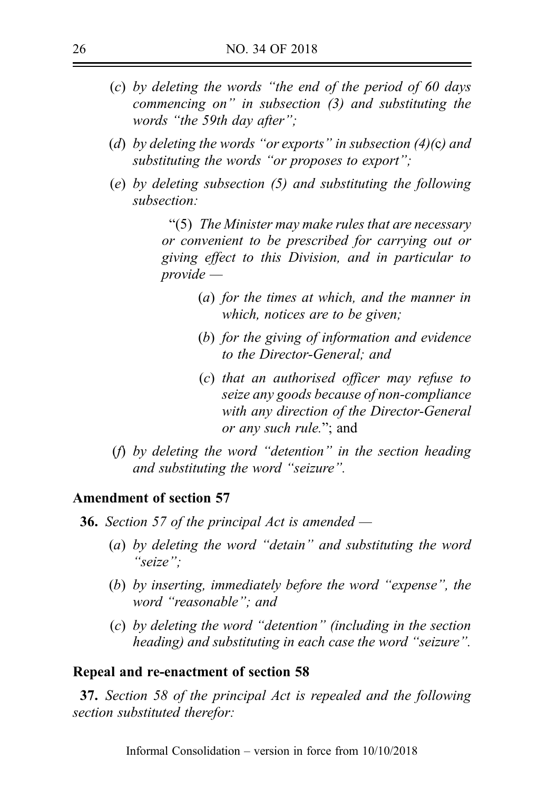- (c) by deleting the words "the end of the period of 60 days commencing on" in subsection (3) and substituting the words "the 59th day after";
- (d) by deleting the words "or exports" in subsection  $(4)(c)$  and substituting the words "or proposes to export";
- (e) by deleting subsection (5) and substituting the following subsection:

"(5) The Minister may make rules that are necessary or convenient to be prescribed for carrying out or giving effect to this Division, and in particular to provide —

- (a) for the times at which, and the manner in which, notices are to be given;
- (b) for the giving of information and evidence to the Director-General; and
- (c) that an authorised officer may refuse to seize any goods because of non-compliance with any direction of the Director-General or any such rule."; and
- (f) by deleting the word "detention" in the section heading and substituting the word "seizure".

#### Amendment of section 57

**36.** Section 57 of the principal Act is amended  $-$ 

- (a) by deleting the word "detain" and substituting the word " $seize"$
- (b) by inserting, immediately before the word "expense", the word "reasonable"; and
- (c) by deleting the word "detention" (including in the section heading) and substituting in each case the word "seizure".

#### Repeal and re-enactment of section 58

37. Section 58 of the principal Act is repealed and the following section substituted therefor: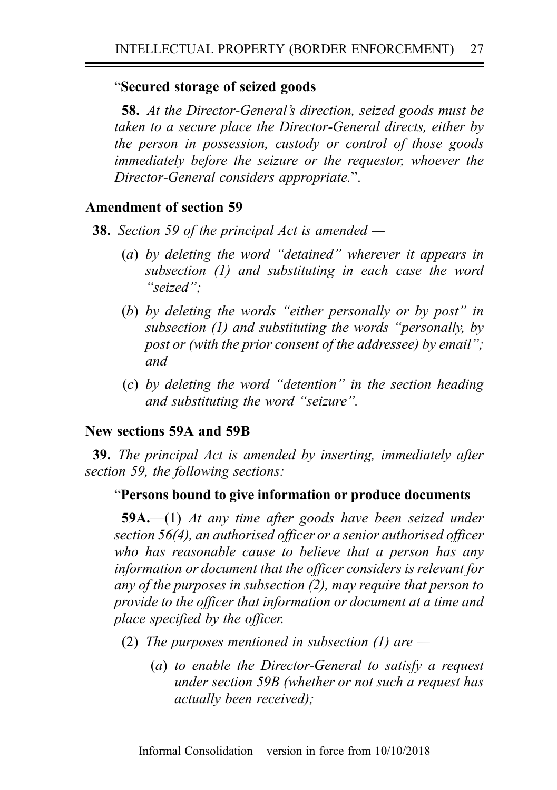# "Secured storage of seized goods

58. At the Director-General's direction, seized goods must be taken to a secure place the Director-General directs, either by the person in possession, custody or control of those goods immediately before the seizure or the requestor, whoever the Director-General considers appropriate.".

# Amendment of section 59

**38.** Section 59 of the principal Act is amended  $-$ 

- (a) by deleting the word "detained" wherever it appears in subsection (1) and substituting in each case the word "seized";
- (b) by deleting the words "either personally or by post" in subsection (1) and substituting the words "personally, by post or (with the prior consent of the addressee) by email"; and
- (c) by deleting the word "detention" in the section heading and substituting the word "seizure".

# New sections 59A and 59B

39. The principal Act is amended by inserting, immediately after section 59, the following sections:

# "Persons bound to give information or produce documents

 $59A$ .—(1) At any time after goods have been seized under section 56(4), an authorised officer or a senior authorised officer who has reasonable cause to believe that a person has any information or document that the officer considers is relevant for any of the purposes in subsection (2), may require that person to provide to the officer that information or document at a time and place specified by the officer.

- (2) The purposes mentioned in subsection (1) are  $-$ 
	- (a) to enable the Director-General to satisfy a request under section 59B (whether or not such a request has actually been received);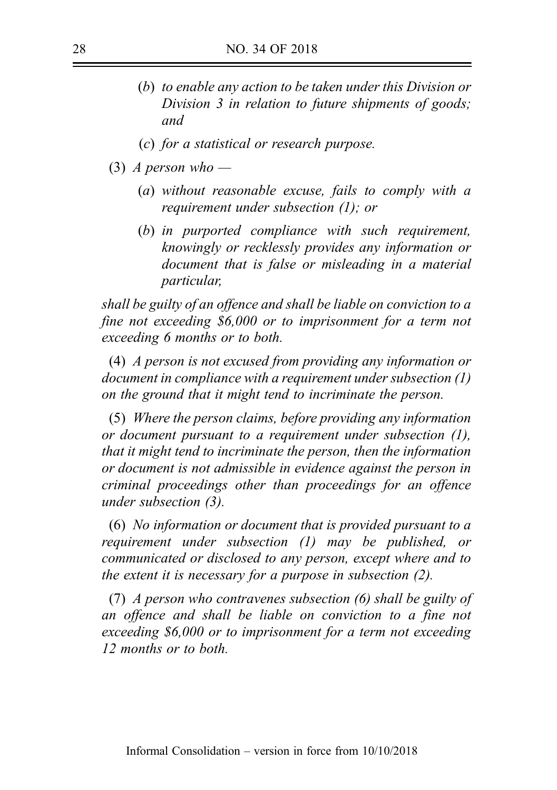- (b) to enable any action to be taken under this Division or Division 3 in relation to future shipments of goods; and
- (c) for a statistical or research purpose.
- (3) A person who
	- (a) without reasonable excuse, fails to comply with a requirement under subsection (1); or
	- (b) in purported compliance with such requirement, knowingly or recklessly provides any information or document that is false or misleading in a material particular,

shall be guilty of an offence and shall be liable on conviction to a fine not exceeding \$6,000 or to imprisonment for a term not exceeding 6 months or to both.

(4) A person is not excused from providing any information or document in compliance with a requirement under subsection (1) on the ground that it might tend to incriminate the person.

(5) Where the person claims, before providing any information or document pursuant to a requirement under subsection (1), that it might tend to incriminate the person, then the information or document is not admissible in evidence against the person in criminal proceedings other than proceedings for an offence under subsection (3).

(6) No information or document that is provided pursuant to a requirement under subsection (1) may be published, or communicated or disclosed to any person, except where and to the extent it is necessary for a purpose in subsection (2).

(7) A person who contravenes subsection (6) shall be guilty of an offence and shall be liable on conviction to a fine not exceeding \$6,000 or to imprisonment for a term not exceeding 12 months or to both.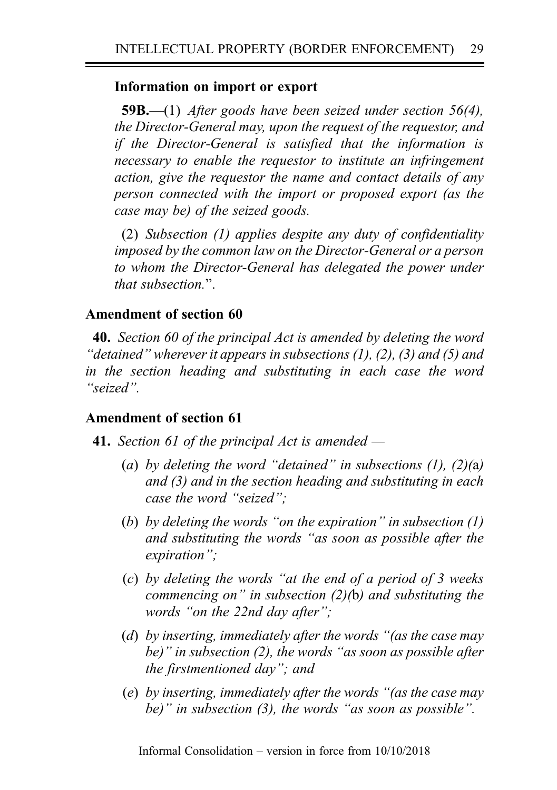# Information on import or export

**59B.**—(1) After goods have been seized under section 56(4), the Director-General may, upon the request of the requestor, and if the Director-General is satisfied that the information is necessary to enable the requestor to institute an infringement action, give the requestor the name and contact details of any person connected with the import or proposed export (as the case may be) of the seized goods.

(2) Subsection (1) applies despite any duty of confidentiality imposed by the common law on the Director-General or a person to whom the Director-General has delegated the power under that subsection.".

# Amendment of section 60

40. Section 60 of the principal Act is amended by deleting the word "detained" wherever it appears in subsections (1), (2), (3) and (5) and in the section heading and substituting in each case the word "seized".

# Amendment of section 61

- **41.** Section 61 of the principal Act is amended  $-$ 
	- (a) by deleting the word "detained" in subsections  $(1)$ ,  $(2)(a)$ and (3) and in the section heading and substituting in each case the word "seized";
	- (b) by deleting the words "on the expiration" in subsection  $(1)$ and substituting the words "as soon as possible after the expiration";
	- (c) by deleting the words "at the end of a period of 3 weeks commencing on" in subsection  $(2)(b)$  and substituting the words "on the 22nd day after":
	- (d) by inserting, immediately after the words "(as the case may be)" in subsection (2), the words "as soon as possible after the firstmentioned day"; and
	- (e) by inserting, immediately after the words "(as the case may be)" in subsection (3), the words "as soon as possible".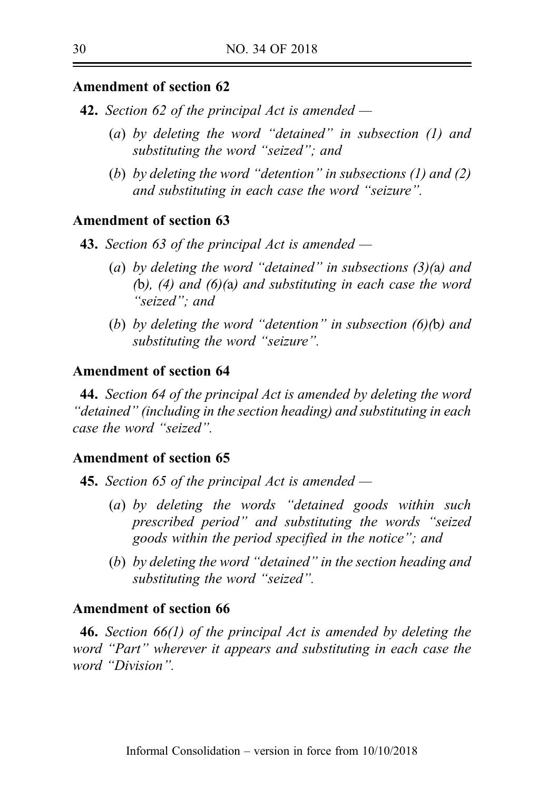# Amendment of section 62

- **42.** Section 62 of the principal Act is amended  $-$ 
	- (a) by deleting the word "detained" in subsection (1) and substituting the word "seized"; and
	- (b) by deleting the word "detention" in subsections (1) and (2) and substituting in each case the word "seizure".

# Amendment of section 63

- **43.** Section 63 of the principal Act is amended  $-$ 
	- (a) by deleting the word "detained" in subsections  $(3)(a)$  and (b),  $(4)$  and  $(6)(a)$  and substituting in each case the word "seized"; and
	- (b) by deleting the word "detention" in subsection  $(6)(b)$  and substituting the word "seizure".

## Amendment of section 64

44. Section 64 of the principal Act is amended by deleting the word "detained" (including in the section heading) and substituting in each case the word "seized".

### Amendment of section 65

- **45.** Section 65 of the principal Act is amended  $-$ 
	- (a) by deleting the words "detained goods within such prescribed period" and substituting the words "seized goods within the period specified in the notice"; and
	- (b) by deleting the word "detained" in the section heading and substituting the word "seized".

## Amendment of section 66

46. Section 66(1) of the principal Act is amended by deleting the word "Part" wherever it appears and substituting in each case the word "Division".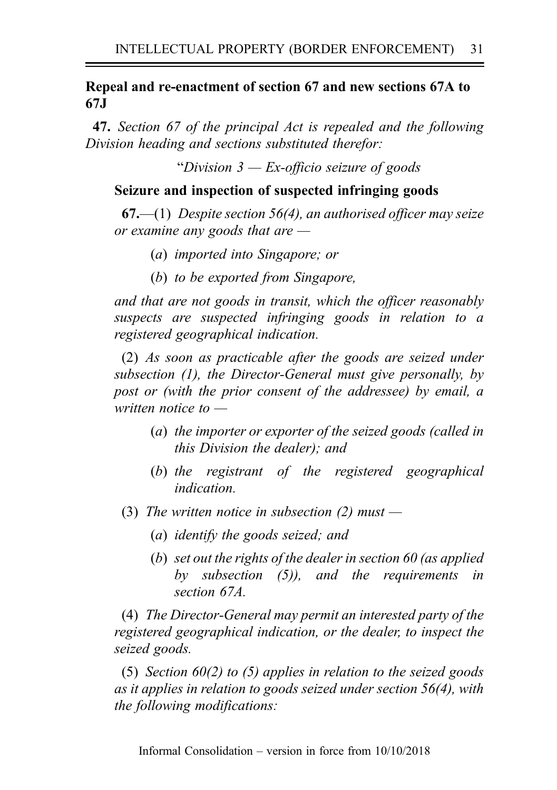# Repeal and re-enactment of section 67 and new sections 67A to 67J

47. Section 67 of the principal Act is repealed and the following Division heading and sections substituted therefor:

"Division  $3$  — Ex-officio seizure of goods"

# Seizure and inspection of suspected infringing goods

**67.**—(1) Despite section 56(4), an authorised officer may seize or examine any goods that are  $-$ 

- (a) imported into Singapore; or
- (b) to be exported from Singapore,

and that are not goods in transit, which the officer reasonably suspects are suspected infringing goods in relation to a registered geographical indication.

(2) As soon as practicable after the goods are seized under subsection (1), the Director-General must give personally, by post or (with the prior consent of the addressee) by email, a written notice to —

- (a) the importer or exporter of the seized goods (called in this Division the dealer); and
- (b) the registrant of the registered geographical indication.
- (3) The written notice in subsection (2) must  $-$ 
	- (a) identify the goods seized; and
	- (b) set out the rights of the dealer in section 60 (as applied by subsection (5)), and the requirements in section 67A.

(4) The Director-General may permit an interested party of the registered geographical indication, or the dealer, to inspect the seized goods.

(5) Section  $60(2)$  to (5) applies in relation to the seized goods as it applies in relation to goods seized under section 56(4), with the following modifications: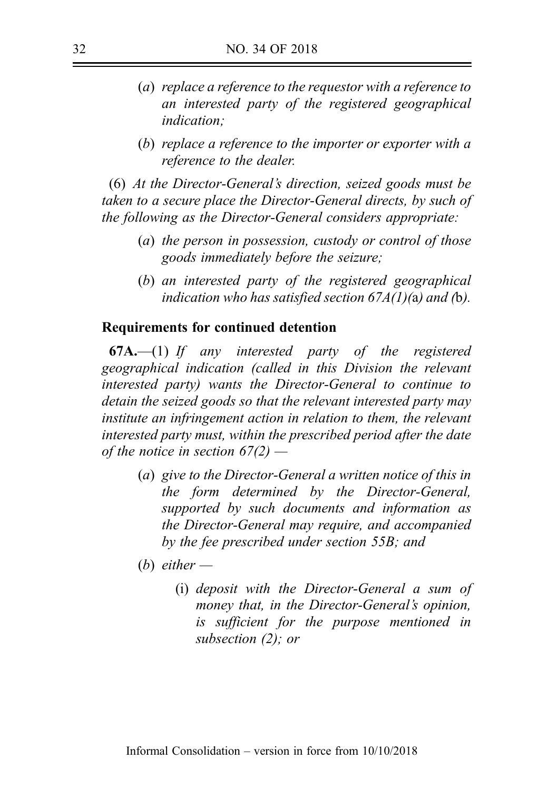- (a) replace a reference to the requestor with a reference to an interested party of the registered geographical indication;
- (b) replace a reference to the importer or exporter with a reference to the dealer.

(6) At the Director-General's direction, seized goods must be taken to a secure place the Director-General directs, by such of the following as the Director-General considers appropriate:

- (a) the person in possession, custody or control of those goods immediately before the seizure;
- (b) an interested party of the registered geographical indication who has satisfied section  $67A(1)$ (a) and (b).

### Requirements for continued detention

 $67A$ ,  $-(1)$  If any interested party of the registered geographical indication (called in this Division the relevant interested party) wants the Director-General to continue to detain the seized goods so that the relevant interested party may institute an infringement action in relation to them, the relevant interested party must, within the prescribed period after the date of the notice in section  $67(2)$  —

- (a) give to the Director-General a written notice of this in the form determined by the Director-General, supported by such documents and information as the Director-General may require, and accompanied by the fee prescribed under section 55B; and
- (b) either  $-$ 
	- (i) deposit with the Director-General a sum of money that, in the Director-General's opinion, is sufficient for the purpose mentioned in subsection (2); or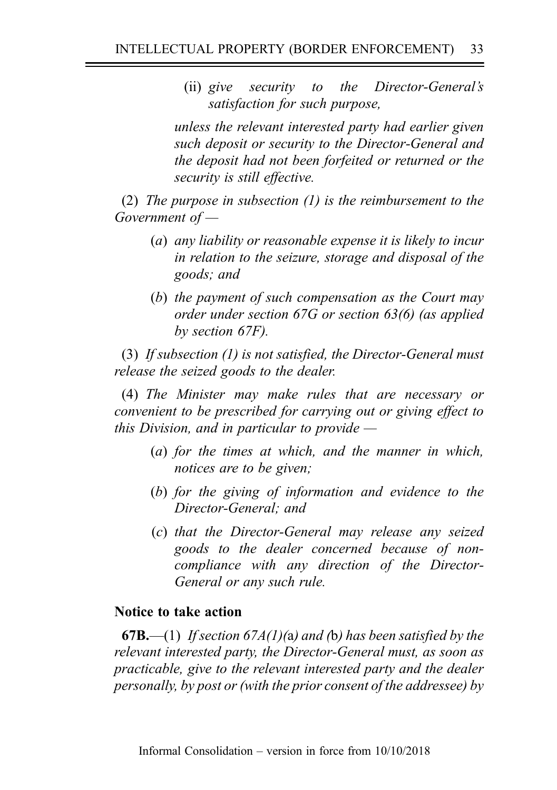(ii) give security to the Director-General's satisfaction for such purpose,

unless the relevant interested party had earlier given such deposit or security to the Director-General and the deposit had not been forfeited or returned or the security is still effective.

(2) The purpose in subsection (1) is the reimbursement to the Government of —

- (a) any liability or reasonable expense it is likely to incur in relation to the seizure, storage and disposal of the goods; and
- (b) the payment of such compensation as the Court may order under section 67G or section 63(6) (as applied by section 67F).

(3) If subsection (1) is not satisfied, the Director-General must release the seized goods to the dealer.

(4) The Minister may make rules that are necessary or convenient to be prescribed for carrying out or giving effect to this Division, and in particular to provide  $-$ 

- (a) for the times at which, and the manner in which, notices are to be given;
- (b) for the giving of information and evidence to the Director-General; and
- (c) that the Director-General may release any seized goods to the dealer concerned because of noncompliance with any direction of the Director-General or any such rule.

## Notice to take action

**67B.**—(1) If section 67A(1)(a) and (b) has been satisfied by the relevant interested party, the Director-General must, as soon as practicable, give to the relevant interested party and the dealer personally, by post or (with the prior consent of the addressee) by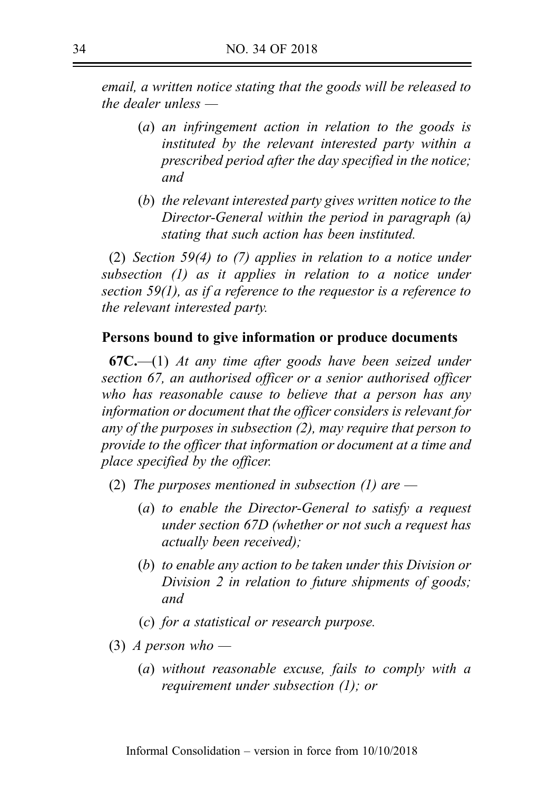email, a written notice stating that the goods will be released to the dealer unless —

- (a) an infringement action in relation to the goods is instituted by the relevant interested party within a prescribed period after the day specified in the notice; and
- (b) the relevant interested party gives written notice to the Director-General within the period in paragraph (a) stating that such action has been instituted.

(2) Section 59(4) to (7) applies in relation to a notice under subsection (1) as it applies in relation to a notice under section 59(1), as if a reference to the requestor is a reference to the relevant interested party.

## Persons bound to give information or produce documents

 $67C$ —(1) At any time after goods have been seized under section 67, an authorised officer or a senior authorised officer who has reasonable cause to believe that a person has any information or document that the officer considers is relevant for any of the purposes in subsection (2), may require that person to provide to the officer that information or document at a time and place specified by the officer.

- (2) The purposes mentioned in subsection (1) are  $-$ 
	- (a) to enable the Director-General to satisfy a request under section 67D (whether or not such a request has actually been received);
	- (b) to enable any action to be taken under this Division or Division 2 in relation to future shipments of goods; and
	- (c) for a statistical or research purpose.
- (3) A person who
	- (a) without reasonable excuse, fails to comply with a requirement under subsection (1); or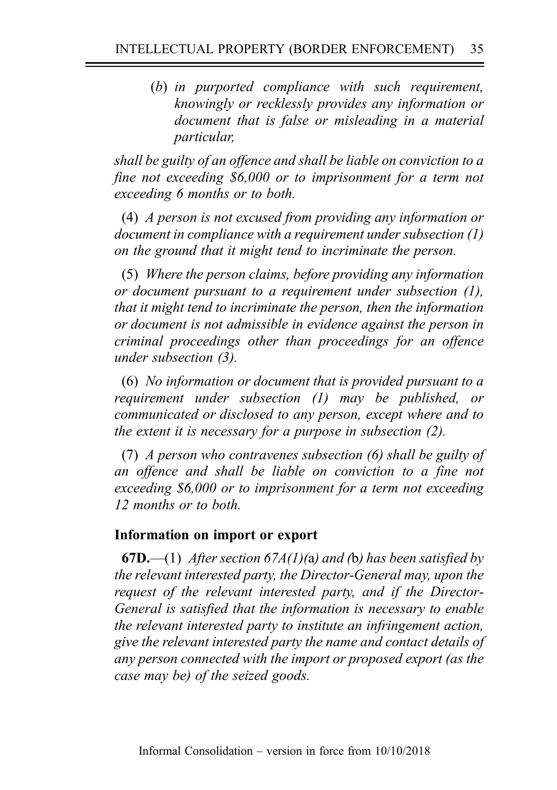(b) in purported compliance with such requirement, knowingly or recklessly provides any information or document that is false or misleading in a material particular,

shall be guilty of an offence and shall be liable on conviction to a fine not exceeding \$6,000 or to imprisonment for a term not exceeding 6 months or to both.

(4) A person is not excused from providing any information or document in compliance with a requirement under subsection (1) on the ground that it might tend to incriminate the person.

(5) Where the person claims, before providing any information or document pursuant to a requirement under subsection (1), that it might tend to incriminate the person, then the information or document is not admissible in evidence against the person in criminal proceedings other than proceedings for an offence under subsection (3).

(6) No information or document that is provided pursuant to a requirement under subsection (1) may be published, or communicated or disclosed to any person, except where and to the extent it is necessary for a purpose in subsection (2).

(7) A person who contravenes subsection (6) shall be guilty of an offence and shall be liable on conviction to a fine not exceeding \$6,000 or to imprisonment for a term not exceeding 12 months or to both.

# Information on import or export

**67D.**—(1) After section 67A(1)(a) and (b) has been satisfied by the relevant interested party, the Director-General may, upon the request of the relevant interested party, and if the Director-General is satisfied that the information is necessary to enable the relevant interested party to institute an infringement action, give the relevant interested party the name and contact details of any person connected with the import or proposed export (as the case may be) of the seized goods.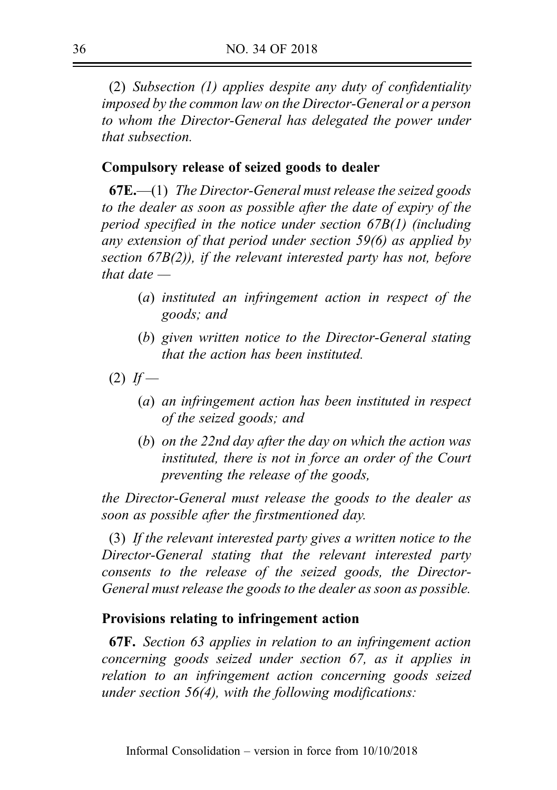(2) Subsection (1) applies despite any duty of confidentiality imposed by the common law on the Director-General or a person to whom the Director-General has delegated the power under that subsection.

## Compulsory release of seized goods to dealer

 $67E$ ,  $-$ (1) The Director-General must release the seized goods to the dealer as soon as possible after the date of expiry of the period specified in the notice under section 67B(1) (including any extension of that period under section 59(6) as applied by section 67B(2)), if the relevant interested party has not, before that date  $-$ 

- (a) instituted an infringement action in respect of the goods; and
- (b) given written notice to the Director-General stating that the action has been instituted.
- $(2)$  If
	- (a) an infringement action has been instituted in respect of the seized goods; and
	- (b) on the 22nd day after the day on which the action was instituted, there is not in force an order of the Court preventing the release of the goods,

the Director-General must release the goods to the dealer as soon as possible after the firstmentioned day.

(3) If the relevant interested party gives a written notice to the Director-General stating that the relevant interested party consents to the release of the seized goods, the Director-General must release the goods to the dealer as soon as possible.

# Provisions relating to infringement action

67F. Section 63 applies in relation to an infringement action concerning goods seized under section 67, as it applies in relation to an infringement action concerning goods seized under section 56(4), with the following modifications: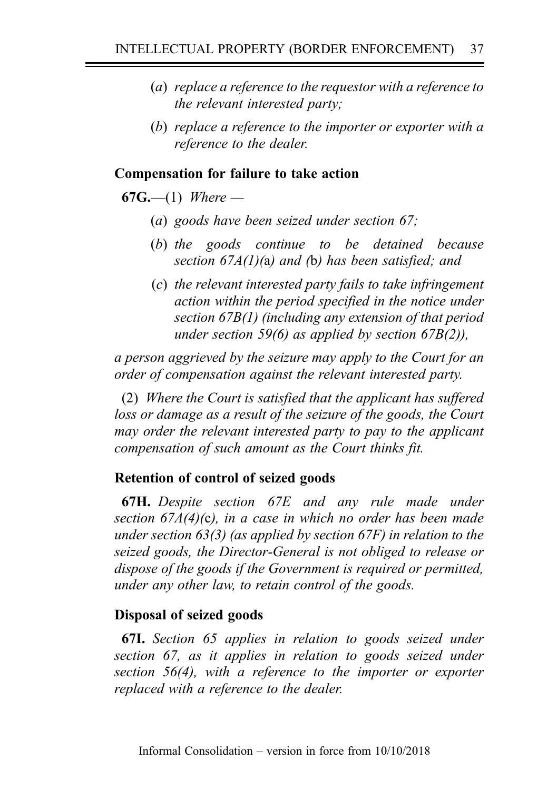- (a) replace a reference to the requestor with a reference to the relevant interested party;
- (b) replace a reference to the importer or exporter with a reference to the dealer.

## Compensation for failure to take action

**67G.**—(1) Where —

- (a) goods have been seized under section 67;
- (b) the goods continue to be detained because section  $67A(1)$ (a) and (b) has been satisfied; and
- (c) the relevant interested party fails to take infringement action within the period specified in the notice under section 67B(1) (including any extension of that period under section 59(6) as applied by section  $67B(2)$ ),

a person aggrieved by the seizure may apply to the Court for an order of compensation against the relevant interested party.

(2) Where the Court is satisfied that the applicant has suffered loss or damage as a result of the seizure of the goods, the Court may order the relevant interested party to pay to the applicant compensation of such amount as the Court thinks fit.

# Retention of control of seized goods

67H. Despite section 67E and any rule made under section 67A(4)(c), in a case in which no order has been made under section  $63(3)$  (as applied by section  $67F$ ) in relation to the seized goods, the Director-General is not obliged to release or dispose of the goods if the Government is required or permitted, under any other law, to retain control of the goods.

## Disposal of seized goods

67I. Section 65 applies in relation to goods seized under section 67, as it applies in relation to goods seized under section 56(4), with a reference to the importer or exporter replaced with a reference to the dealer.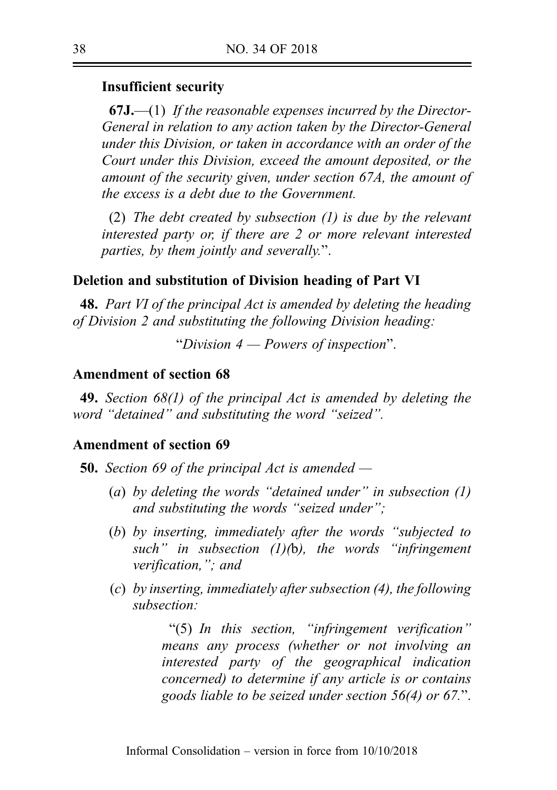### Insufficient security

 $67J$ ,  $-(1)$  If the reasonable expenses incurred by the Director-General in relation to any action taken by the Director-General under this Division, or taken in accordance with an order of the Court under this Division, exceed the amount deposited, or the amount of the security given, under section 67A, the amount of the excess is a debt due to the Government.

(2) The debt created by subsection (1) is due by the relevant interested party or, if there are 2 or more relevant interested parties, by them jointly and severally.".

### Deletion and substitution of Division heading of Part VI

**48.** Part VI of the principal Act is amended by deleting the heading of Division 2 and substituting the following Division heading:

"Division  $4$  — Powers of inspection".

#### Amendment of section 68

49. Section 68(1) of the principal Act is amended by deleting the word "detained" and substituting the word "seized".

## Amendment of section 69

**50.** Section 69 of the principal Act is amended  $-$ 

- (a) by deleting the words "detained under" in subsection  $(1)$ and substituting the words "seized under";
- (b) by inserting, immediately after the words "subjected to such" in subsection  $(1)(b)$ , the words "infringement" verification,"; and
- (c) by inserting, immediately after subsection (4), the following subsection:

"(5) In this section, "infringement verification" means any process (whether or not involving an interested party of the geographical indication concerned) to determine if any article is or contains goods liable to be seized under section 56(4) or 67.".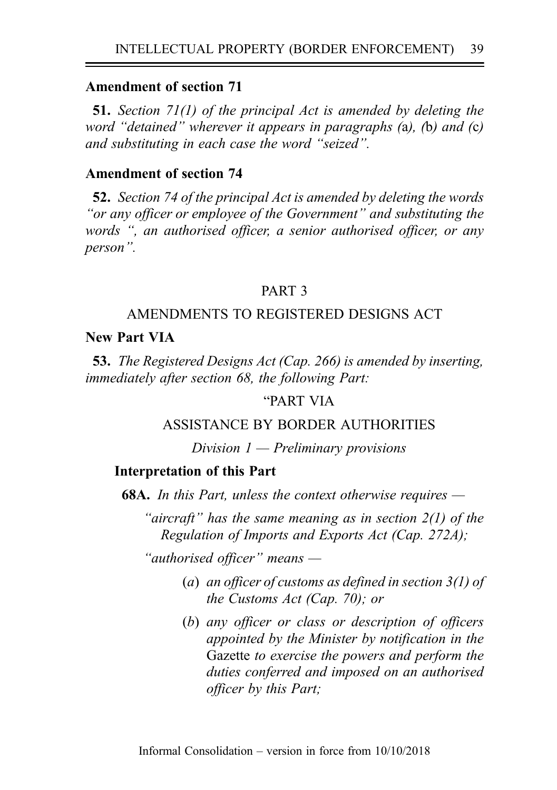51. Section 71(1) of the principal Act is amended by deleting the word "detained" wherever it appears in paragraphs (a), (b) and (c) and substituting in each case the word "seized".

## Amendment of section 74

52. Section 74 of the principal Act is amended by deleting the words "or any officer or employee of the Government" and substituting the words ", an authorised officer, a senior authorised officer, or any person".

## PART 3

### AMENDMENTS TO REGISTERED DESIGNS ACT

### New Part VIA

53. The Registered Designs Act (Cap. 266) is amended by inserting, immediately after section 68, the following Part:

## "PART VIA

### ASSISTANCE BY BORDER AUTHORITIES

#### Division  $1$  — Preliminary provisions

#### Interpretation of this Part

68A. In this Part, unless the context otherwise requires —

"aircraft" has the same meaning as in section  $2(1)$  of the Regulation of Imports and Exports Act (Cap. 272A);

"authorised officer" means —

- (a) an officer of customs as defined in section  $3(1)$  of the Customs Act (Cap. 70); or
- (b) any officer or class or description of officers appointed by the Minister by notification in the Gazette to exercise the powers and perform the duties conferred and imposed on an authorised officer by this Part;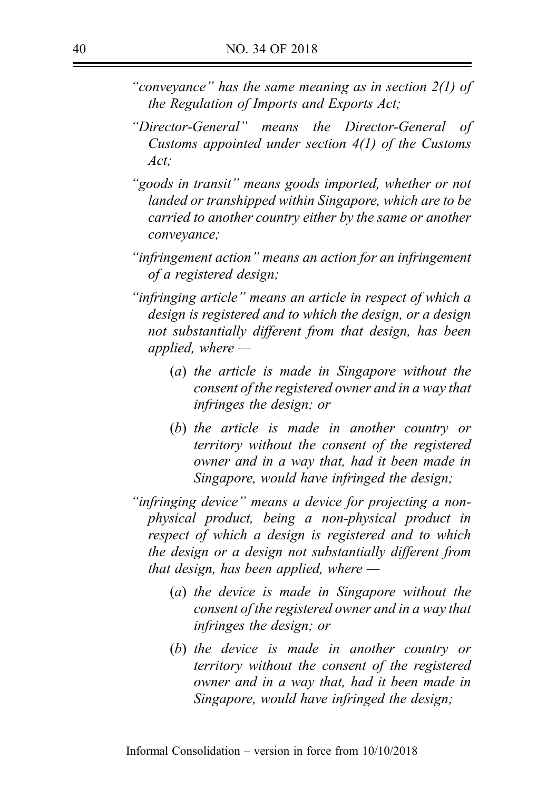- "convevance" has the same meaning as in section  $2(1)$  of the Regulation of Imports and Exports Act;
- "Director-General" means the Director-General of Customs appointed under section 4(1) of the Customs  $Act^{\dagger}$
- "goods in transit" means goods imported, whether or not landed or transhipped within Singapore, which are to be carried to another country either by the same or another conveyance;
- "infringement action" means an action for an infringement of a registered design;
- "infringing article" means an article in respect of which a design is registered and to which the design, or a design not substantially different from that design, has been applied, where  $-$ 
	- (a) the article is made in Singapore without the consent of the registered owner and in a way that infringes the design; or
	- (b) the article is made in another country or territory without the consent of the registered owner and in a way that, had it been made in Singapore, would have infringed the design;
- "infringing device" means a device for projecting a nonphysical product, being a non-physical product in respect of which a design is registered and to which the design or a design not substantially different from that design, has been applied, where  $-$ 
	- (a) the device is made in Singapore without the consent of the registered owner and in a way that infringes the design; or
	- (b) the device is made in another country or territory without the consent of the registered owner and in a way that, had it been made in Singapore, would have infringed the design;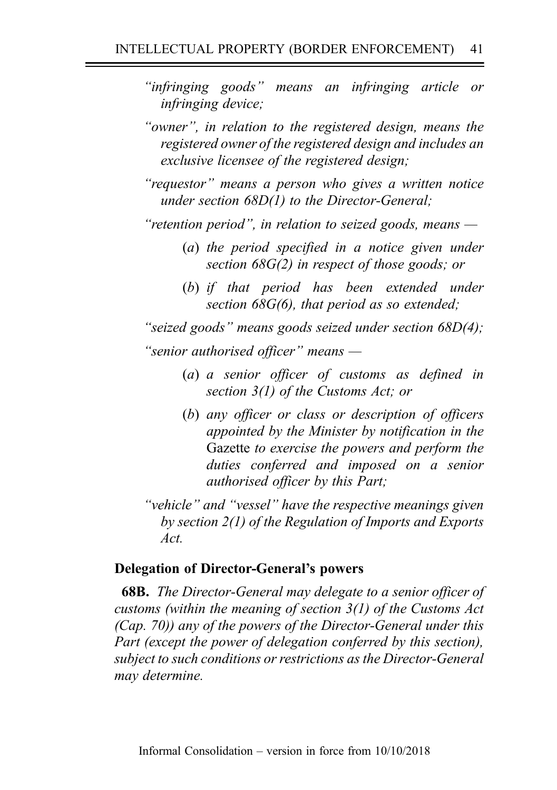- "infringing goods" means an infringing article or infringing device;
- "owner", in relation to the registered design, means the registered owner of the registered design and includes an exclusive licensee of the registered design;
- "requestor" means a person who gives a written notice under section 68D(1) to the Director-General;

"retention period", in relation to seized goods, means  $-$ 

- (a) the period specified in a notice given under section 68G(2) in respect of those goods; or
- (b) if that period has been extended under section 68G(6), that period as so extended;

"seized goods" means goods seized under section 68D(4); "senior authorised officer" means —

- (a) a senior officer of customs as defined in section 3(1) of the Customs Act; or
- (b) any officer or class or description of officers appointed by the Minister by notification in the Gazette to exercise the powers and perform the duties conferred and imposed on a senior authorised officer by this Part;
- "vehicle" and "vessel" have the respective meanings given by section 2(1) of the Regulation of Imports and Exports Act.

## Delegation of Director-General's powers

**68B.** The Director-General may delegate to a senior officer of customs (within the meaning of section 3(1) of the Customs Act (Cap. 70)) any of the powers of the Director-General under this Part (except the power of delegation conferred by this section), subject to such conditions or restrictions as the Director-General may determine.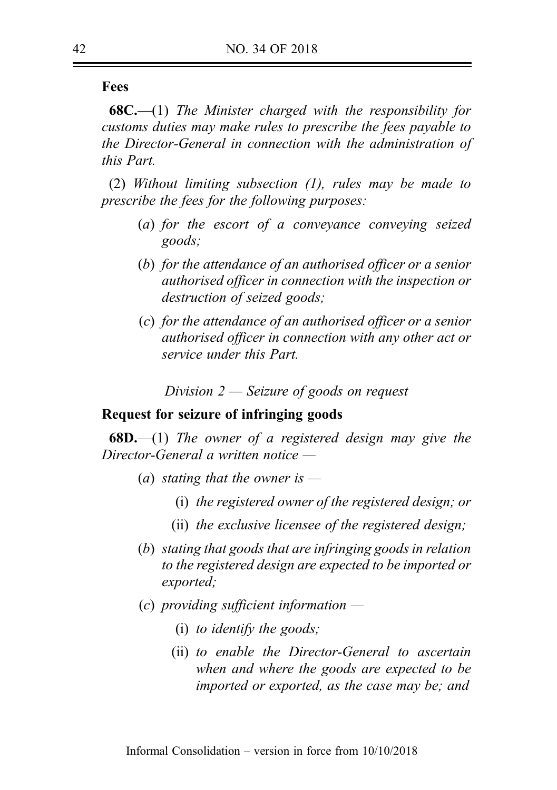Fees

 $68C$ .—(1) The Minister charged with the responsibility for customs duties may make rules to prescribe the fees payable to the Director-General in connection with the administration of this Part.

(2) Without limiting subsection (1), rules may be made to prescribe the fees for the following purposes:

- (a) for the escort of a conveyance conveying seized goods;
- (b) for the attendance of an authorised officer or a senior authorised officer in connection with the inspection or destruction of seized goods;
- (c) for the attendance of an authorised officer or a senior authorised officer in connection with any other act or service under this Part.

Division 2 — Seizure of goods on request

### Request for seizure of infringing goods

**68D.**—(1) The owner of a registered design may give the Director-General a written notice —

- (a) stating that the owner is  $-$ 
	- (i) the registered owner of the registered design; or
	- (ii) the exclusive licensee of the registered design;
- (b) stating that goods that are infringing goods in relation to the registered design are expected to be imported or exported;
- $(c)$  providing sufficient information  $-$ 
	- (i) to identify the goods;
	- (ii) to enable the Director-General to ascertain when and where the goods are expected to be imported or exported, as the case may be; and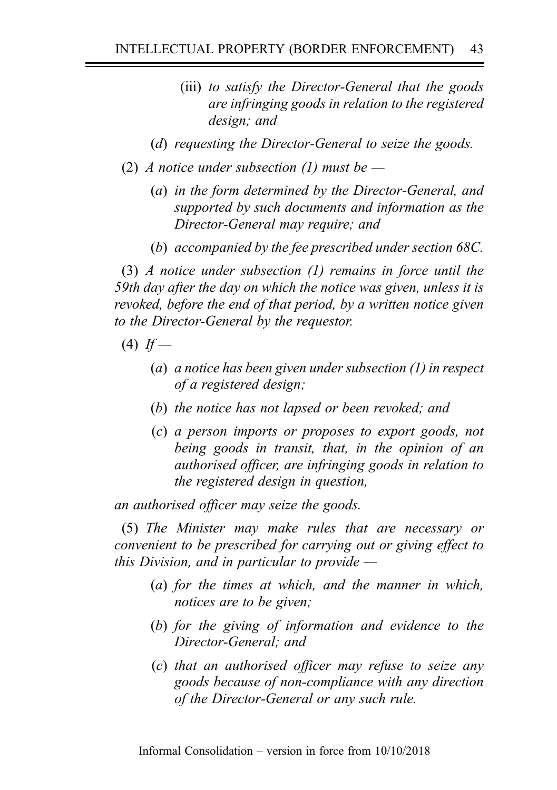- (iii) to satisfy the Director-General that the goods are infringing goods in relation to the registered design; and
- (d) requesting the Director-General to seize the goods.
- (2) A notice under subsection (1) must be  $-$ 
	- (a) in the form determined by the Director-General, and supported by such documents and information as the Director-General may require; and
	- (b) accompanied by the fee prescribed under section 68C.

(3) A notice under subsection (1) remains in force until the 59th day after the day on which the notice was given, unless it is revoked, before the end of that period, by a written notice given to the Director-General by the requestor.

- $(4)$  If
	- (a) a notice has been given under subsection (1) in respect of a registered design;
	- (b) the notice has not lapsed or been revoked; and
	- (c) a person imports or proposes to export goods, not being goods in transit, that, in the opinion of an authorised officer, are infringing goods in relation to the registered design in question,

an authorised officer may seize the goods.

(5) The Minister may make rules that are necessary or convenient to be prescribed for carrying out or giving effect to this Division, and in particular to provide  $-$ 

- (a) for the times at which, and the manner in which, notices are to be given;
- (b) for the giving of information and evidence to the Director-General; and
- (c) that an authorised officer may refuse to seize any goods because of non-compliance with any direction of the Director-General or any such rule.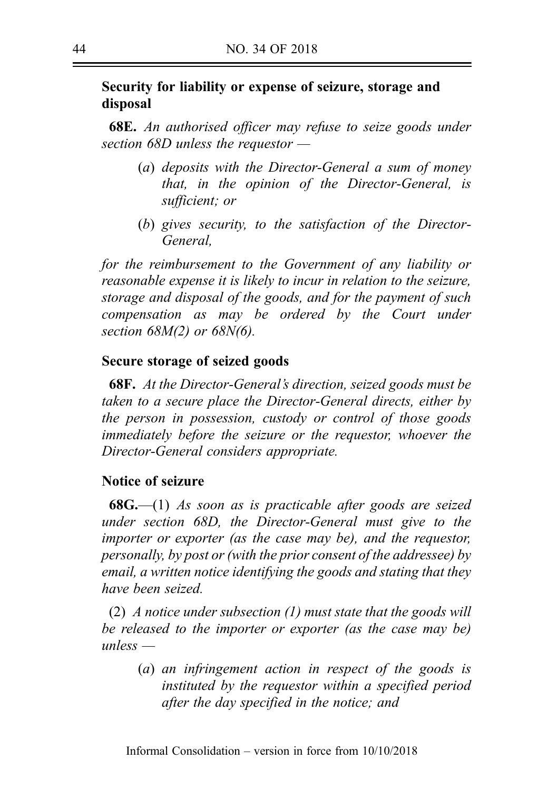# Security for liability or expense of seizure, storage and disposal

**68E.** An authorised officer may refuse to seize goods under section 68D unless the requestor —

- (a) deposits with the Director-General a sum of money that, in the opinion of the Director-General, is sufficient; or
- (b) gives security, to the satisfaction of the Director-General,

for the reimbursement to the Government of any liability or reasonable expense it is likely to incur in relation to the seizure, storage and disposal of the goods, and for the payment of such compensation as may be ordered by the Court under section 68M(2) or 68N(6).

### Secure storage of seized goods

68F. At the Director-General's direction, seized goods must be taken to a secure place the Director-General directs, either by the person in possession, custody or control of those goods immediately before the seizure or the requestor, whoever the Director-General considers appropriate.

### Notice of seizure

**68G.**—(1) As soon as is practicable after goods are seized under section 68D, the Director-General must give to the importer or exporter (as the case may be), and the requestor, personally, by post or (with the prior consent of the addressee) by email, a written notice identifying the goods and stating that they have been seized.

(2) A notice under subsection  $(1)$  must state that the goods will be released to the importer or exporter (as the case may be) unless —

(a) an infringement action in respect of the goods is instituted by the requestor within a specified period after the day specified in the notice; and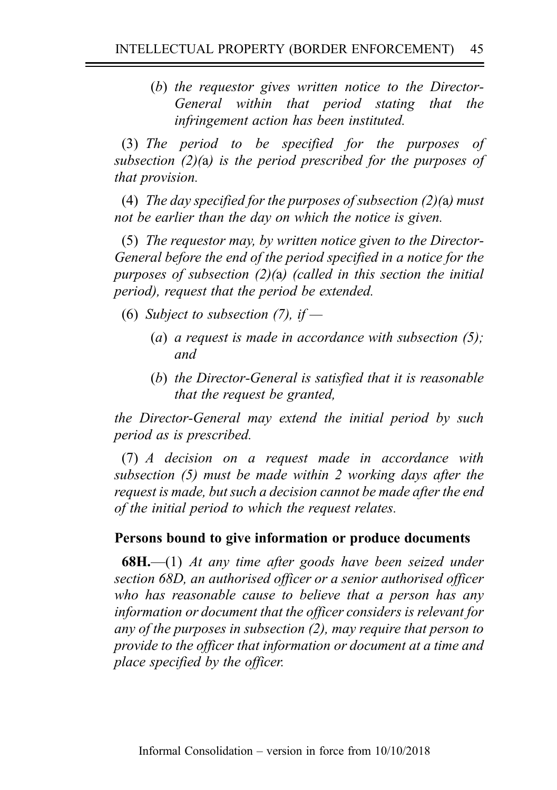(b) the requestor gives written notice to the Director-General within that period stating that the infringement action has been instituted.

(3) The period to be specified for the purposes of subsection  $(2)(a)$  is the period prescribed for the purposes of that provision.

(4) The day specified for the purposes of subsection  $(2)(a)$  must not be earlier than the day on which the notice is given.

(5) The requestor may, by written notice given to the Director-General before the end of the period specified in a notice for the purposes of subsection (2)(a) (called in this section the initial period), request that the period be extended.

- (6) Subject to subsection (7), if  $-$ 
	- (a) a request is made in accordance with subsection  $(5)$ ; and
	- (b) the Director-General is satisfied that it is reasonable that the request be granted,

the Director-General may extend the initial period by such period as is prescribed.

(7) A decision on a request made in accordance with subsection (5) must be made within 2 working days after the request is made, but such a decision cannot be made after the end of the initial period to which the request relates.

# Persons bound to give information or produce documents

**68H.**—(1) At any time after goods have been seized under section 68D, an authorised officer or a senior authorised officer who has reasonable cause to believe that a person has any information or document that the officer considers is relevant for any of the purposes in subsection (2), may require that person to provide to the officer that information or document at a time and place specified by the officer.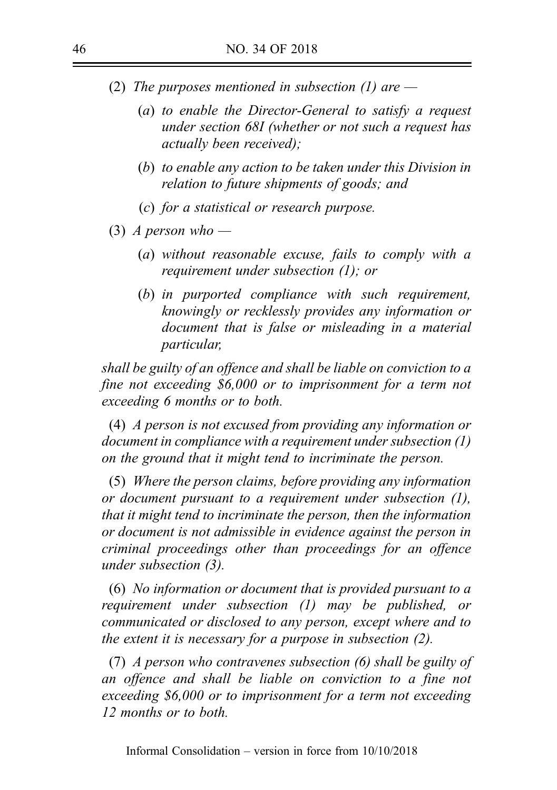- (2) The purposes mentioned in subsection (1) are  $-$ 
	- (a) to enable the Director-General to satisfy a request under section 68I (whether or not such a request has actually been received);
	- (b) to enable any action to be taken under this Division in relation to future shipments of goods; and
	- (c) for a statistical or research purpose.
- (3) A person who
	- (a) without reasonable excuse, fails to comply with a requirement under subsection (1); or
	- (b) in purported compliance with such requirement, knowingly or recklessly provides any information or document that is false or misleading in a material particular,

shall be guilty of an offence and shall be liable on conviction to a fine not exceeding \$6,000 or to imprisonment for a term not exceeding 6 months or to both.

(4) A person is not excused from providing any information or document in compliance with a requirement under subsection (1) on the ground that it might tend to incriminate the person.

(5) Where the person claims, before providing any information or document pursuant to a requirement under subsection (1), that it might tend to incriminate the person, then the information or document is not admissible in evidence against the person in criminal proceedings other than proceedings for an offence under subsection (3).

(6) No information or document that is provided pursuant to a requirement under subsection (1) may be published, or communicated or disclosed to any person, except where and to the extent it is necessary for a purpose in subsection (2).

(7) A person who contravenes subsection (6) shall be guilty of an offence and shall be liable on conviction to a fine not exceeding \$6,000 or to imprisonment for a term not exceeding 12 months or to both.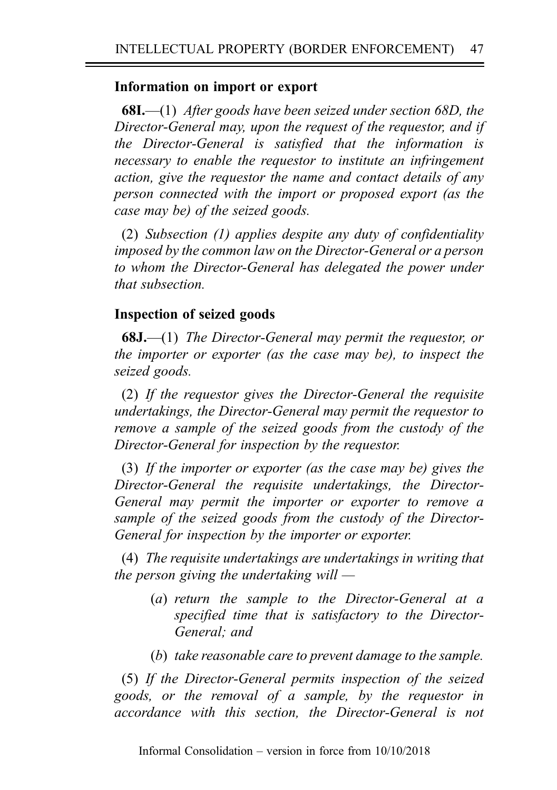# Information on import or export

**68I.—(1)** After goods have been seized under section 68D, the Director-General may, upon the request of the requestor, and if the Director-General is satisfied that the information is necessary to enable the requestor to institute an infringement action, give the requestor the name and contact details of any person connected with the import or proposed export (as the case may be) of the seized goods.

(2) Subsection (1) applies despite any duty of confidentiality imposed by the common law on the Director-General or a person to whom the Director-General has delegated the power under that subsection.

# Inspection of seized goods

68J.—(1) The Director-General may permit the requestor, or the importer or exporter (as the case may be), to inspect the seized goods.

(2) If the requestor gives the Director-General the requisite undertakings, the Director-General may permit the requestor to remove a sample of the seized goods from the custody of the Director-General for inspection by the requestor.

(3) If the importer or exporter (as the case may be) gives the Director-General the requisite undertakings, the Director-General may permit the importer or exporter to remove a sample of the seized goods from the custody of the Director-General for inspection by the importer or exporter.

(4) The requisite undertakings are undertakings in writing that the person giving the undertaking will  $-$ 

- (a) return the sample to the Director-General at a specified time that is satisfactory to the Director-General; and
- (b) take reasonable care to prevent damage to the sample.

(5) If the Director-General permits inspection of the seized goods, or the removal of a sample, by the requestor in accordance with this section, the Director-General is not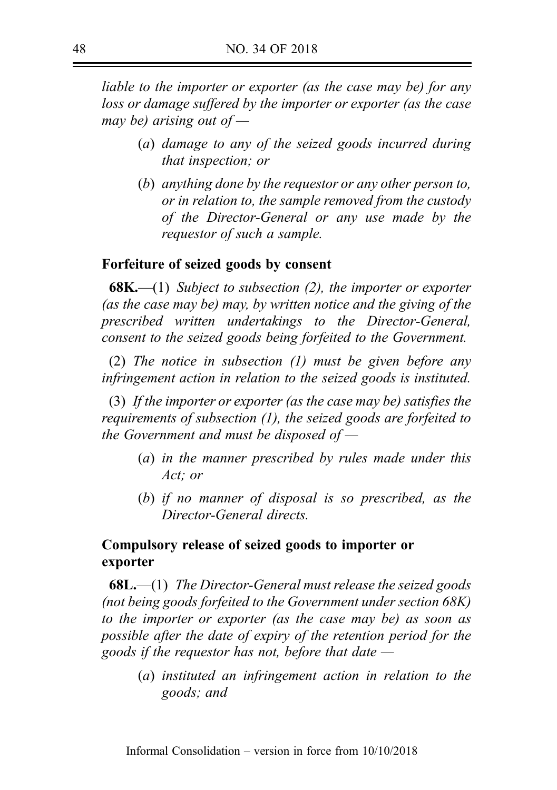liable to the importer or exporter (as the case may be) for any loss or damage suffered by the importer or exporter (as the case may be) arising out of  $-$ 

- (a) damage to any of the seized goods incurred during that inspection; or
- (b) anything done by the requestor or any other person to, or in relation to, the sample removed from the custody of the Director-General or any use made by the requestor of such a sample.

### Forfeiture of seized goods by consent

**68K.**—(1) Subject to subsection (2), the importer or exporter (as the case may be) may, by written notice and the giving of the prescribed written undertakings to the Director-General, consent to the seized goods being forfeited to the Government.

(2) The notice in subsection (1) must be given before any infringement action in relation to the seized goods is instituted.

(3) If the importer or exporter (as the case may be) satisfies the requirements of subsection (1), the seized goods are forfeited to the Government and must be disposed of  $-$ 

- (a) in the manner prescribed by rules made under this Act; or
- (b) if no manner of disposal is so prescribed, as the Director-General directs.

# Compulsory release of seized goods to importer or exporter

**68L.—(1)** The Director-General must release the seized goods (not being goods forfeited to the Government under section 68K) to the importer or exporter (as the case may be) as soon as possible after the date of expiry of the retention period for the goods if the requestor has not, before that date —

(a) instituted an infringement action in relation to the goods; and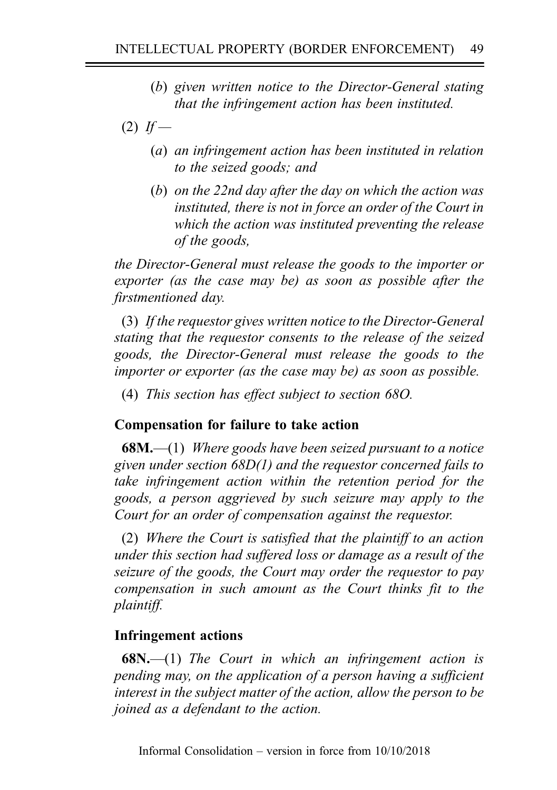- (b) given written notice to the Director-General stating that the infringement action has been instituted.
- $(2)$  If
	- (a) an infringement action has been instituted in relation to the seized goods; and
	- (b) on the 22nd day after the day on which the action was instituted, there is not in force an order of the Court in which the action was instituted preventing the release of the goods,

the Director-General must release the goods to the importer or exporter (as the case may be) as soon as possible after the firstmentioned day.

(3) If the requestor gives written notice to the Director-General stating that the requestor consents to the release of the seized goods, the Director-General must release the goods to the importer or exporter (as the case may be) as soon as possible.

(4) This section has effect subject to section 68O.

# Compensation for failure to take action

**68M.**—(1) Where goods have been seized pursuant to a notice given under section 68D(1) and the requestor concerned fails to take infringement action within the retention period for the goods, a person aggrieved by such seizure may apply to the Court for an order of compensation against the requestor.

(2) Where the Court is satisfied that the plaintiff to an action under this section had suffered loss or damage as a result of the seizure of the goods, the Court may order the requestor to pay compensation in such amount as the Court thinks fit to the plaintiff.

# Infringement actions

**68N.**—(1) The Court in which an infringement action is pending may, on the application of a person having a sufficient interest in the subject matter of the action, allow the person to be joined as a defendant to the action.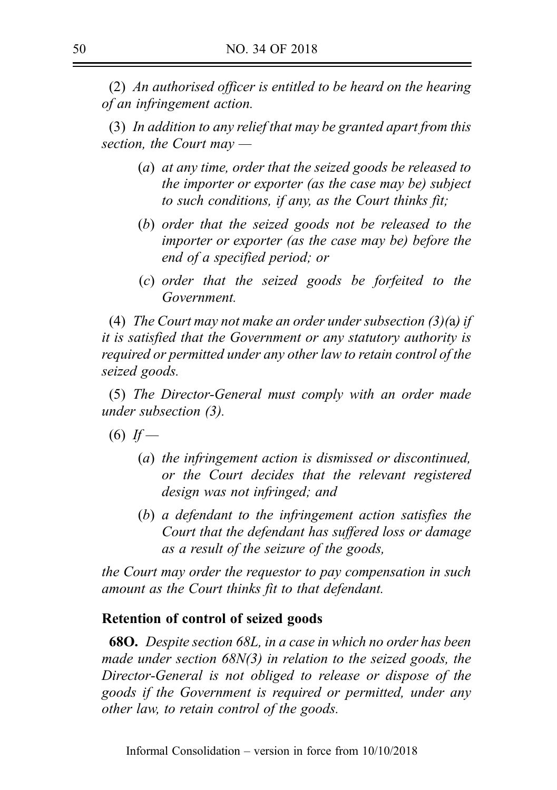(2) An authorised officer is entitled to be heard on the hearing of an infringement action.

(3) In addition to any relief that may be granted apart from this section, the Court may —

- (a) at any time, order that the seized goods be released to the importer or exporter (as the case may be) subject to such conditions, if any, as the Court thinks fit;
- (b) order that the seized goods not be released to the importer or exporter (as the case may be) before the end of a specified period; or
- (c) order that the seized goods be forfeited to the Government.

(4) The Court may not make an order under subsection  $(3)(a)$  if it is satisfied that the Government or any statutory authority is required or permitted under any other law to retain control of the seized goods.

(5) The Director-General must comply with an order made under subsection (3).

 $(6)$  If —

- (a) the infringement action is dismissed or discontinued, or the Court decides that the relevant registered design was not infringed; and
- (b) a defendant to the infringement action satisfies the Court that the defendant has suffered loss or damage as a result of the seizure of the goods,

the Court may order the requestor to pay compensation in such amount as the Court thinks fit to that defendant.

# Retention of control of seized goods

68O. Despite section 68L, in a case in which no order has been made under section 68N(3) in relation to the seized goods, the Director-General is not obliged to release or dispose of the goods if the Government is required or permitted, under any other law, to retain control of the goods.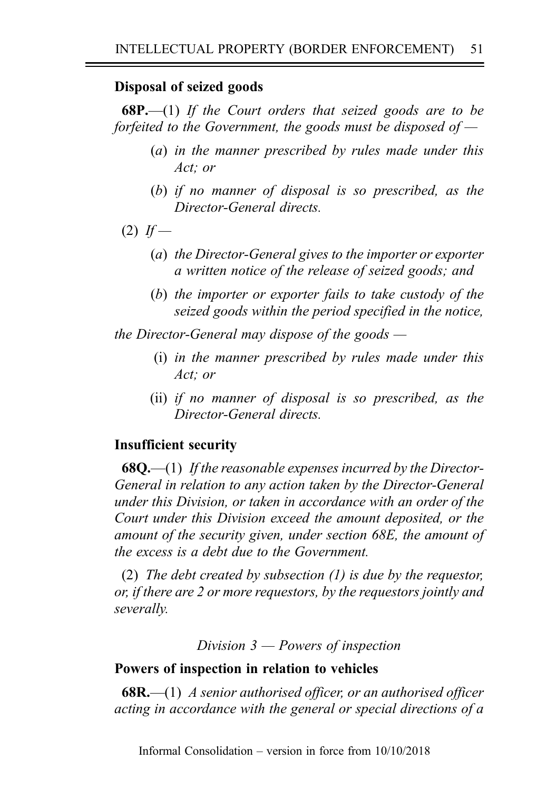## Disposal of seized goods

**68P.**—(1) If the Court orders that seized goods are to be forfeited to the Government, the goods must be disposed of  $-$ 

- (a) in the manner prescribed by rules made under this Act; or
- (b) if no manner of disposal is so prescribed, as the Director-General directs.
- $(2)$  If
	- (a) the Director-General gives to the importer or exporter a written notice of the release of seized goods; and
	- (b) the importer or exporter fails to take custody of the seized goods within the period specified in the notice,

the Director-General may dispose of the goods  $-$ 

- (i) in the manner prescribed by rules made under this Act; or
- (ii) if no manner of disposal is so prescribed, as the Director-General directs.

# Insufficient security

**68Q.**—(1) If the reasonable expenses incurred by the Director-General in relation to any action taken by the Director-General under this Division, or taken in accordance with an order of the Court under this Division exceed the amount deposited, or the amount of the security given, under section 68E, the amount of the excess is a debt due to the Government.

(2) The debt created by subsection (1) is due by the requestor, or, if there are 2 or more requestors, by the requestors jointly and severally.

Division 3 — Powers of inspection

## Powers of inspection in relation to vehicles

 $68R$ ,  $-$ (1) A senior authorised officer, or an authorised officer acting in accordance with the general or special directions of a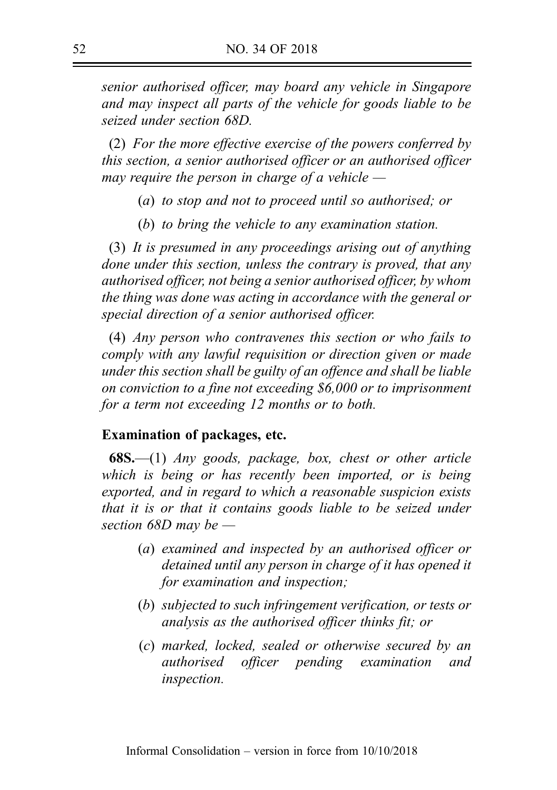senior authorised officer, may board any vehicle in Singapore and may inspect all parts of the vehicle for goods liable to be seized under section 68D.

(2) For the more effective exercise of the powers conferred by this section, a senior authorised officer or an authorised officer may require the person in charge of a vehicle  $-$ 

- (a) to stop and not to proceed until so authorised; or
- (b) to bring the vehicle to any examination station.

(3) It is presumed in any proceedings arising out of anything done under this section, unless the contrary is proved, that any authorised officer, not being a senior authorised officer, by whom the thing was done was acting in accordance with the general or special direction of a senior authorised officer.

(4) Any person who contravenes this section or who fails to comply with any lawful requisition or direction given or made under this section shall be guilty of an offence and shall be liable on conviction to a fine not exceeding \$6,000 or to imprisonment for a term not exceeding 12 months or to both.

#### Examination of packages, etc.

 $68S$ .—(1) Any goods, package, box, chest or other article which is being or has recently been imported, or is being exported, and in regard to which a reasonable suspicion exists that it is or that it contains goods liable to be seized under section 68D may be —

- (a) examined and inspected by an authorised officer or detained until any person in charge of it has opened it for examination and inspection;
- (b) subjected to such infringement verification, or tests or analysis as the authorised officer thinks fit; or
- (c) marked, locked, sealed or otherwise secured by an authorised officer pending examination and inspection.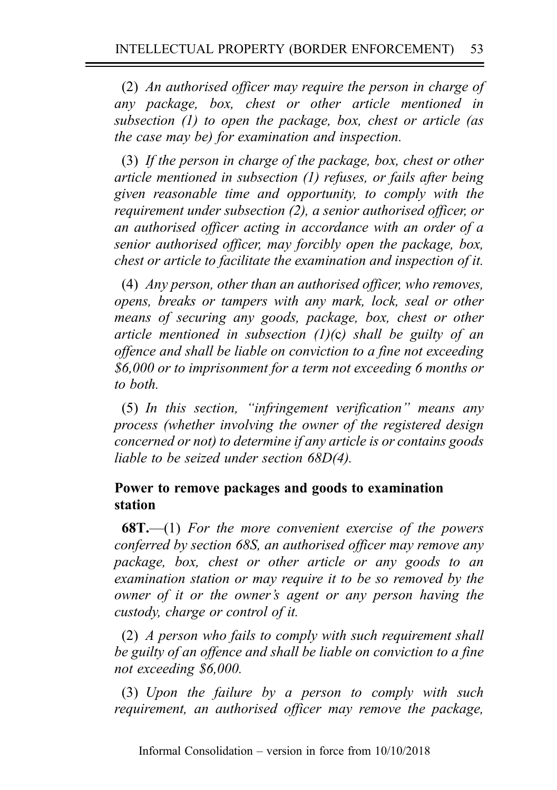(2) An authorised officer may require the person in charge of any package, box, chest or other article mentioned in subsection (1) to open the package, box, chest or article (as the case may be) for examination and inspection.

(3) If the person in charge of the package, box, chest or other article mentioned in subsection (1) refuses, or fails after being given reasonable time and opportunity, to comply with the requirement under subsection (2), a senior authorised officer, or an authorised officer acting in accordance with an order of a senior authorised officer, may forcibly open the package, box, chest or article to facilitate the examination and inspection of it.

(4) Any person, other than an authorised officer, who removes, opens, breaks or tampers with any mark, lock, seal or other means of securing any goods, package, box, chest or other article mentioned in subsection  $(1)(c)$  shall be guilty of an offence and shall be liable on conviction to a fine not exceeding \$6,000 or to imprisonment for a term not exceeding 6 months or to both.

(5) In this section, "infringement verification" means any process (whether involving the owner of the registered design concerned or not) to determine if any article is or contains goods liable to be seized under section 68D(4).

# Power to remove packages and goods to examination station

**68T.**—(1) For the more convenient exercise of the powers conferred by section 68S, an authorised officer may remove any package, box, chest or other article or any goods to an examination station or may require it to be so removed by the owner of it or the owner's agent or any person having the custody, charge or control of it.

(2) A person who fails to comply with such requirement shall be guilty of an offence and shall be liable on conviction to a fine not exceeding \$6,000.

(3) Upon the failure by a person to comply with such requirement, an authorised officer may remove the package,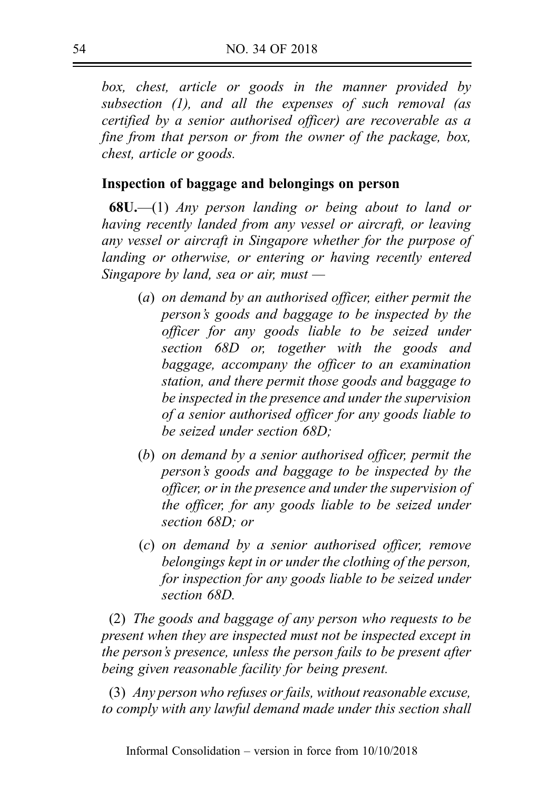box, chest, article or goods in the manner provided by subsection (1), and all the expenses of such removal (as certified by a senior authorised officer) are recoverable as a fine from that person or from the owner of the package, box, chest, article or goods.

# Inspection of baggage and belongings on person

 $68U$ —(1) Any person landing or being about to land or having recently landed from any vessel or aircraft, or leaving any vessel or aircraft in Singapore whether for the purpose of landing or otherwise, or entering or having recently entered Singapore by land, sea or air, must  $-$ 

- (a) on demand by an authorised officer, either permit the person's goods and baggage to be inspected by the officer for any goods liable to be seized under section 68D or, together with the goods and baggage, accompany the officer to an examination station, and there permit those goods and baggage to be inspected in the presence and under the supervision of a senior authorised officer for any goods liable to be seized under section 68D;
- (b) on demand by a senior authorised officer, permit the person's goods and baggage to be inspected by the officer, or in the presence and under the supervision of the officer, for any goods liable to be seized under section 68D; or
- (c) on demand by a senior authorised officer, remove belongings kept in or under the clothing of the person, for inspection for any goods liable to be seized under section 68D.

(2) The goods and baggage of any person who requests to be present when they are inspected must not be inspected except in the person's presence, unless the person fails to be present after being given reasonable facility for being present.

(3) Any person who refuses or fails, without reasonable excuse, to comply with any lawful demand made under this section shall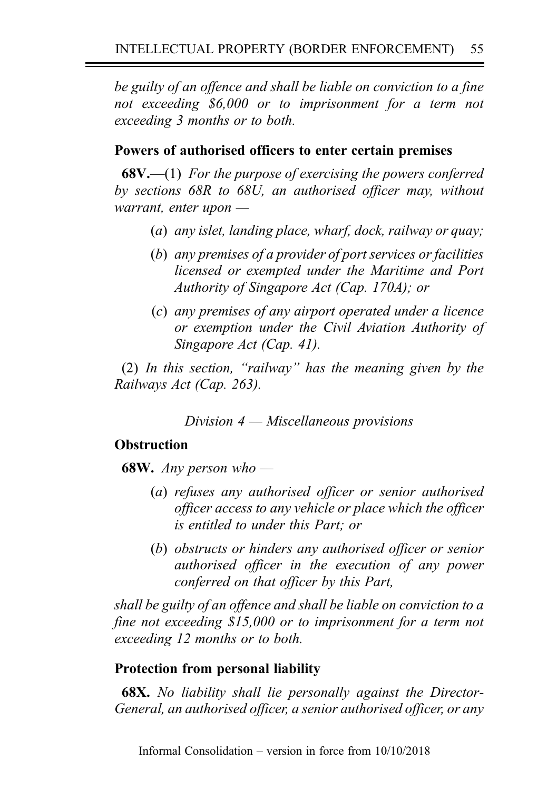be guilty of an offence and shall be liable on conviction to a fine not exceeding \$6,000 or to imprisonment for a term not exceeding 3 months or to both.

# Powers of authorised officers to enter certain premises

 $68V$ ,—(1) For the purpose of exercising the powers conferred by sections 68R to 68U, an authorised officer may, without warrant, enter upon —

- (a) any islet, landing place, wharf, dock, railway or quay;
- (b) any premises of a provider of port services or facilities licensed or exempted under the Maritime and Port Authority of Singapore Act (Cap. 170A); or
- (c) any premises of any airport operated under a licence or exemption under the Civil Aviation Authority of Singapore Act (Cap. 41).

(2) In this section, "railway" has the meaning given by the Railways Act (Cap. 263).

Division  $4$  — Miscellaneous provisions

# **Obstruction**

**68W.** Any person who —

- (a) refuses any authorised officer or senior authorised officer access to any vehicle or place which the officer is entitled to under this Part; or
- (b) obstructs or hinders any authorised officer or senior authorised officer in the execution of any power conferred on that officer by this Part,

shall be guilty of an offence and shall be liable on conviction to a fine not exceeding \$15,000 or to imprisonment for a term not exceeding 12 months or to both.

# Protection from personal liability

68X. No liability shall lie personally against the Director-General, an authorised officer, a senior authorised officer, or any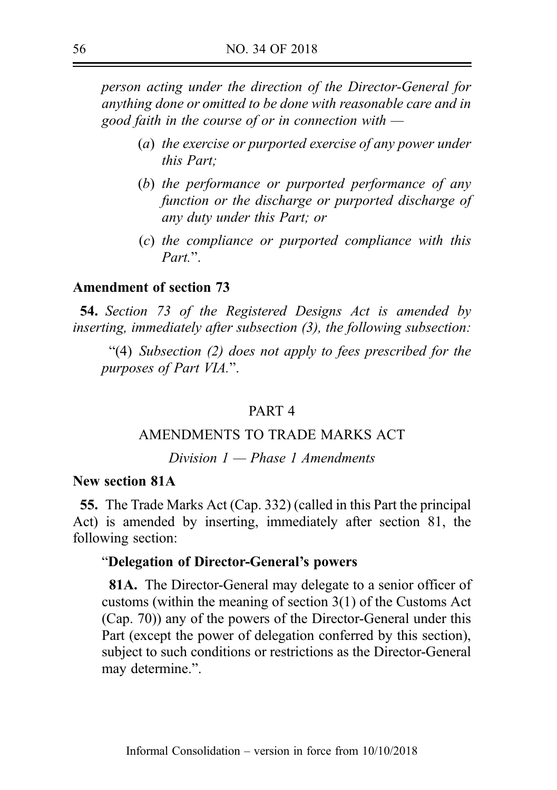person acting under the direction of the Director-General for anything done or omitted to be done with reasonable care and in good faith in the course of or in connection with —

- (a) the exercise or purported exercise of any power under this Part;
- (b) the performance or purported performance of any function or the discharge or purported discharge of any duty under this Part; or
- (c) the compliance or purported compliance with this Part<sup>"</sup>.

### Amendment of section 73

54. Section 73 of the Registered Designs Act is amended by inserting, immediately after subsection (3), the following subsection:

"(4) Subsection (2) does not apply to fees prescribed for the purposes of Part VIA.".

### PART 4

## AMENDMENTS TO TRADE MARKS ACT

Division 1 — Phase 1 Amendments

#### New section 81A

55. The Trade Marks Act (Cap. 332) (called in this Part the principal Act) is amended by inserting, immediately after section 81, the following section:

### "Delegation of Director-General's powers

81A. The Director-General may delegate to a senior officer of customs (within the meaning of section 3(1) of the Customs Act (Cap. 70)) any of the powers of the Director-General under this Part (except the power of delegation conferred by this section), subject to such conditions or restrictions as the Director-General may determine.".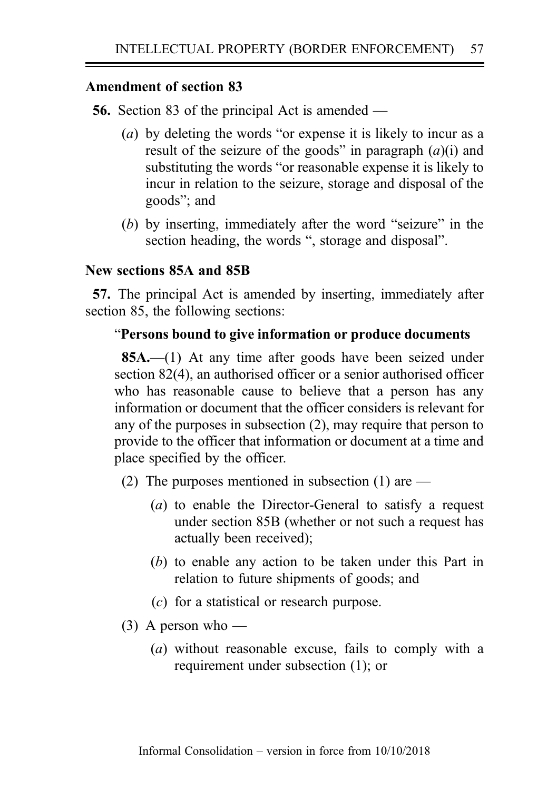56. Section 83 of the principal Act is amended —

- (a) by deleting the words "or expense it is likely to incur as a result of the seizure of the goods" in paragraph  $(a)(i)$  and substituting the words "or reasonable expense it is likely to incur in relation to the seizure, storage and disposal of the goods"; and
- (b) by inserting, immediately after the word "seizure" in the section heading, the words ", storage and disposal".

# New sections 85A and 85B

57. The principal Act is amended by inserting, immediately after section 85, the following sections:

## "Persons bound to give information or produce documents

85A.—(1) At any time after goods have been seized under section 82(4), an authorised officer or a senior authorised officer who has reasonable cause to believe that a person has any information or document that the officer considers is relevant for any of the purposes in subsection (2), may require that person to provide to the officer that information or document at a time and place specified by the officer.

- (2) The purposes mentioned in subsection (1) are  $-$ 
	- (a) to enable the Director-General to satisfy a request under section 85B (whether or not such a request has actually been received);
	- (b) to enable any action to be taken under this Part in relation to future shipments of goods; and
	- (c) for a statistical or research purpose.
- $(3)$  A person who
	- (a) without reasonable excuse, fails to comply with a requirement under subsection (1); or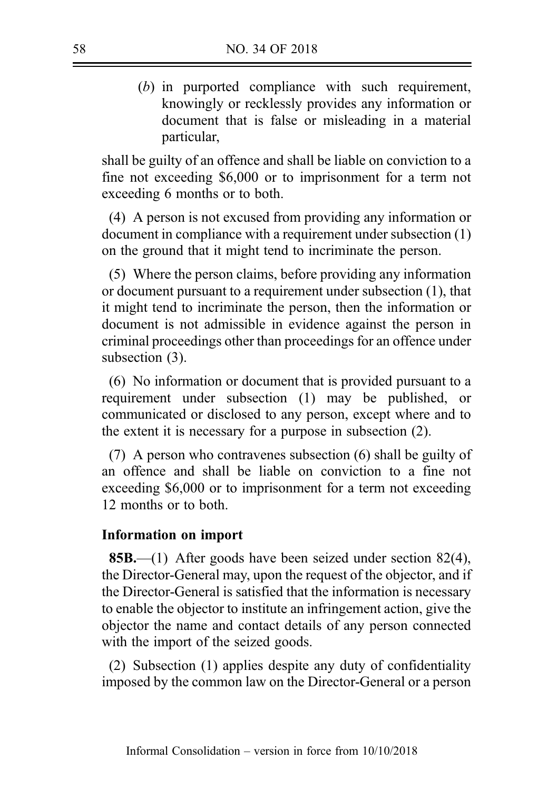(b) in purported compliance with such requirement, knowingly or recklessly provides any information or document that is false or misleading in a material particular,

shall be guilty of an offence and shall be liable on conviction to a fine not exceeding \$6,000 or to imprisonment for a term not exceeding 6 months or to both.

(4) A person is not excused from providing any information or document in compliance with a requirement under subsection (1) on the ground that it might tend to incriminate the person.

(5) Where the person claims, before providing any information or document pursuant to a requirement under subsection (1), that it might tend to incriminate the person, then the information or document is not admissible in evidence against the person in criminal proceedings other than proceedings for an offence under subsection (3).

(6) No information or document that is provided pursuant to a requirement under subsection (1) may be published, or communicated or disclosed to any person, except where and to the extent it is necessary for a purpose in subsection (2).

(7) A person who contravenes subsection (6) shall be guilty of an offence and shall be liable on conviction to a fine not exceeding \$6,000 or to imprisonment for a term not exceeding 12 months or to both.

## Information on import

85B.—(1) After goods have been seized under section 82(4), the Director-General may, upon the request of the objector, and if the Director-General is satisfied that the information is necessary to enable the objector to institute an infringement action, give the objector the name and contact details of any person connected with the import of the seized goods.

(2) Subsection (1) applies despite any duty of confidentiality imposed by the common law on the Director-General or a person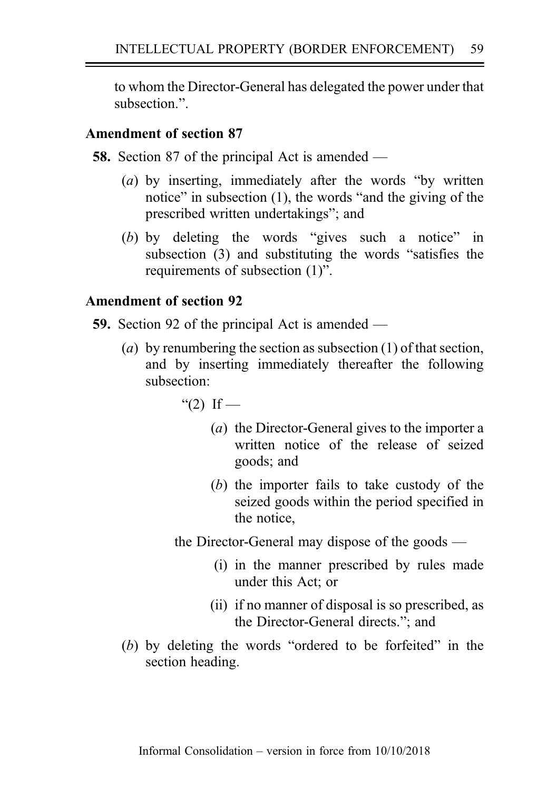to whom the Director-General has delegated the power under that subsection.".

## Amendment of section 87

58. Section 87 of the principal Act is amended —

- (a) by inserting, immediately after the words "by written" notice" in subsection (1), the words "and the giving of the prescribed written undertakings"; and
- (b) by deleting the words "gives such a notice" in subsection (3) and substituting the words "satisfies the requirements of subsection (1)".

# Amendment of section 92

- 59. Section 92 of the principal Act is amended
	- (a) by renumbering the section as subsection  $(1)$  of that section, and by inserting immediately thereafter the following subsection:
		- " $(2)$  If
			- (a) the Director-General gives to the importer a written notice of the release of seized goods; and
			- (b) the importer fails to take custody of the seized goods within the period specified in the notice,

the Director-General may dispose of the goods —

- (i) in the manner prescribed by rules made under this Act; or
- (ii) if no manner of disposal is so prescribed, as the Director-General directs."; and
- (b) by deleting the words "ordered to be forfeited" in the section heading.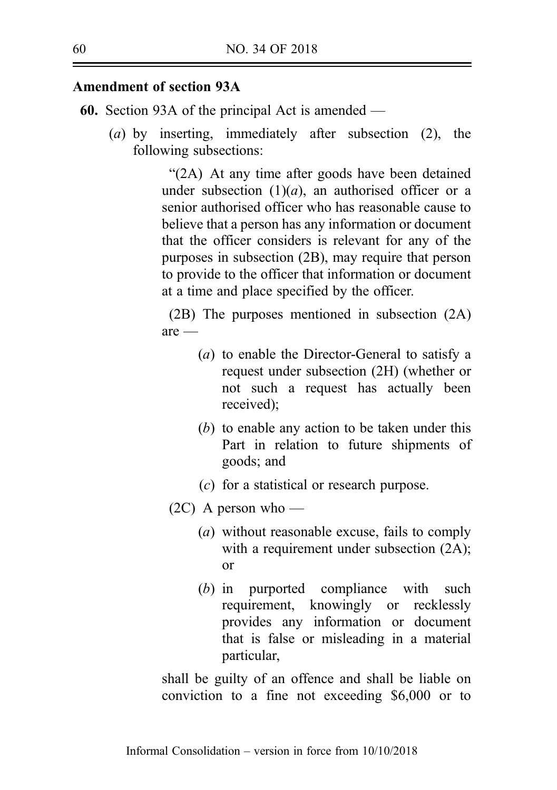60. Section 93A of the principal Act is amended —

(a) by inserting, immediately after subsection (2), the following subsections:

> "(2A) At any time after goods have been detained under subsection  $(1)(a)$ , an authorised officer or a senior authorised officer who has reasonable cause to believe that a person has any information or document that the officer considers is relevant for any of the purposes in subsection (2B), may require that person to provide to the officer that information or document at a time and place specified by the officer.

> (2B) The purposes mentioned in subsection (2A) are —

- (a) to enable the Director-General to satisfy a request under subsection (2H) (whether or not such a request has actually been received);
- (b) to enable any action to be taken under this Part in relation to future shipments of goods; and
- (c) for a statistical or research purpose.
- $(2C)$  A person who
	- (a) without reasonable excuse, fails to comply with a requirement under subsection  $(2A)$ ; or
	- (b) in purported compliance with such requirement, knowingly or recklessly provides any information or document that is false or misleading in a material particular,

shall be guilty of an offence and shall be liable on conviction to a fine not exceeding \$6,000 or to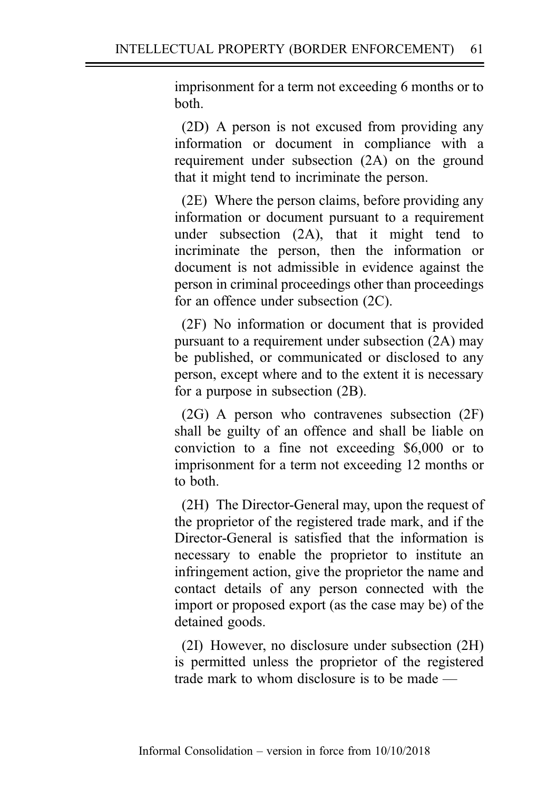imprisonment for a term not exceeding 6 months or to both.

(2D) A person is not excused from providing any information or document in compliance with a requirement under subsection (2A) on the ground that it might tend to incriminate the person.

(2E) Where the person claims, before providing any information or document pursuant to a requirement under subsection (2A), that it might tend to incriminate the person, then the information or document is not admissible in evidence against the person in criminal proceedings other than proceedings for an offence under subsection (2C).

(2F) No information or document that is provided pursuant to a requirement under subsection (2A) may be published, or communicated or disclosed to any person, except where and to the extent it is necessary for a purpose in subsection (2B).

(2G) A person who contravenes subsection (2F) shall be guilty of an offence and shall be liable on conviction to a fine not exceeding \$6,000 or to imprisonment for a term not exceeding 12 months or to both.

(2H) The Director-General may, upon the request of the proprietor of the registered trade mark, and if the Director-General is satisfied that the information is necessary to enable the proprietor to institute an infringement action, give the proprietor the name and contact details of any person connected with the import or proposed export (as the case may be) of the detained goods.

(2I) However, no disclosure under subsection (2H) is permitted unless the proprietor of the registered trade mark to whom disclosure is to be made —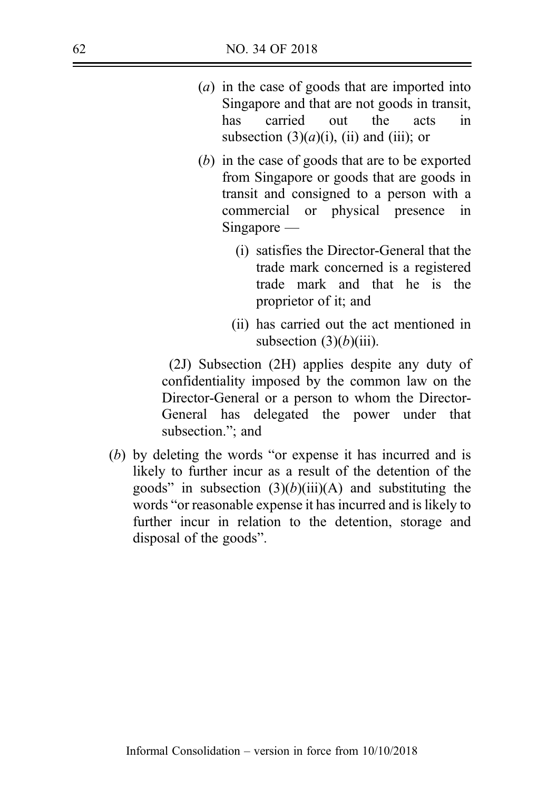- (a) in the case of goods that are imported into Singapore and that are not goods in transit, has carried out the acts in subsection  $(3)(a)(i)$ , (ii) and (iii); or
- (b) in the case of goods that are to be exported from Singapore or goods that are goods in transit and consigned to a person with a commercial or physical presence in Singapore —
	- (i) satisfies the Director-General that the trade mark concerned is a registered trade mark and that he is the proprietor of it; and
	- (ii) has carried out the act mentioned in subsection  $(3)(b)(iii)$ .

(2J) Subsection (2H) applies despite any duty of confidentiality imposed by the common law on the Director-General or a person to whom the Director-General has delegated the power under that subsection."; and

(b) by deleting the words "or expense it has incurred and is likely to further incur as a result of the detention of the goods" in subsection  $(3)(b)(iii)(A)$  and substituting the words "or reasonable expense it has incurred and is likely to further incur in relation to the detention, storage and disposal of the goods".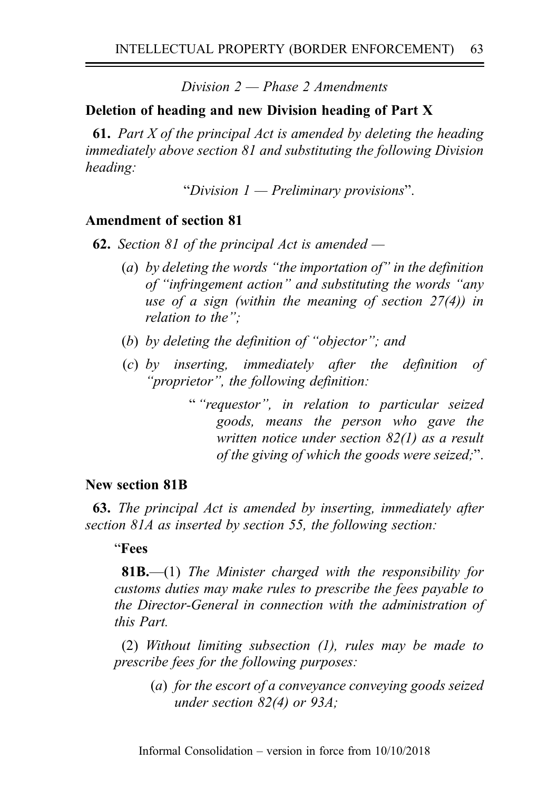Division  $2$  — Phase 2 Amendments

# Deletion of heading and new Division heading of Part X

**61.** Part X of the principal Act is amended by deleting the heading immediately above section 81 and substituting the following Division heading:

"Division  $1$  — Preliminary provisions".

## Amendment of section 81

**62.** Section 81 of the principal Act is amended  $-$ 

- (a) by deleting the words "the importation of" in the definition of "infringement action" and substituting the words "any use of a sign (within the meaning of section 27(4)) in relation to the":
- (b) by deleting the definition of "objector"; and
- (c) by inserting, immediately after the definition of "proprietor", the following definition:
	- " "requestor", in relation to particular seized goods, means the person who gave the written notice under section 82(1) as a result of the giving of which the goods were seized;".

### New section 81B

63. The principal Act is amended by inserting, immediately after section 81A as inserted by section 55, the following section:

### "Fees

**81B.**—(1) The Minister charged with the responsibility for customs duties may make rules to prescribe the fees payable to the Director-General in connection with the administration of this Part.

(2) Without limiting subsection (1), rules may be made to prescribe fees for the following purposes:

> (a) for the escort of a conveyance conveying goods seized under section 82(4) or 93A;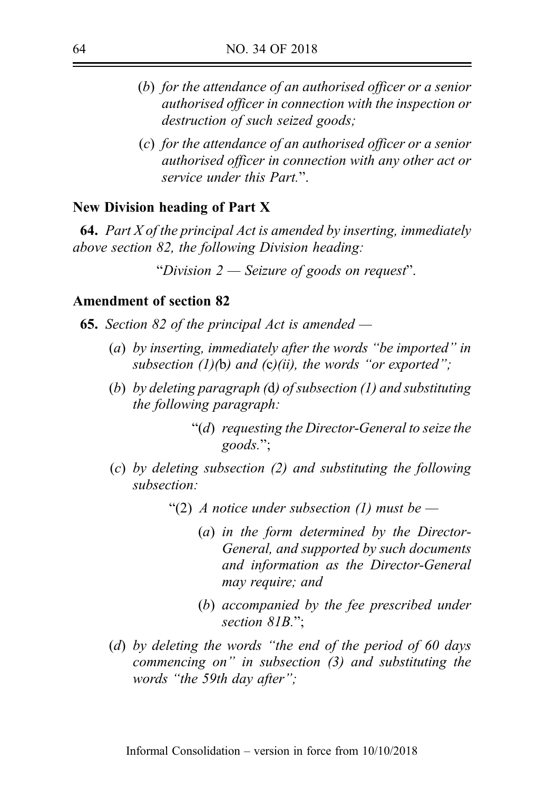- (b) for the attendance of an authorised officer or a senior authorised officer in connection with the inspection or destruction of such seized goods;
- (c) for the attendance of an authorised officer or a senior authorised officer in connection with any other act or service under this Part."

#### New Division heading of Part X

**64.** Part X of the principal Act is amended by inserting, immediately above section 82, the following Division heading:

"Division  $2$  — Seizure of goods on request".

#### Amendment of section 82

**65.** Section 82 of the principal Act is amended  $-$ 

- (a) by inserting, immediately after the words "be imported" in subsection  $(1)(b)$  and  $(c)(ii)$ , the words "or exported";
- (b) by deleting paragraph (d) of subsection (1) and substituting the following paragraph:
	- "(d) requesting the Director-General to seize the goods.";
- (c) by deleting subsection (2) and substituting the following subsection:
	- "(2) A notice under subsection (1) must be  $-$ 
		- (a) in the form determined by the Director-General, and supported by such documents and information as the Director-General may require; and
		- (b) accompanied by the fee prescribed under section 81B.":
- (d) by deleting the words "the end of the period of 60 days commencing on" in subsection (3) and substituting the words "the 59th day after";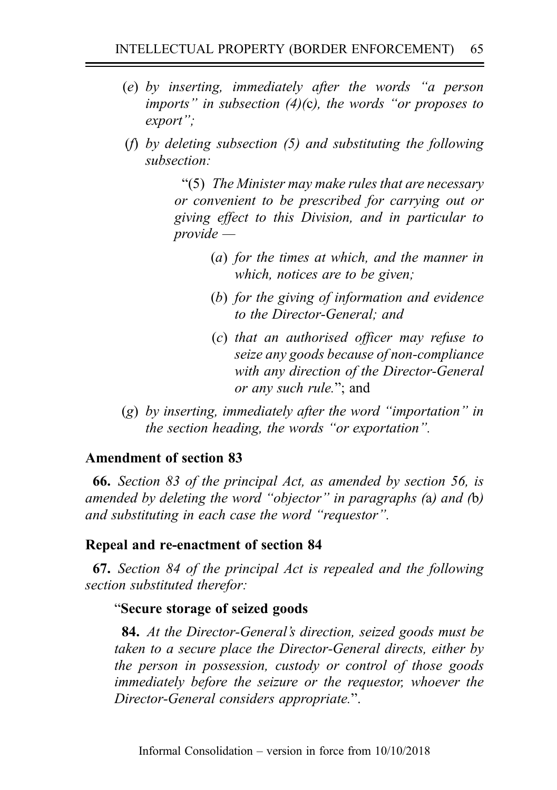- (e) by inserting, immediately after the words "a person imports" in subsection  $(4)(c)$ , the words "or proposes to export";
- (f) by deleting subsection (5) and substituting the following subsection:

"(5) The Minister may make rules that are necessary or convenient to be prescribed for carrying out or giving effect to this Division, and in particular to provide —

- (a) for the times at which, and the manner in which, notices are to be given;
- (b) for the giving of information and evidence to the Director-General; and
- (c) that an authorised officer may refuse to seize any goods because of non-compliance with any direction of the Director-General or any such rule."; and
- (g) by inserting, immediately after the word "importation" in the section heading, the words "or exportation".

# Amendment of section 83

66. Section 83 of the principal Act, as amended by section 56, is amended by deleting the word "objector" in paragraphs (a) and (b) and substituting in each case the word "requestor".

# Repeal and re-enactment of section 84

67. Section 84 of the principal Act is repealed and the following section substituted therefor:

# "Secure storage of seized goods

84. At the Director-General's direction, seized goods must be taken to a secure place the Director-General directs, either by the person in possession, custody or control of those goods immediately before the seizure or the requestor, whoever the Director-General considers appropriate.".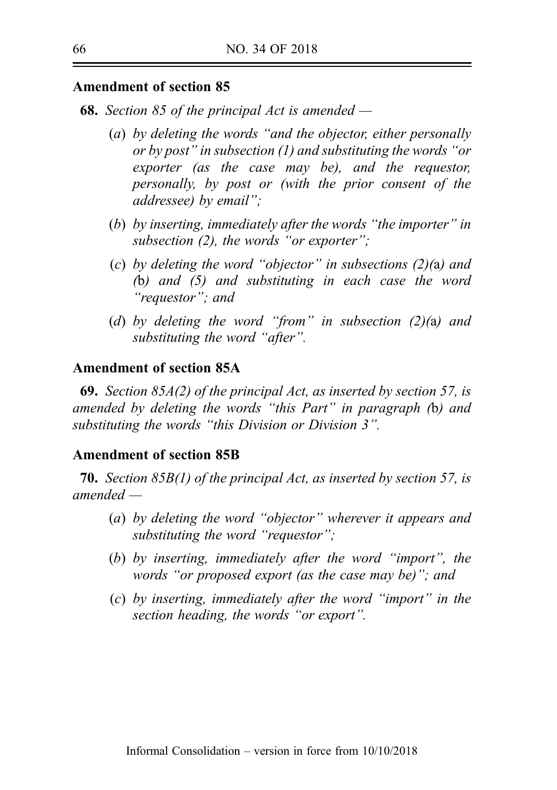**68.** Section 85 of the principal Act is amended —

- (a) by deleting the words "and the objector, either personally or by post" in subsection (1) and substituting the words "or exporter (as the case may be), and the requestor, personally, by post or (with the prior consent of the addressee) by email";
- (b) by inserting, immediately after the words "the importer" in subsection (2), the words "or exporter";
- (c) by deleting the word "objector" in subsections  $(2)(a)$  and (b) and (5) and substituting in each case the word "requestor"; and
- (d) by deleting the word "from" in subsection  $(2)(a)$  and substituting the word "after".

### Amendment of section 85A

69. Section 85A(2) of the principal Act, as inserted by section 57, is amended by deleting the words "this Part" in paragraph (b) and substituting the words "this Division or Division 3".

#### Amendment of section 85B

70. Section 85B(1) of the principal Act, as inserted by section 57, is amended —

- (a) by deleting the word "objector" wherever it appears and substituting the word "requestor";
- (b) by inserting, immediately after the word "import", the words "or proposed export (as the case may be)"; and
- (c) by inserting, immediately after the word "import" in the section heading, the words "or export".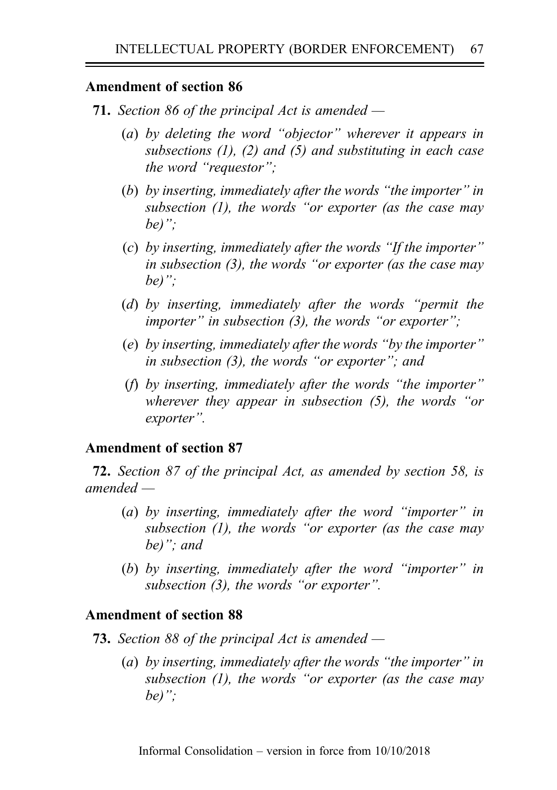- **71.** Section 86 of the principal Act is amended
	- (a) by deleting the word "objector" wherever it appears in subsections  $(1)$ ,  $(2)$  and  $(5)$  and substituting in each case the word "requestor";
	- (b) by inserting, immediately after the words "the importer" in subsection  $(1)$ , the words "or exporter (as the case may be)":
	- (c) by inserting, immediately after the words "If the importer" in subsection (3), the words "or exporter (as the case may be)":
	- (d) by inserting, immediately after the words "permit the importer" in subsection  $(3)$ , the words "or exporter";
	- (e) by inserting, immediately after the words "by the importer" in subsection (3), the words "or exporter"; and
	- (f) by inserting, immediately after the words "the importer" wherever they appear in subsection (5), the words "or exporter".

### Amendment of section 87

72. Section 87 of the principal Act, as amended by section 58, is amended —

- (a) by inserting, immediately after the word "importer" in subsection  $(1)$ , the words "or exporter (as the case may be)"; and
- (b) by inserting, immediately after the word "importer" in subsection (3), the words "or exporter".

### Amendment of section 88

- **73.** Section 88 of the principal Act is amended  $-$ 
	- (a) by inserting, immediately after the words "the importer" in subsection  $(1)$ , the words "or exporter (as the case may be)":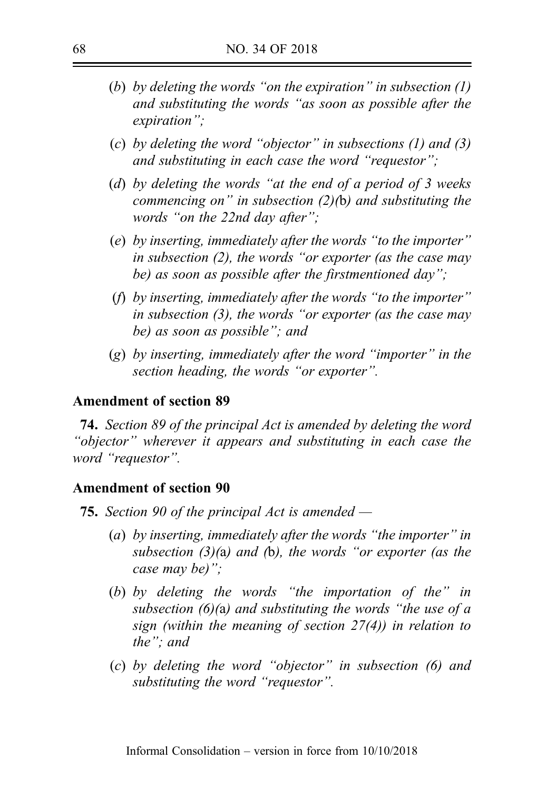- (b) by deleting the words "on the expiration" in subsection  $(1)$ and substituting the words "as soon as possible after the expiration";
- (c) by deleting the word "objector" in subsections  $(1)$  and  $(3)$ and substituting in each case the word "requestor";
- (d) by deleting the words "at the end of a period of 3 weeks commencing on" in subsection  $(2)(b)$  and substituting the words "on the 22nd day after":
- (e) by inserting, immediately after the words "to the importer" in subsection (2), the words "or exporter (as the case may be) as soon as possible after the firstmentioned day";
- (f) by inserting, immediately after the words "to the importer" in subsection (3), the words "or exporter (as the case may be) as soon as possible"; and
- (g) by inserting, immediately after the word "importer" in the section heading, the words "or exporter".

74. Section 89 of the principal Act is amended by deleting the word "objector" wherever it appears and substituting in each case the word "requestor".

### Amendment of section 90

**75.** Section 90 of the principal Act is amended  $-$ 

- (a) by inserting, immediately after the words "the importer" in subsection  $(3)(a)$  and (b), the words "or exporter (as the case may be)";
- (b) by deleting the words "the importation of the" in subsection  $(6)(a)$  and substituting the words "the use of a sign (within the meaning of section 27(4)) in relation to the"; and
- (c) by deleting the word "objector" in subsection (6) and substituting the word "requestor".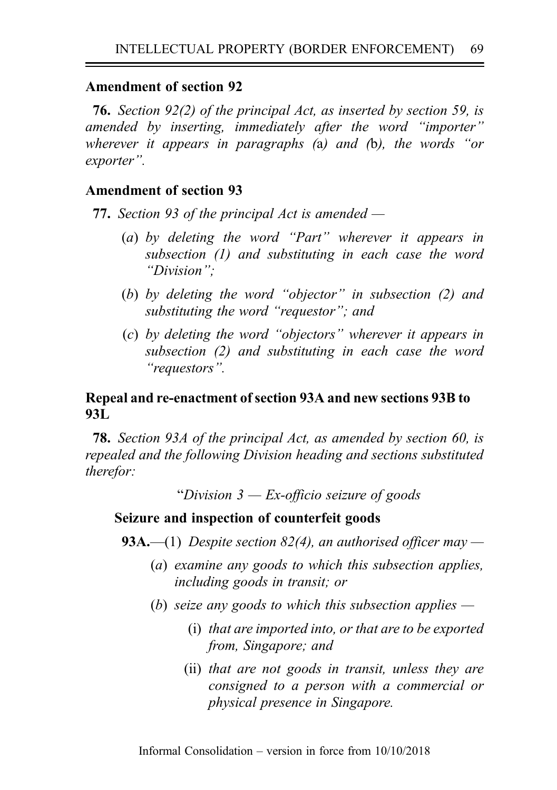76. Section 92(2) of the principal Act, as inserted by section 59, is amended by inserting, immediately after the word "importer" wherever it appears in paragraphs (a) and (b), the words "or exporter".

## Amendment of section 93

77. Section 93 of the principal Act is amended —

- (a) by deleting the word "Part" wherever it appears in subsection (1) and substituting in each case the word "Division";
- (b) by deleting the word "objector" in subsection (2) and substituting the word "requestor"; and
- (c) by deleting the word "objectors" wherever it appears in subsection (2) and substituting in each case the word "requestors".

## Repeal and re-enactment of section 93A and new sections 93B to 93L

78. Section 93A of the principal Act, as amended by section 60, is repealed and the following Division heading and sections substituted therefor:

"Division  $3$  — Ex-officio seizure of goods"

### Seizure and inspection of counterfeit goods

**93A.**—(1) Despite section 82(4), an authorised officer may —

- (a) examine any goods to which this subsection applies, including goods in transit; or
- (b) seize any goods to which this subsection applies  $-$ 
	- (i) that are imported into, or that are to be exported from, Singapore; and
	- (ii) that are not goods in transit, unless they are consigned to a person with a commercial or physical presence in Singapore.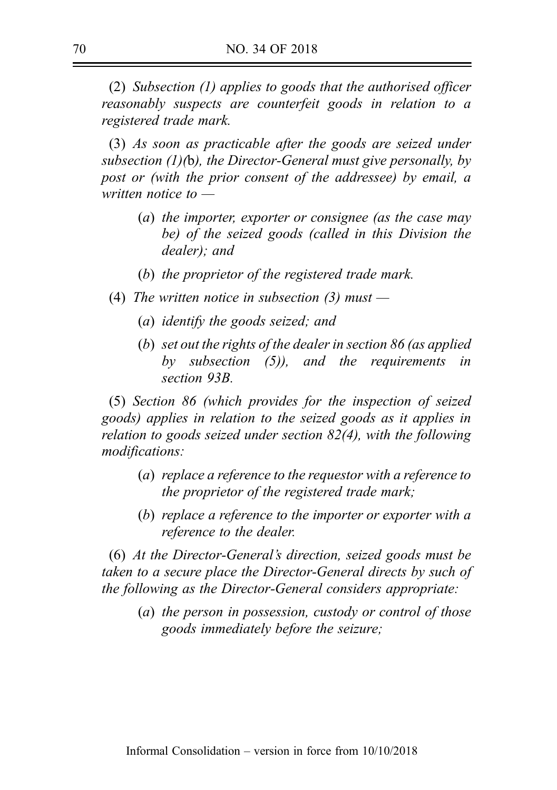(2) Subsection (1) applies to goods that the authorised officer reasonably suspects are counterfeit goods in relation to a registered trade mark.

(3) As soon as practicable after the goods are seized under subsection  $(1)(b)$ , the Director-General must give personally, by post or (with the prior consent of the addressee) by email, a written notice to —

- (a) the importer, exporter or consignee (as the case may be) of the seized goods (called in this Division the dealer); and
- (b) the proprietor of the registered trade mark.
- (4) The written notice in subsection  $(3)$  must
	- (a) identify the goods seized; and
	- (b) set out the rights of the dealer in section 86 (as applied by subsection (5)), and the requirements in section 93B

(5) Section 86 (which provides for the inspection of seized goods) applies in relation to the seized goods as it applies in relation to goods seized under section 82(4), with the following modifications:

- (a) replace a reference to the requestor with a reference to the proprietor of the registered trade mark;
- (b) replace a reference to the importer or exporter with a reference to the dealer.

(6) At the Director-General's direction, seized goods must be taken to a secure place the Director-General directs by such of the following as the Director-General considers appropriate:

(a) the person in possession, custody or control of those goods immediately before the seizure;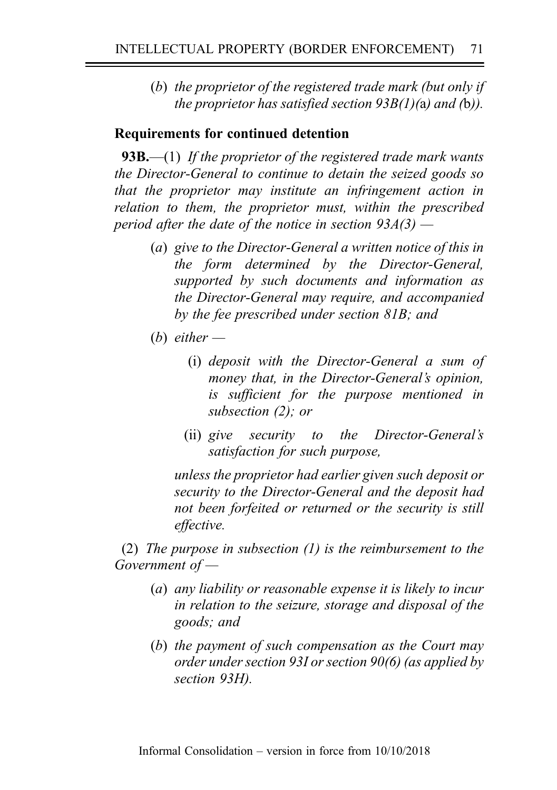(b) the proprietor of the registered trade mark (but only if the proprietor has satisfied section  $93B(1)$ (a) and (b)).

## Requirements for continued detention

**93B.**—(1) If the proprietor of the registered trade mark wants the Director-General to continue to detain the seized goods so that the proprietor may institute an infringement action in relation to them, the proprietor must, within the prescribed period after the date of the notice in section  $93A(3)$  —

- (a) give to the Director-General a written notice of this in the form determined by the Director-General, supported by such documents and information as the Director-General may require, and accompanied by the fee prescribed under section 81B; and
- (b) either  $-$ 
	- (i) deposit with the Director-General a sum of money that, in the Director-General's opinion, is sufficient for the purpose mentioned in subsection (2); or
	- (ii) give security to the Director-General's satisfaction for such purpose,

unless the proprietor had earlier given such deposit or security to the Director-General and the deposit had not been forfeited or returned or the security is still effective.

(2) The purpose in subsection (1) is the reimbursement to the Government of —

- (a) any liability or reasonable expense it is likely to incur in relation to the seizure, storage and disposal of the goods; and
- (b) the payment of such compensation as the Court may order under section 93I or section 90(6) (as applied by section 93H).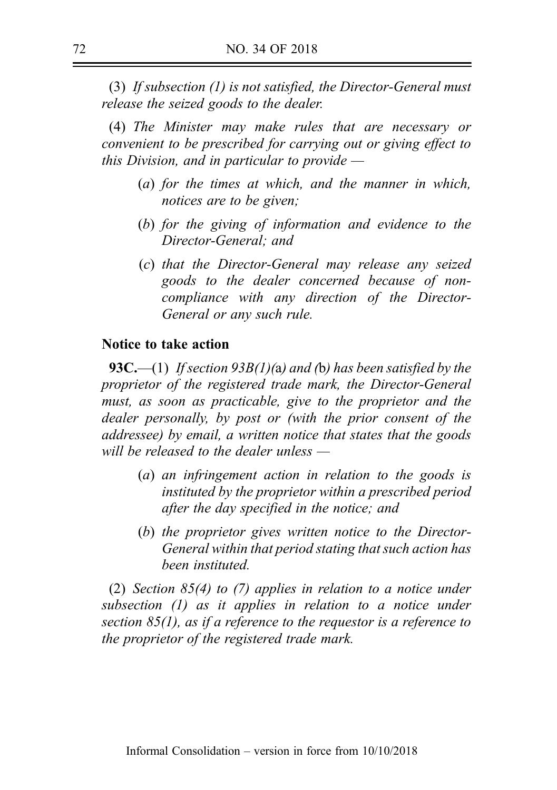(3) If subsection (1) is not satisfied, the Director-General must release the seized goods to the dealer.

(4) The Minister may make rules that are necessary or convenient to be prescribed for carrying out or giving effect to this Division, and in particular to provide  $-$ 

- (a) for the times at which, and the manner in which, notices are to be given;
- (b) for the giving of information and evidence to the Director-General; and
- (c) that the Director-General may release any seized goods to the dealer concerned because of noncompliance with any direction of the Director-General or any such rule.

## Notice to take action

**93C.**—(1) If section 93B(1)(a) and (b) has been satisfied by the proprietor of the registered trade mark, the Director-General must, as soon as practicable, give to the proprietor and the dealer personally, by post or (with the prior consent of the addressee) by email, a written notice that states that the goods will be released to the dealer unless —

- (a) an infringement action in relation to the goods is instituted by the proprietor within a prescribed period after the day specified in the notice; and
- (b) the proprietor gives written notice to the Director-General within that period stating that such action has been instituted.

(2) Section  $85(4)$  to (7) applies in relation to a notice under subsection (1) as it applies in relation to a notice under section 85(1), as if a reference to the requestor is a reference to the proprietor of the registered trade mark.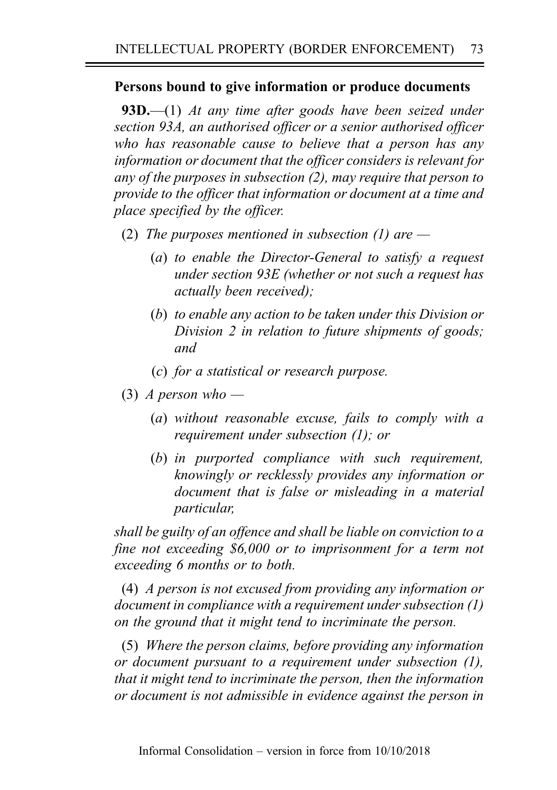# Persons bound to give information or produce documents

**93D.**—(1) At any time after goods have been seized under section 93A, an authorised officer or a senior authorised officer who has reasonable cause to believe that a person has any information or document that the officer considers is relevant for any of the purposes in subsection (2), may require that person to provide to the officer that information or document at a time and place specified by the officer.

- (2) The purposes mentioned in subsection (1) are  $-$ 
	- (a) to enable the Director-General to satisfy a request under section 93E (whether or not such a request has actually been received);
	- (b) to enable any action to be taken under this Division or Division 2 in relation to future shipments of goods; and
	- (c) for a statistical or research purpose.
- (3) A person who
	- (a) without reasonable excuse, fails to comply with a requirement under subsection (1); or
	- (b) in purported compliance with such requirement, knowingly or recklessly provides any information or document that is false or misleading in a material particular,

shall be guilty of an offence and shall be liable on conviction to a fine not exceeding \$6,000 or to imprisonment for a term not exceeding 6 months or to both.

(4) A person is not excused from providing any information or document in compliance with a requirement under subsection (1) on the ground that it might tend to incriminate the person.

(5) Where the person claims, before providing any information or document pursuant to a requirement under subsection (1), that it might tend to incriminate the person, then the information or document is not admissible in evidence against the person in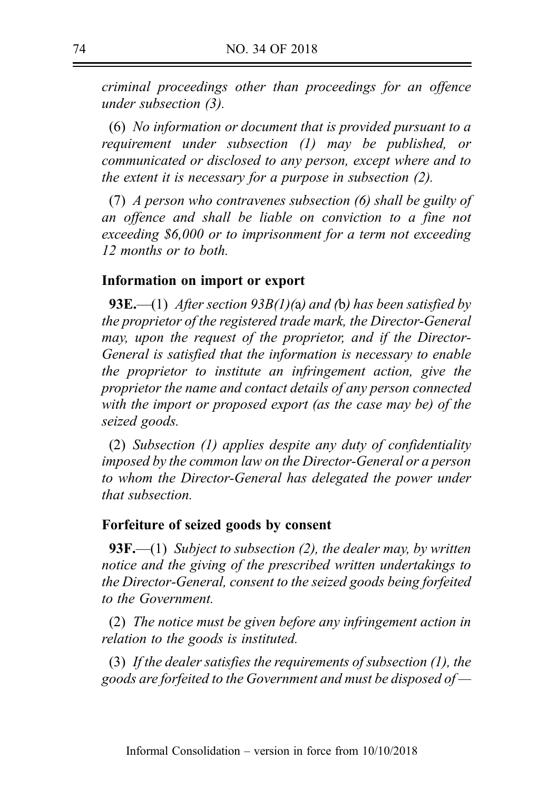criminal proceedings other than proceedings for an offence under subsection (3).

(6) No information or document that is provided pursuant to a requirement under subsection (1) may be published, or communicated or disclosed to any person, except where and to the extent it is necessary for a purpose in subsection (2).

(7) A person who contravenes subsection (6) shall be guilty of an offence and shall be liable on conviction to a fine not exceeding \$6,000 or to imprisonment for a term not exceeding 12 months or to both.

### Information on import or export

**93E.**—(1) After section 93B(1)(a) and (b) has been satisfied by the proprietor of the registered trade mark, the Director-General may, upon the request of the proprietor, and if the Director-General is satisfied that the information is necessary to enable the proprietor to institute an infringement action, give the proprietor the name and contact details of any person connected with the import or proposed export (as the case may be) of the seized goods.

(2) Subsection (1) applies despite any duty of confidentiality imposed by the common law on the Director-General or a person to whom the Director-General has delegated the power under that subsection.

#### Forfeiture of seized goods by consent

**93F.**—(1) Subject to subsection (2), the dealer may, by written notice and the giving of the prescribed written undertakings to the Director-General, consent to the seized goods being forfeited to the Government.

(2) The notice must be given before any infringement action in relation to the goods is instituted.

(3) If the dealer satisfies the requirements of subsection  $(1)$ , the goods are forfeited to the Government and must be disposed of  $-$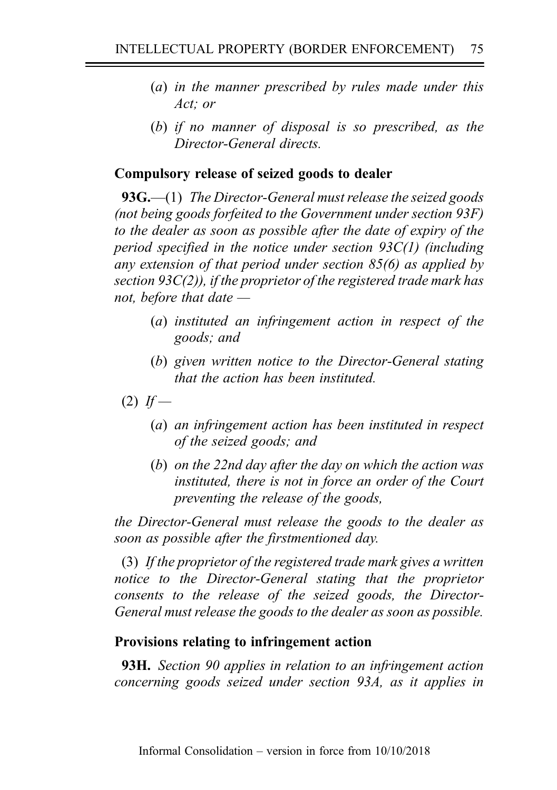- (a) in the manner prescribed by rules made under this Act; or
- (b) if no manner of disposal is so prescribed, as the Director-General directs.

## Compulsory release of seized goods to dealer

93G.—(1) The Director-General must release the seized goods (not being goods forfeited to the Government under section 93F) to the dealer as soon as possible after the date of expiry of the period specified in the notice under section 93C(1) (including any extension of that period under section 85(6) as applied by section 93 $C(2)$ ), if the proprietor of the registered trade mark has not, before that date —

- (a) instituted an infringement action in respect of the goods; and
- (b) given written notice to the Director-General stating that the action has been instituted.
- $(2)$  If
	- (a) an infringement action has been instituted in respect of the seized goods; and
	- (b) on the 22nd day after the day on which the action was instituted, there is not in force an order of the Court preventing the release of the goods,

the Director-General must release the goods to the dealer as soon as possible after the firstmentioned day.

(3) If the proprietor of the registered trade mark gives a written notice to the Director-General stating that the proprietor consents to the release of the seized goods, the Director-General must release the goods to the dealer as soon as possible.

### Provisions relating to infringement action

**93H.** Section 90 applies in relation to an infringement action concerning goods seized under section 93A, as it applies in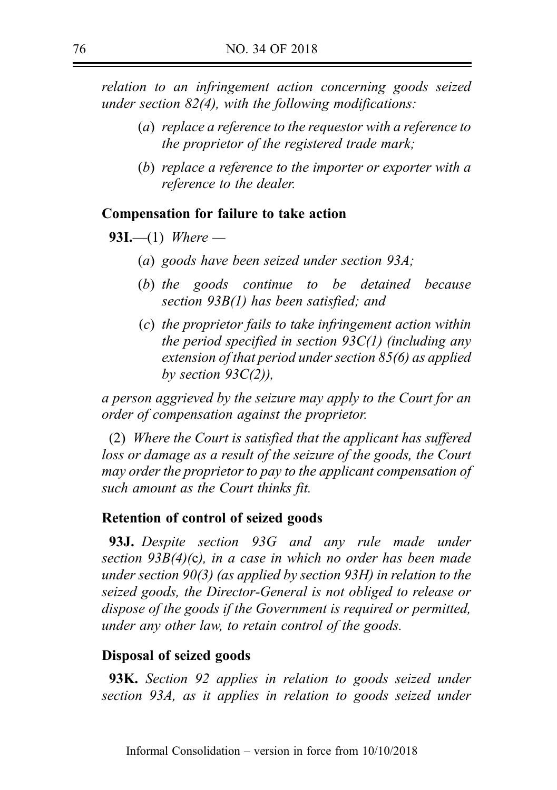relation to an infringement action concerning goods seized under section  $82(4)$ , with the following modifications:

- (a) replace a reference to the requestor with a reference to the proprietor of the registered trade mark;
- (b) replace a reference to the importer or exporter with a reference to the dealer.

### Compensation for failure to take action

**93I.**—(1) Where —

- (a) goods have been seized under section 93A;
- (b) the goods continue to be detained because section 93B(1) has been satisfied; and
- (c) the proprietor fails to take infringement action within the period specified in section  $93C(1)$  (including any extension of that period under section 85(6) as applied by section  $93C(2)$ ),

a person aggrieved by the seizure may apply to the Court for an order of compensation against the proprietor.

(2) Where the Court is satisfied that the applicant has suffered loss or damage as a result of the seizure of the goods, the Court may order the proprietor to pay to the applicant compensation of such amount as the Court thinks fit.

### Retention of control of seized goods

**93J.** Despite section 93G and any rule made under section 93B(4)(c), in a case in which no order has been made under section 90(3) (as applied by section 93H) in relation to the seized goods, the Director-General is not obliged to release or dispose of the goods if the Government is required or permitted, under any other law, to retain control of the goods.

### Disposal of seized goods

**93K.** Section 92 applies in relation to goods seized under section 93A, as it applies in relation to goods seized under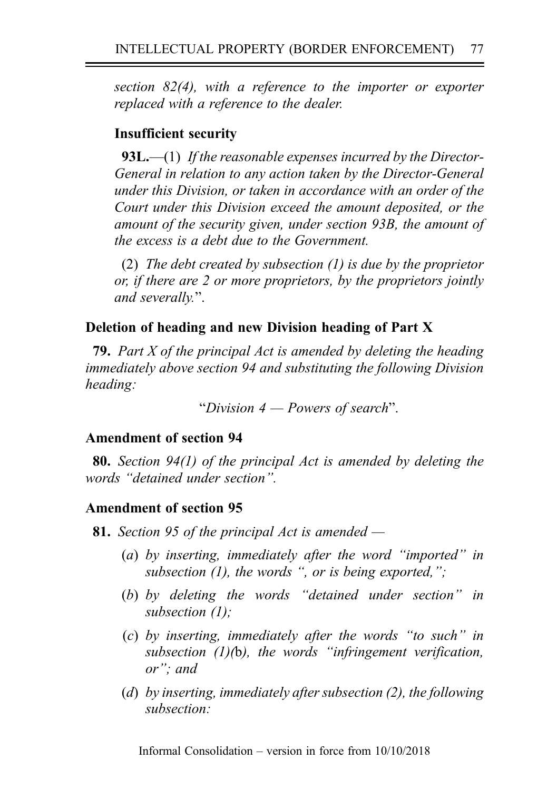section 82(4), with a reference to the importer or exporter replaced with a reference to the dealer.

# Insufficient security

93L.—(1) If the reasonable expenses incurred by the Director-General in relation to any action taken by the Director-General under this Division, or taken in accordance with an order of the Court under this Division exceed the amount deposited, or the amount of the security given, under section 93B, the amount of the excess is a debt due to the Government.

(2) The debt created by subsection (1) is due by the proprietor or, if there are 2 or more proprietors, by the proprietors jointly and severally.".

# Deletion of heading and new Division heading of Part X

**79.** Part X of the principal Act is amended by deleting the heading immediately above section 94 and substituting the following Division heading:

"Division  $4$  – Powers of search".

# Amendment of section 94

80. Section 94(1) of the principal Act is amended by deleting the words "detained under section".

# Amendment of section 95

- **81.** Section 95 of the principal Act is amended  $-$ 
	- (a) by inserting, immediately after the word "imported" in subsection  $(1)$ , the words ", or is being exported,";
	- (b) by deleting the words "detained under section" in subsection (1);
	- (c) by inserting, immediately after the words "to such" in subsection  $(1)(b)$ , the words "infringement verification, or"; and
	- (d) by inserting, immediately after subsection (2), the following subsection: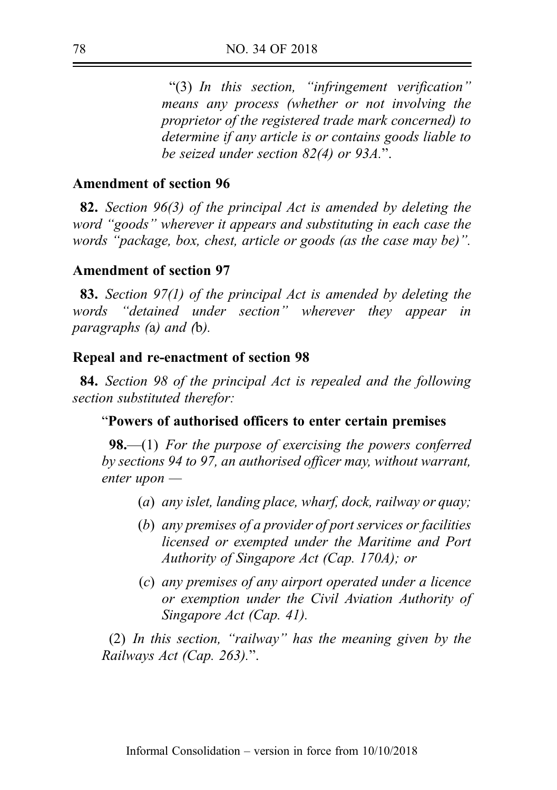"(3) In this section, "infringement verification" means any process (whether or not involving the proprietor of the registered trade mark concerned) to determine if any article is or contains goods liable to be seized under section 82(4) or 93A.".

## Amendment of section 96

82. Section 96(3) of the principal Act is amended by deleting the word "goods" wherever it appears and substituting in each case the words "package, box, chest, article or goods (as the case may be)".

### Amendment of section 97

83. Section 97(1) of the principal Act is amended by deleting the words "detained under section" wherever they appear in paragraphs (a) and (b).

#### Repeal and re-enactment of section 98

84. Section 98 of the principal Act is repealed and the following section substituted therefor:

#### "Powers of authorised officers to enter certain premises

**98.—(1)** For the purpose of exercising the powers conferred by sections 94 to 97, an authorised officer may, without warrant, enter upon —

- (a) any islet, landing place, wharf, dock, railway or quay;
- (b) any premises of a provider of port services or facilities licensed or exempted under the Maritime and Port Authority of Singapore Act (Cap. 170A); or
- (c) any premises of any airport operated under a licence or exemption under the Civil Aviation Authority of Singapore Act (Cap. 41).

(2) In this section, "railway" has the meaning given by the Railways Act (Cap. 263).".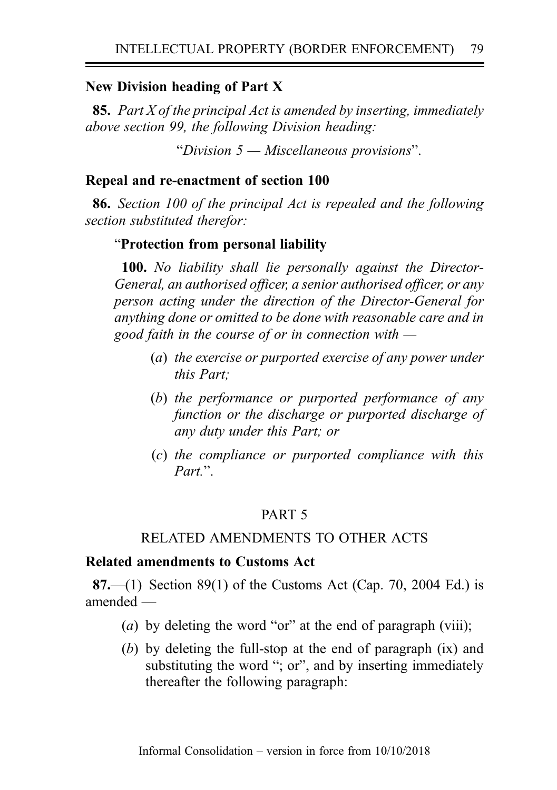### New Division heading of Part X

**85.** Part X of the principal Act is amended by inserting, immediately above section 99, the following Division heading:

"Division 5 — Miscellaneous provisions".

### Repeal and re-enactment of section 100

86. Section 100 of the principal Act is repealed and the following section substituted therefor:

## "Protection from personal liability

100. No liability shall lie personally against the Director-General, an authorised officer, a senior authorised officer, or any person acting under the direction of the Director-General for anything done or omitted to be done with reasonable care and in good faith in the course of or in connection with  $-$ 

- (a) the exercise or purported exercise of any power under this Part;
- (b) the performance or purported performance of any function or the discharge or purported discharge of any duty under this Part; or
- (c) the compliance or purported compliance with this Part<sup>"</sup>.

# PART 5

### RELATED AMENDMENTS TO OTHER ACTS

### Related amendments to Customs Act

**87.**—(1) Section 89(1) of the Customs Act (Cap. 70, 2004 Ed.) is amended —

- (a) by deleting the word "or" at the end of paragraph (viii);
- (b) by deleting the full-stop at the end of paragraph (ix) and substituting the word "; or", and by inserting immediately thereafter the following paragraph: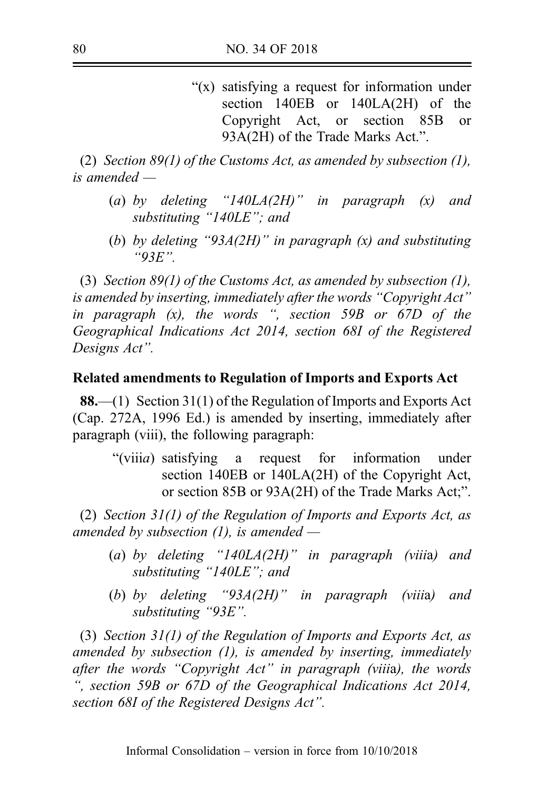"(x) satisfying a request for information under section 140EB or 140LA(2H) of the Copyright Act, or section 85B or 93A(2H) of the Trade Marks Act.".

(2) Section 89(1) of the Customs Act, as amended by subsection (1), is amended —

- (a) by deleting "140LA(2H)" in paragraph  $(x)$  and substituting "140LE"; and
- (b) by deleting "93A(2H)" in paragraph  $(x)$  and substituting "93E".

(3) Section 89(1) of the Customs Act, as amended by subsection (1), is amended by inserting, immediately after the words "Copyright Act" in paragraph  $(x)$ , the words ", section 59B or  $67D$  of the Geographical Indications Act 2014, section 68I of the Registered Designs Act".

### Related amendments to Regulation of Imports and Exports Act

88.—(1) Section 31(1) of the Regulation of Imports and Exports Act (Cap. 272A, 1996 Ed.) is amended by inserting, immediately after paragraph (viii), the following paragraph:

"(viiia) satisfying a request for information under section 140EB or 140LA(2H) of the Copyright Act, or section 85B or 93A(2H) of the Trade Marks Act;".

(2) Section  $31(1)$  of the Regulation of Imports and Exports Act, as amended by subsection  $(1)$ , is amended —

- (a) by deleting "140LA(2H)" in paragraph (viiia) and substituting "140LE"; and
- (b) by deleting " $93A(2H)$ " in paragraph (viiia) and substituting "93E".

(3) Section 31(1) of the Regulation of Imports and Exports Act, as amended by subsection  $(1)$ , is amended by inserting, immediately after the words "Copyright Act" in paragraph (viiia), the words ", section 59B or 67D of the Geographical Indications Act 2014, section 68I of the Registered Designs Act".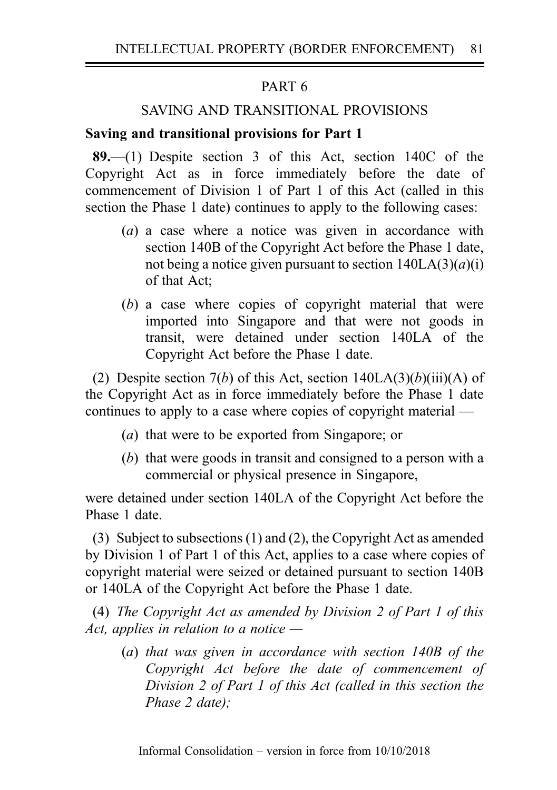# PART 6

# SAVING AND TRANSITIONAL PROVISIONS

## Saving and transitional provisions for Part 1

89.—(1) Despite section 3 of this Act, section 140C of the Copyright Act as in force immediately before the date of commencement of Division 1 of Part 1 of this Act (called in this section the Phase 1 date) continues to apply to the following cases:

- (a) a case where a notice was given in accordance with section 140B of the Copyright Act before the Phase 1 date, not being a notice given pursuant to section  $140LA(3)(a)(i)$ of that Act;
- (b) a case where copies of copyright material that were imported into Singapore and that were not goods in transit, were detained under section 140LA of the Copyright Act before the Phase 1 date.

(2) Despite section 7(b) of this Act, section  $140LA(3)(b)(iii)(A)$  of the Copyright Act as in force immediately before the Phase 1 date continues to apply to a case where copies of copyright material —

- (a) that were to be exported from Singapore; or
- (b) that were goods in transit and consigned to a person with a commercial or physical presence in Singapore,

were detained under section 140LA of the Copyright Act before the Phase 1 date.

(3) Subject to subsections (1) and (2), the Copyright Act as amended by Division 1 of Part 1 of this Act, applies to a case where copies of copyright material were seized or detained pursuant to section 140B or 140LA of the Copyright Act before the Phase 1 date.

(4) The Copyright Act as amended by Division 2 of Part 1 of this Act, applies in relation to a notice  $-$ 

(a) that was given in accordance with section 140B of the Copyright Act before the date of commencement of Division 2 of Part 1 of this Act (called in this section the Phase 2 date);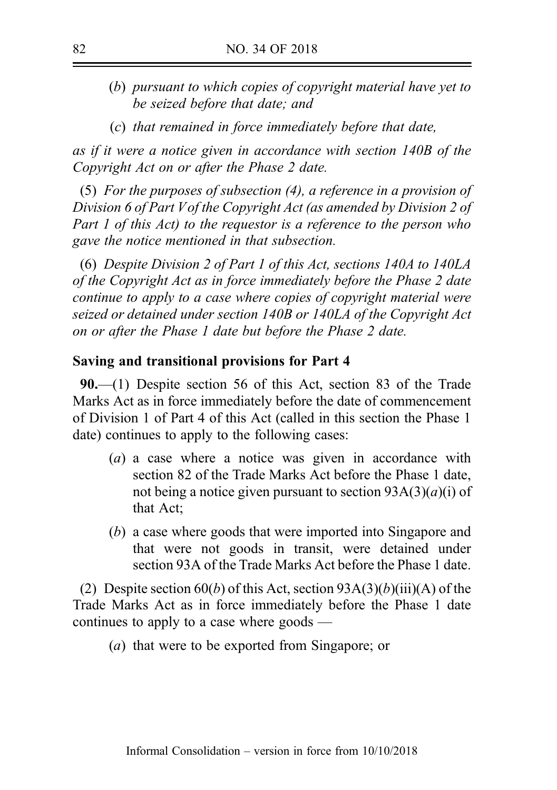- (b) pursuant to which copies of copyright material have yet to be seized before that date; and
- (c) that remained in force immediately before that date,

as if it were a notice given in accordance with section 140B of the Copyright Act on or after the Phase 2 date.

(5) For the purposes of subsection (4), a reference in a provision of Division 6 of Part V of the Copyright Act (as amended by Division 2 of Part 1 of this Act) to the requestor is a reference to the person who gave the notice mentioned in that subsection.

(6) Despite Division 2 of Part 1 of this Act, sections 140A to 140LA of the Copyright Act as in force immediately before the Phase 2 date continue to apply to a case where copies of copyright material were seized or detained under section 140B or 140LA of the Copyright Act on or after the Phase 1 date but before the Phase 2 date.

#### Saving and transitional provisions for Part 4

90.—(1) Despite section 56 of this Act, section 83 of the Trade Marks Act as in force immediately before the date of commencement of Division 1 of Part 4 of this Act (called in this section the Phase 1 date) continues to apply to the following cases:

- (a) a case where a notice was given in accordance with section 82 of the Trade Marks Act before the Phase 1 date, not being a notice given pursuant to section  $93A(3)(a)(i)$  of that Act;
- (b) a case where goods that were imported into Singapore and that were not goods in transit, were detained under section 93A of the Trade Marks Act before the Phase 1 date.

(2) Despite section 60(b) of this Act, section  $93A(3)(b)(iii)(A)$  of the Trade Marks Act as in force immediately before the Phase 1 date continues to apply to a case where goods —

(a) that were to be exported from Singapore; or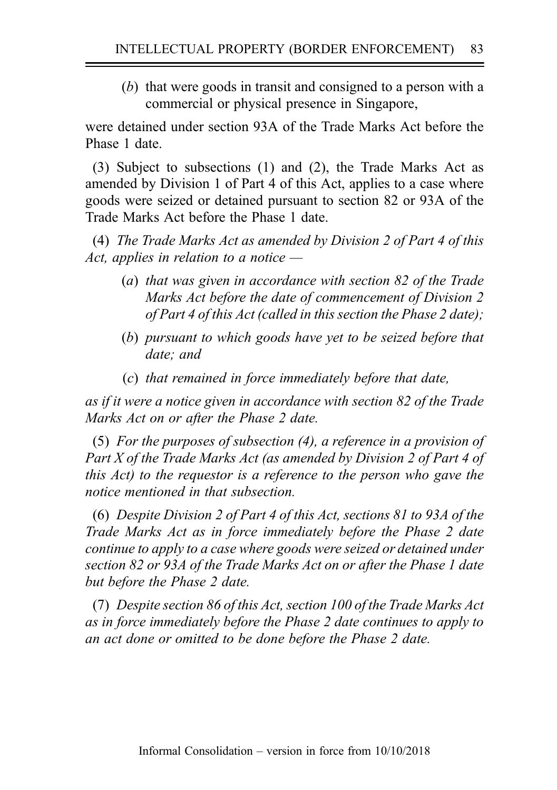(b) that were goods in transit and consigned to a person with a commercial or physical presence in Singapore,

were detained under section 93A of the Trade Marks Act before the Phase 1 date.

(3) Subject to subsections (1) and (2), the Trade Marks Act as amended by Division 1 of Part 4 of this Act, applies to a case where goods were seized or detained pursuant to section 82 or 93A of the Trade Marks Act before the Phase 1 date.

(4) The Trade Marks Act as amended by Division 2 of Part 4 of this Act, applies in relation to a notice  $-$ 

- (a) that was given in accordance with section 82 of the Trade Marks Act before the date of commencement of Division 2 of Part 4 of this Act (called in this section the Phase 2 date);
- (b) pursuant to which goods have yet to be seized before that date; and
- (c) that remained in force immediately before that date,

as if it were a notice given in accordance with section 82 of the Trade Marks Act on or after the Phase 2 date.

(5) For the purposes of subsection (4), a reference in a provision of Part X of the Trade Marks Act (as amended by Division 2 of Part 4 of this Act) to the requestor is a reference to the person who gave the notice mentioned in that subsection.

(6) Despite Division 2 of Part 4 of this Act, sections 81 to 93A of the Trade Marks Act as in force immediately before the Phase 2 date continue to apply to a case where goods were seized or detained under section 82 or 93A of the Trade Marks Act on or after the Phase 1 date but before the Phase 2 date.

(7) Despite section 86 of this Act, section 100 of the Trade Marks Act as in force immediately before the Phase 2 date continues to apply to an act done or omitted to be done before the Phase 2 date.